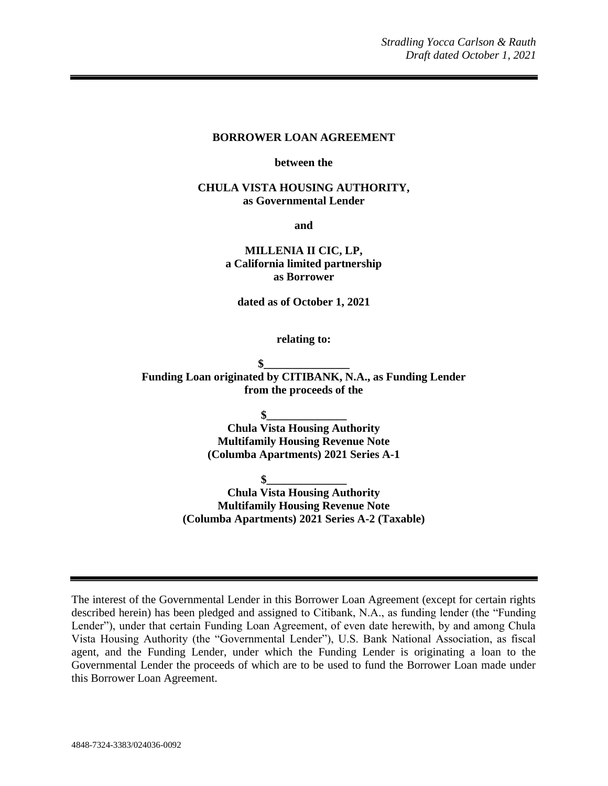#### **BORROWER LOAN AGREEMENT**

#### **between the**

### **CHULA VISTA HOUSING AUTHORITY, as Governmental Lender**

**and**

**MILLENIA II CIC, LP, a California limited partnership as Borrower**

**dated as of October 1, 2021**

**relating to:**

**\$\_\_\_\_\_\_\_\_\_\_\_\_\_\_\_ Funding Loan originated by CITIBANK, N.A., as Funding Lender from the proceeds of the**

**\$\_\_\_\_\_\_\_\_\_\_\_\_\_\_**

**Chula Vista Housing Authority Multifamily Housing Revenue Note (Columba Apartments) 2021 Series A-1**

**\$\_\_\_\_\_\_\_\_\_\_\_\_\_\_**

**Chula Vista Housing Authority Multifamily Housing Revenue Note (Columba Apartments) 2021 Series A-2 (Taxable)**

The interest of the Governmental Lender in this Borrower Loan Agreement (except for certain rights described herein) has been pledged and assigned to Citibank, N.A., as funding lender (the "Funding Lender"), under that certain Funding Loan Agreement, of even date herewith, by and among Chula Vista Housing Authority (the "Governmental Lender"), U.S. Bank National Association, as fiscal agent, and the Funding Lender, under which the Funding Lender is originating a loan to the Governmental Lender the proceeds of which are to be used to fund the Borrower Loan made under this Borrower Loan Agreement.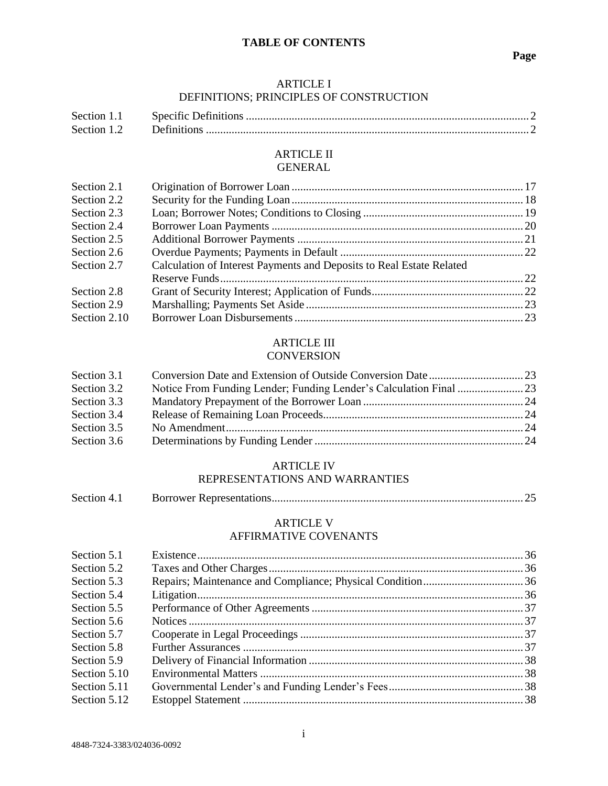### **TABLE OF CONTENTS**

### ARTICLE I DEFINITIONS; PRINCIPLES OF CONSTRUCTION

| Section 1.1 |  |
|-------------|--|
| Section 1.2 |  |

### ARTICLE II GENERAL

| Section 2.1  |                                                                      |  |
|--------------|----------------------------------------------------------------------|--|
| Section 2.2  |                                                                      |  |
| Section 2.3  |                                                                      |  |
| Section 2.4  |                                                                      |  |
| Section 2.5  |                                                                      |  |
| Section 2.6  |                                                                      |  |
| Section 2.7  | Calculation of Interest Payments and Deposits to Real Estate Related |  |
|              |                                                                      |  |
| Section 2.8  |                                                                      |  |
| Section 2.9  |                                                                      |  |
| Section 2.10 |                                                                      |  |

#### ARTICLE III **CONVERSION**

| Section 3.1 |  |
|-------------|--|
| Section 3.2 |  |
| Section 3.3 |  |
| Section 3.4 |  |
| Section 3.5 |  |
| Section 3.6 |  |

### ARTICLE IV

# REPRESENTATIONS AND WARRANTIES

| Section 4.1 |  |
|-------------|--|
|             |  |

### ARTICLE V AFFIRMATIVE COVENANTS

| Section 5.1  |  |
|--------------|--|
| Section 5.2  |  |
| Section 5.3  |  |
| Section 5.4  |  |
| Section 5.5  |  |
| Section 5.6  |  |
| Section 5.7  |  |
| Section 5.8  |  |
| Section 5.9  |  |
| Section 5.10 |  |
| Section 5.11 |  |
| Section 5.12 |  |
|              |  |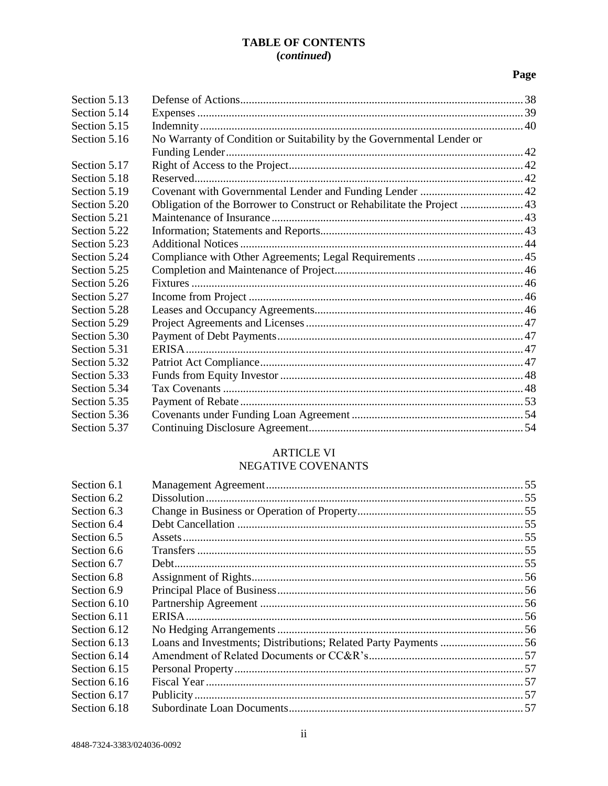# **TABLE OF CONTENTS** (continued)

# Page

| Section 5.13 |                                                                         |  |
|--------------|-------------------------------------------------------------------------|--|
| Section 5.14 |                                                                         |  |
| Section 5.15 |                                                                         |  |
| Section 5.16 | No Warranty of Condition or Suitability by the Governmental Lender or   |  |
|              |                                                                         |  |
| Section 5.17 |                                                                         |  |
| Section 5.18 |                                                                         |  |
| Section 5.19 |                                                                         |  |
| Section 5.20 | Obligation of the Borrower to Construct or Rehabilitate the Project  43 |  |
| Section 5.21 |                                                                         |  |
| Section 5.22 |                                                                         |  |
| Section 5.23 |                                                                         |  |
| Section 5.24 |                                                                         |  |
| Section 5.25 |                                                                         |  |
| Section 5.26 |                                                                         |  |
| Section 5.27 |                                                                         |  |
| Section 5.28 |                                                                         |  |
| Section 5.29 |                                                                         |  |
| Section 5.30 |                                                                         |  |
| Section 5.31 |                                                                         |  |
| Section 5.32 |                                                                         |  |
| Section 5.33 |                                                                         |  |
| Section 5.34 |                                                                         |  |
| Section 5.35 |                                                                         |  |
| Section 5.36 |                                                                         |  |
| Section 5.37 |                                                                         |  |

# **ARTICLE VI**

# NEGATIVE COVENANTS

| Section 6.1  |  |
|--------------|--|
| Section 6.2  |  |
| Section 6.3  |  |
| Section 6.4  |  |
| Section 6.5  |  |
| Section 6.6  |  |
| Section 6.7  |  |
| Section 6.8  |  |
| Section 6.9  |  |
| Section 6.10 |  |
| Section 6.11 |  |
| Section 6.12 |  |
| Section 6.13 |  |
| Section 6.14 |  |
| Section 6.15 |  |
| Section 6.16 |  |
| Section 6.17 |  |
| Section 6.18 |  |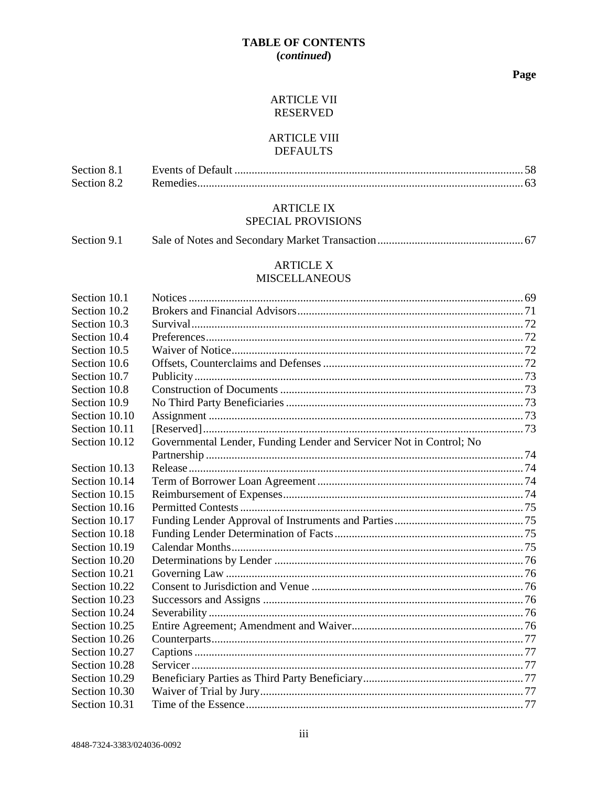# **TABLE OF CONTENTS** (continued)

### Page

# **ARTICLE VII RESERVED**

# **ARTICLE VIII DEFAULTS**

| Section 8.1 |  |
|-------------|--|
| Section 8.2 |  |

# **ARTICLE IX** SPECIAL PROVISIONS

| Section 9.1 |  |  |
|-------------|--|--|
|-------------|--|--|

### **ARTICLE X MISCELLANEOUS**

| Section 10.1  |                                                                     |  |
|---------------|---------------------------------------------------------------------|--|
| Section 10.2  |                                                                     |  |
| Section 10.3  |                                                                     |  |
| Section 10.4  |                                                                     |  |
| Section 10.5  |                                                                     |  |
| Section 10.6  |                                                                     |  |
| Section 10.7  |                                                                     |  |
| Section 10.8  |                                                                     |  |
| Section 10.9  |                                                                     |  |
| Section 10.10 |                                                                     |  |
| Section 10.11 |                                                                     |  |
| Section 10.12 | Governmental Lender, Funding Lender and Servicer Not in Control; No |  |
|               |                                                                     |  |
| Section 10.13 |                                                                     |  |
| Section 10.14 |                                                                     |  |
| Section 10.15 |                                                                     |  |
| Section 10.16 |                                                                     |  |
| Section 10.17 |                                                                     |  |
| Section 10.18 |                                                                     |  |
| Section 10.19 |                                                                     |  |
| Section 10.20 |                                                                     |  |
| Section 10.21 |                                                                     |  |
| Section 10.22 |                                                                     |  |
| Section 10.23 |                                                                     |  |
| Section 10.24 |                                                                     |  |
| Section 10.25 |                                                                     |  |
| Section 10.26 |                                                                     |  |
| Section 10.27 |                                                                     |  |
| Section 10.28 |                                                                     |  |
| Section 10.29 |                                                                     |  |
| Section 10.30 |                                                                     |  |
| Section 10.31 |                                                                     |  |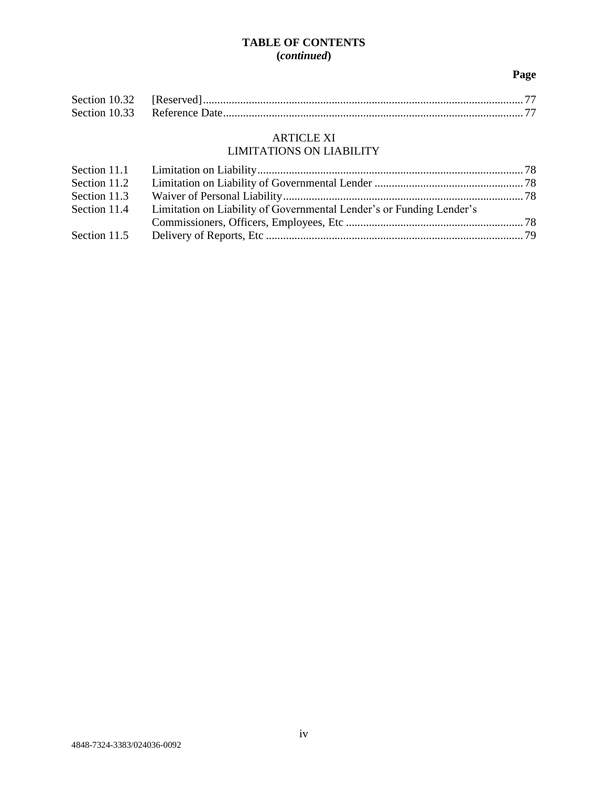# **TABLE OF CONTENTS (***continued***)**

# **Page**

# ARTICLE XI

# LIMITATIONS ON LIABILITY

| Section 11.2 |                                                                      |  |
|--------------|----------------------------------------------------------------------|--|
| Section 11.3 |                                                                      |  |
| Section 11.4 | Limitation on Liability of Governmental Lender's or Funding Lender's |  |
|              |                                                                      |  |
| Section 11.5 |                                                                      |  |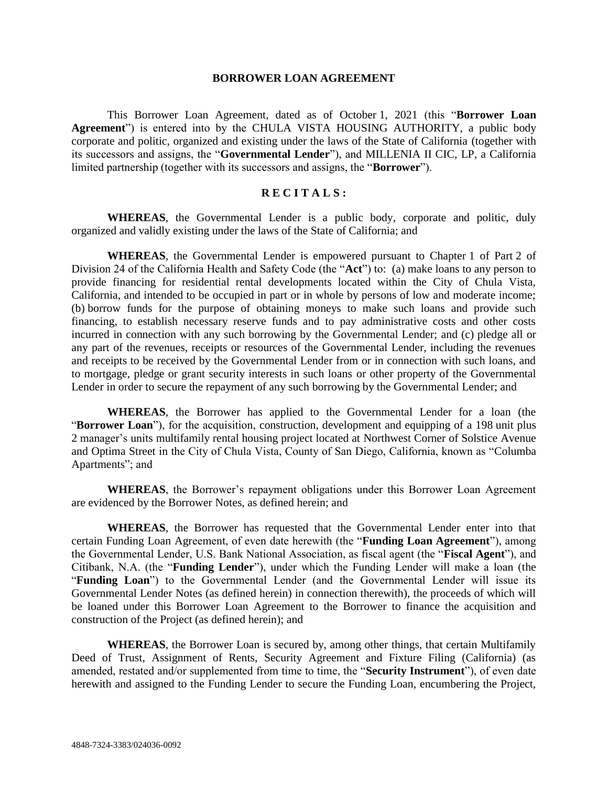#### **BORROWER LOAN AGREEMENT**

This Borrower Loan Agreement, dated as of October 1, 2021 (this "**Borrower Loan Agreement**") is entered into by the CHULA VISTA HOUSING AUTHORITY, a public body corporate and politic, organized and existing under the laws of the State of California (together with its successors and assigns, the "**Governmental Lender**"), and MILLENIA II CIC, LP, a California limited partnership (together with its successors and assigns, the "**Borrower**").

# **R E C I T A L S :**

**WHEREAS**, the Governmental Lender is a public body, corporate and politic, duly organized and validly existing under the laws of the State of California; and

**WHEREAS**, the Governmental Lender is empowered pursuant to Chapter 1 of Part 2 of Division 24 of the California Health and Safety Code (the "**Act**") to: (a) make loans to any person to provide financing for residential rental developments located within the City of Chula Vista, California, and intended to be occupied in part or in whole by persons of low and moderate income; (b) borrow funds for the purpose of obtaining moneys to make such loans and provide such financing, to establish necessary reserve funds and to pay administrative costs and other costs incurred in connection with any such borrowing by the Governmental Lender; and (c) pledge all or any part of the revenues, receipts or resources of the Governmental Lender, including the revenues and receipts to be received by the Governmental Lender from or in connection with such loans, and to mortgage, pledge or grant security interests in such loans or other property of the Governmental Lender in order to secure the repayment of any such borrowing by the Governmental Lender; and

**WHEREAS**, the Borrower has applied to the Governmental Lender for a loan (the "**Borrower Loan**"), for the acquisition, construction, development and equipping of a 198 unit plus 2 manager's units multifamily rental housing project located at Northwest Corner of Solstice Avenue and Optima Street in the City of Chula Vista, County of San Diego, California, known as "Columba Apartments"; and

**WHEREAS**, the Borrower's repayment obligations under this Borrower Loan Agreement are evidenced by the Borrower Notes, as defined herein; and

**WHEREAS**, the Borrower has requested that the Governmental Lender enter into that certain Funding Loan Agreement, of even date herewith (the "**Funding Loan Agreement**"), among the Governmental Lender, U.S. Bank National Association, as fiscal agent (the "**Fiscal Agent**"), and Citibank, N.A. (the "**Funding Lender**"), under which the Funding Lender will make a loan (the "**Funding Loan**") to the Governmental Lender (and the Governmental Lender will issue its Governmental Lender Notes (as defined herein) in connection therewith), the proceeds of which will be loaned under this Borrower Loan Agreement to the Borrower to finance the acquisition and construction of the Project (as defined herein); and

**WHEREAS**, the Borrower Loan is secured by, among other things, that certain Multifamily Deed of Trust, Assignment of Rents, Security Agreement and Fixture Filing (California) (as amended, restated and/or supplemented from time to time, the "**Security Instrument**"), of even date herewith and assigned to the Funding Lender to secure the Funding Loan, encumbering the Project,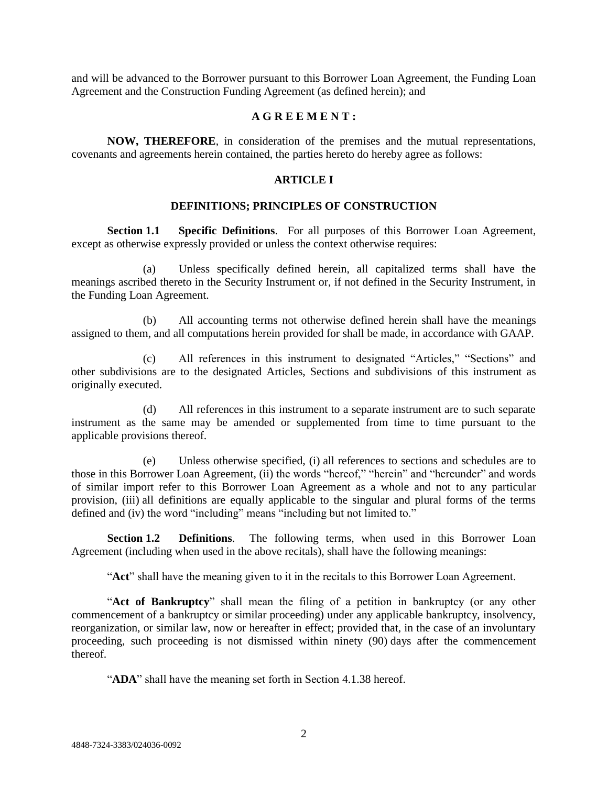and will be advanced to the Borrower pursuant to this Borrower Loan Agreement, the Funding Loan Agreement and the Construction Funding Agreement (as defined herein); and

### **A G R E E M E N T :**

**NOW, THEREFORE**, in consideration of the premises and the mutual representations, covenants and agreements herein contained, the parties hereto do hereby agree as follows:

### **ARTICLE I**

#### **DEFINITIONS; PRINCIPLES OF CONSTRUCTION**

**Section 1.1 Specific Definitions**. For all purposes of this Borrower Loan Agreement, except as otherwise expressly provided or unless the context otherwise requires:

(a) Unless specifically defined herein, all capitalized terms shall have the meanings ascribed thereto in the Security Instrument or, if not defined in the Security Instrument, in the Funding Loan Agreement.

(b) All accounting terms not otherwise defined herein shall have the meanings assigned to them, and all computations herein provided for shall be made, in accordance with GAAP.

(c) All references in this instrument to designated "Articles," "Sections" and other subdivisions are to the designated Articles, Sections and subdivisions of this instrument as originally executed.

(d) All references in this instrument to a separate instrument are to such separate instrument as the same may be amended or supplemented from time to time pursuant to the applicable provisions thereof.

(e) Unless otherwise specified, (i) all references to sections and schedules are to those in this Borrower Loan Agreement, (ii) the words "hereof," "herein" and "hereunder" and words of similar import refer to this Borrower Loan Agreement as a whole and not to any particular provision, (iii) all definitions are equally applicable to the singular and plural forms of the terms defined and (iv) the word "including" means "including but not limited to."

**Section 1.2 Definitions**. The following terms, when used in this Borrower Loan Agreement (including when used in the above recitals), shall have the following meanings:

"**Act**" shall have the meaning given to it in the recitals to this Borrower Loan Agreement.

"**Act of Bankruptcy**" shall mean the filing of a petition in bankruptcy (or any other commencement of a bankruptcy or similar proceeding) under any applicable bankruptcy, insolvency, reorganization, or similar law, now or hereafter in effect; provided that, in the case of an involuntary proceeding, such proceeding is not dismissed within ninety (90) days after the commencement thereof.

"ADA" shall have the meaning set forth in Section 4.1.38 hereof.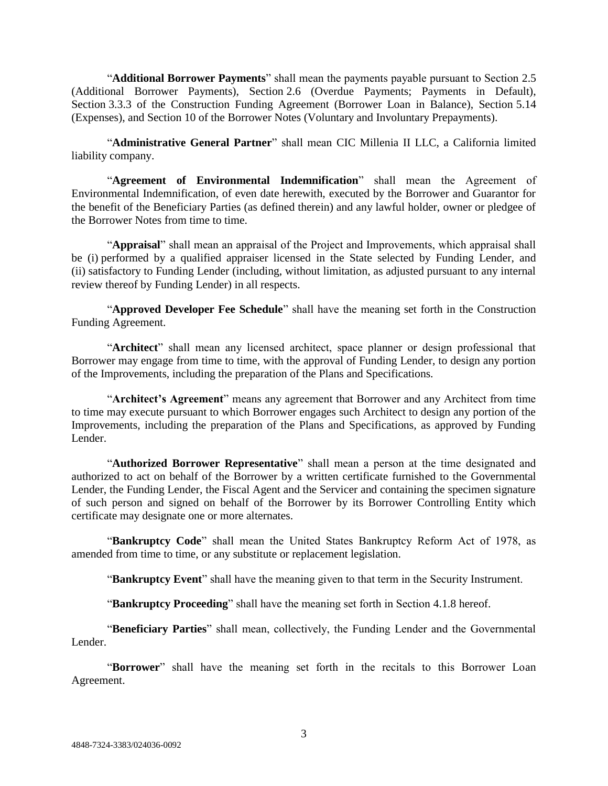"**Additional Borrower Payments**" shall mean the payments payable pursuant to Section 2.5 (Additional Borrower Payments), Section 2.6 (Overdue Payments; Payments in Default), Section 3.3.3 of the Construction Funding Agreement (Borrower Loan in Balance), Section 5.14 (Expenses), and Section 10 of the Borrower Notes (Voluntary and Involuntary Prepayments).

"**Administrative General Partner**" shall mean CIC Millenia II LLC, a California limited liability company.

"**Agreement of Environmental Indemnification**" shall mean the Agreement of Environmental Indemnification, of even date herewith, executed by the Borrower and Guarantor for the benefit of the Beneficiary Parties (as defined therein) and any lawful holder, owner or pledgee of the Borrower Notes from time to time.

"**Appraisal**" shall mean an appraisal of the Project and Improvements, which appraisal shall be (i) performed by a qualified appraiser licensed in the State selected by Funding Lender, and (ii) satisfactory to Funding Lender (including, without limitation, as adjusted pursuant to any internal review thereof by Funding Lender) in all respects.

"**Approved Developer Fee Schedule**" shall have the meaning set forth in the Construction Funding Agreement.

"**Architect**" shall mean any licensed architect, space planner or design professional that Borrower may engage from time to time, with the approval of Funding Lender, to design any portion of the Improvements, including the preparation of the Plans and Specifications.

"**Architect's Agreement**" means any agreement that Borrower and any Architect from time to time may execute pursuant to which Borrower engages such Architect to design any portion of the Improvements, including the preparation of the Plans and Specifications, as approved by Funding Lender.

"**Authorized Borrower Representative**" shall mean a person at the time designated and authorized to act on behalf of the Borrower by a written certificate furnished to the Governmental Lender, the Funding Lender, the Fiscal Agent and the Servicer and containing the specimen signature of such person and signed on behalf of the Borrower by its Borrower Controlling Entity which certificate may designate one or more alternates.

"**Bankruptcy Code**" shall mean the United States Bankruptcy Reform Act of 1978, as amended from time to time, or any substitute or replacement legislation.

"**Bankruptcy Event**" shall have the meaning given to that term in the Security Instrument.

"**Bankruptcy Proceeding**" shall have the meaning set forth in Section 4.1.8 hereof.

"**Beneficiary Parties**" shall mean, collectively, the Funding Lender and the Governmental Lender.

"**Borrower**" shall have the meaning set forth in the recitals to this Borrower Loan Agreement.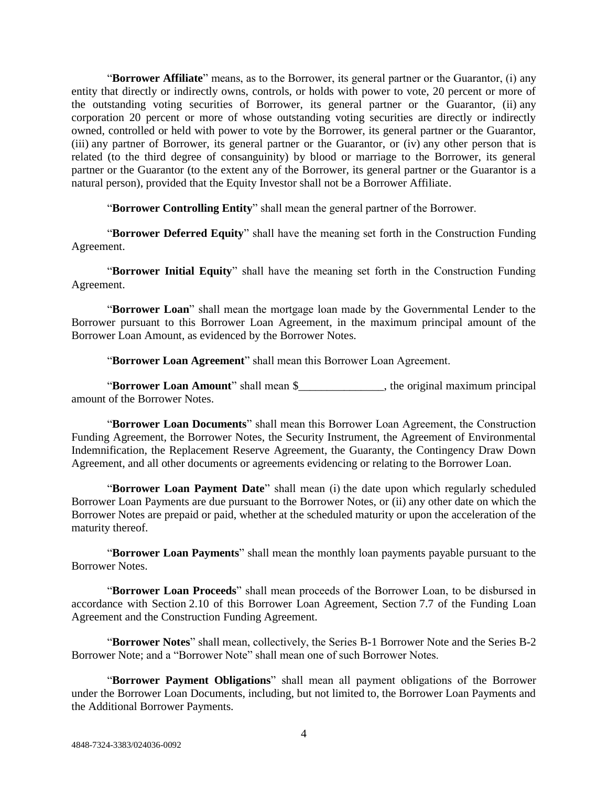"**Borrower Affiliate**" means, as to the Borrower, its general partner or the Guarantor, (i) any entity that directly or indirectly owns, controls, or holds with power to vote, 20 percent or more of the outstanding voting securities of Borrower, its general partner or the Guarantor, (ii) any corporation 20 percent or more of whose outstanding voting securities are directly or indirectly owned, controlled or held with power to vote by the Borrower, its general partner or the Guarantor, (iii) any partner of Borrower, its general partner or the Guarantor, or (iv) any other person that is related (to the third degree of consanguinity) by blood or marriage to the Borrower, its general partner or the Guarantor (to the extent any of the Borrower, its general partner or the Guarantor is a natural person), provided that the Equity Investor shall not be a Borrower Affiliate.

"**Borrower Controlling Entity**" shall mean the general partner of the Borrower.

"**Borrower Deferred Equity**" shall have the meaning set forth in the Construction Funding Agreement.

"**Borrower Initial Equity**" shall have the meaning set forth in the Construction Funding Agreement.

"**Borrower Loan**" shall mean the mortgage loan made by the Governmental Lender to the Borrower pursuant to this Borrower Loan Agreement, in the maximum principal amount of the Borrower Loan Amount, as evidenced by the Borrower Notes.

"**Borrower Loan Agreement**" shall mean this Borrower Loan Agreement.

"**Borrower Loan Amount**" shall mean \$\_\_\_\_\_\_\_\_\_\_\_\_\_\_\_, the original maximum principal amount of the Borrower Notes.

"**Borrower Loan Documents**" shall mean this Borrower Loan Agreement, the Construction Funding Agreement, the Borrower Notes, the Security Instrument, the Agreement of Environmental Indemnification, the Replacement Reserve Agreement, the Guaranty, the Contingency Draw Down Agreement, and all other documents or agreements evidencing or relating to the Borrower Loan.

"**Borrower Loan Payment Date**" shall mean (i) the date upon which regularly scheduled Borrower Loan Payments are due pursuant to the Borrower Notes, or (ii) any other date on which the Borrower Notes are prepaid or paid, whether at the scheduled maturity or upon the acceleration of the maturity thereof.

"**Borrower Loan Payments**" shall mean the monthly loan payments payable pursuant to the Borrower Notes.

"**Borrower Loan Proceeds**" shall mean proceeds of the Borrower Loan, to be disbursed in accordance with Section 2.10 of this Borrower Loan Agreement, Section 7.7 of the Funding Loan Agreement and the Construction Funding Agreement.

"**Borrower Notes**" shall mean, collectively, the Series B-1 Borrower Note and the Series B-2 Borrower Note; and a "Borrower Note" shall mean one of such Borrower Notes.

"**Borrower Payment Obligations**" shall mean all payment obligations of the Borrower under the Borrower Loan Documents, including, but not limited to, the Borrower Loan Payments and the Additional Borrower Payments.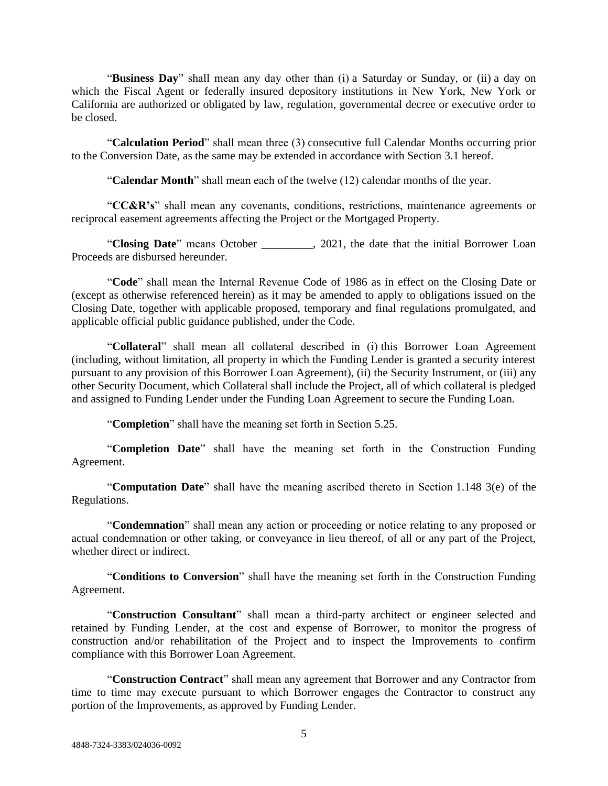"**Business Day**" shall mean any day other than (i) a Saturday or Sunday, or (ii) a day on which the Fiscal Agent or federally insured depository institutions in New York, New York or California are authorized or obligated by law, regulation, governmental decree or executive order to be closed.

"**Calculation Period**" shall mean three (3) consecutive full Calendar Months occurring prior to the Conversion Date, as the same may be extended in accordance with Section 3.1 hereof.

"**Calendar Month**" shall mean each of the twelve (12) calendar months of the year.

"**CC&R's**" shall mean any covenants, conditions, restrictions, maintenance agreements or reciprocal easement agreements affecting the Project or the Mortgaged Property.

"**Closing Date**" means October \_\_\_\_\_\_\_\_\_, 2021, the date that the initial Borrower Loan Proceeds are disbursed hereunder.

"**Code**" shall mean the Internal Revenue Code of 1986 as in effect on the Closing Date or (except as otherwise referenced herein) as it may be amended to apply to obligations issued on the Closing Date, together with applicable proposed, temporary and final regulations promulgated, and applicable official public guidance published, under the Code.

"**Collateral**" shall mean all collateral described in (i) this Borrower Loan Agreement (including, without limitation, all property in which the Funding Lender is granted a security interest pursuant to any provision of this Borrower Loan Agreement), (ii) the Security Instrument, or (iii) any other Security Document, which Collateral shall include the Project, all of which collateral is pledged and assigned to Funding Lender under the Funding Loan Agreement to secure the Funding Loan.

"**Completion**" shall have the meaning set forth in Section 5.25.

"**Completion Date**" shall have the meaning set forth in the Construction Funding Agreement.

"**Computation Date**" shall have the meaning ascribed thereto in Section 1.148 3(e) of the Regulations.

"**Condemnation**" shall mean any action or proceeding or notice relating to any proposed or actual condemnation or other taking, or conveyance in lieu thereof, of all or any part of the Project, whether direct or indirect.

"**Conditions to Conversion**" shall have the meaning set forth in the Construction Funding Agreement.

"**Construction Consultant**" shall mean a third-party architect or engineer selected and retained by Funding Lender, at the cost and expense of Borrower, to monitor the progress of construction and/or rehabilitation of the Project and to inspect the Improvements to confirm compliance with this Borrower Loan Agreement.

"**Construction Contract**" shall mean any agreement that Borrower and any Contractor from time to time may execute pursuant to which Borrower engages the Contractor to construct any portion of the Improvements, as approved by Funding Lender.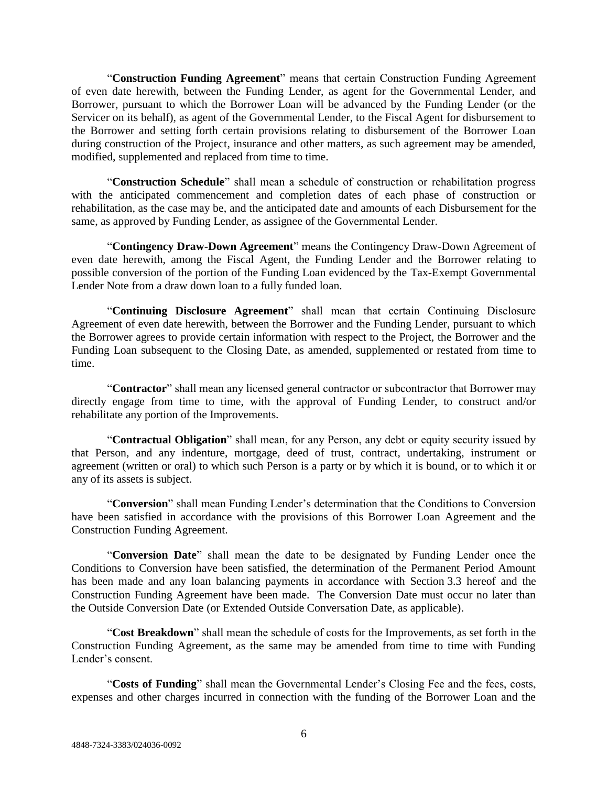"**Construction Funding Agreement**" means that certain Construction Funding Agreement of even date herewith, between the Funding Lender, as agent for the Governmental Lender, and Borrower, pursuant to which the Borrower Loan will be advanced by the Funding Lender (or the Servicer on its behalf), as agent of the Governmental Lender, to the Fiscal Agent for disbursement to the Borrower and setting forth certain provisions relating to disbursement of the Borrower Loan during construction of the Project, insurance and other matters, as such agreement may be amended, modified, supplemented and replaced from time to time.

"**Construction Schedule**" shall mean a schedule of construction or rehabilitation progress with the anticipated commencement and completion dates of each phase of construction or rehabilitation, as the case may be, and the anticipated date and amounts of each Disbursement for the same, as approved by Funding Lender, as assignee of the Governmental Lender.

"**Contingency Draw-Down Agreement**" means the Contingency Draw-Down Agreement of even date herewith, among the Fiscal Agent, the Funding Lender and the Borrower relating to possible conversion of the portion of the Funding Loan evidenced by the Tax-Exempt Governmental Lender Note from a draw down loan to a fully funded loan.

"**Continuing Disclosure Agreement**" shall mean that certain Continuing Disclosure Agreement of even date herewith, between the Borrower and the Funding Lender, pursuant to which the Borrower agrees to provide certain information with respect to the Project, the Borrower and the Funding Loan subsequent to the Closing Date, as amended, supplemented or restated from time to time.

"**Contractor**" shall mean any licensed general contractor or subcontractor that Borrower may directly engage from time to time, with the approval of Funding Lender, to construct and/or rehabilitate any portion of the Improvements.

"**Contractual Obligation**" shall mean, for any Person, any debt or equity security issued by that Person, and any indenture, mortgage, deed of trust, contract, undertaking, instrument or agreement (written or oral) to which such Person is a party or by which it is bound, or to which it or any of its assets is subject.

"**Conversion**" shall mean Funding Lender's determination that the Conditions to Conversion have been satisfied in accordance with the provisions of this Borrower Loan Agreement and the Construction Funding Agreement.

"**Conversion Date**" shall mean the date to be designated by Funding Lender once the Conditions to Conversion have been satisfied, the determination of the Permanent Period Amount has been made and any loan balancing payments in accordance with Section 3.3 hereof and the Construction Funding Agreement have been made. The Conversion Date must occur no later than the Outside Conversion Date (or Extended Outside Conversation Date, as applicable).

"**Cost Breakdown**" shall mean the schedule of costs for the Improvements, as set forth in the Construction Funding Agreement, as the same may be amended from time to time with Funding Lender's consent.

"**Costs of Funding**" shall mean the Governmental Lender's Closing Fee and the fees, costs, expenses and other charges incurred in connection with the funding of the Borrower Loan and the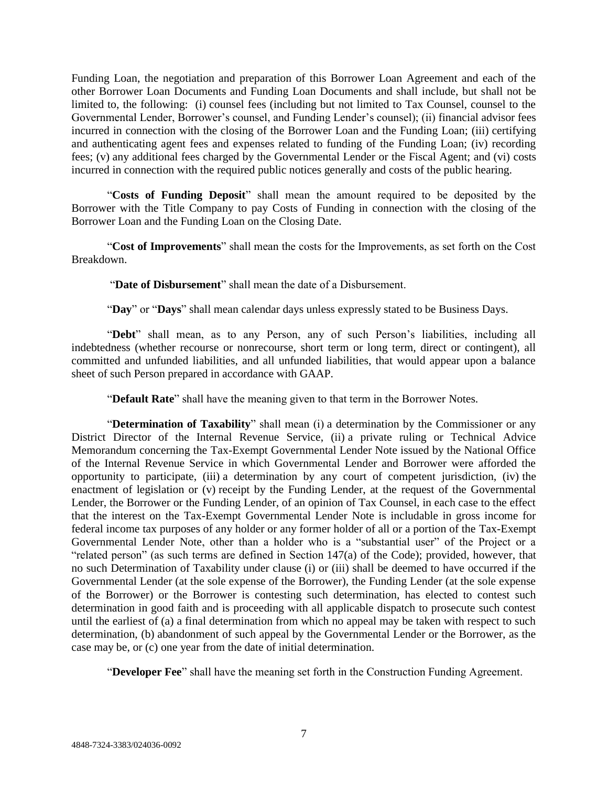Funding Loan, the negotiation and preparation of this Borrower Loan Agreement and each of the other Borrower Loan Documents and Funding Loan Documents and shall include, but shall not be limited to, the following: (i) counsel fees (including but not limited to Tax Counsel, counsel to the Governmental Lender, Borrower's counsel, and Funding Lender's counsel); (ii) financial advisor fees incurred in connection with the closing of the Borrower Loan and the Funding Loan; (iii) certifying and authenticating agent fees and expenses related to funding of the Funding Loan; (iv) recording fees; (v) any additional fees charged by the Governmental Lender or the Fiscal Agent; and (vi) costs incurred in connection with the required public notices generally and costs of the public hearing.

"**Costs of Funding Deposit**" shall mean the amount required to be deposited by the Borrower with the Title Company to pay Costs of Funding in connection with the closing of the Borrower Loan and the Funding Loan on the Closing Date.

"**Cost of Improvements**" shall mean the costs for the Improvements, as set forth on the Cost Breakdown.

"**Date of Disbursement**" shall mean the date of a Disbursement.

"**Day**" or "**Days**" shall mean calendar days unless expressly stated to be Business Days.

"Debt" shall mean, as to any Person, any of such Person's liabilities, including all indebtedness (whether recourse or nonrecourse, short term or long term, direct or contingent), all committed and unfunded liabilities, and all unfunded liabilities, that would appear upon a balance sheet of such Person prepared in accordance with GAAP.

"**Default Rate**" shall have the meaning given to that term in the Borrower Notes.

"**Determination of Taxability**" shall mean (i) a determination by the Commissioner or any District Director of the Internal Revenue Service, (ii) a private ruling or Technical Advice Memorandum concerning the Tax-Exempt Governmental Lender Note issued by the National Office of the Internal Revenue Service in which Governmental Lender and Borrower were afforded the opportunity to participate, (iii) a determination by any court of competent jurisdiction, (iv) the enactment of legislation or (v) receipt by the Funding Lender, at the request of the Governmental Lender, the Borrower or the Funding Lender, of an opinion of Tax Counsel, in each case to the effect that the interest on the Tax-Exempt Governmental Lender Note is includable in gross income for federal income tax purposes of any holder or any former holder of all or a portion of the Tax-Exempt Governmental Lender Note, other than a holder who is a "substantial user" of the Project or a "related person" (as such terms are defined in Section 147(a) of the Code); provided, however, that no such Determination of Taxability under clause (i) or (iii) shall be deemed to have occurred if the Governmental Lender (at the sole expense of the Borrower), the Funding Lender (at the sole expense of the Borrower) or the Borrower is contesting such determination, has elected to contest such determination in good faith and is proceeding with all applicable dispatch to prosecute such contest until the earliest of (a) a final determination from which no appeal may be taken with respect to such determination, (b) abandonment of such appeal by the Governmental Lender or the Borrower, as the case may be, or (c) one year from the date of initial determination.

"**Developer Fee**" shall have the meaning set forth in the Construction Funding Agreement.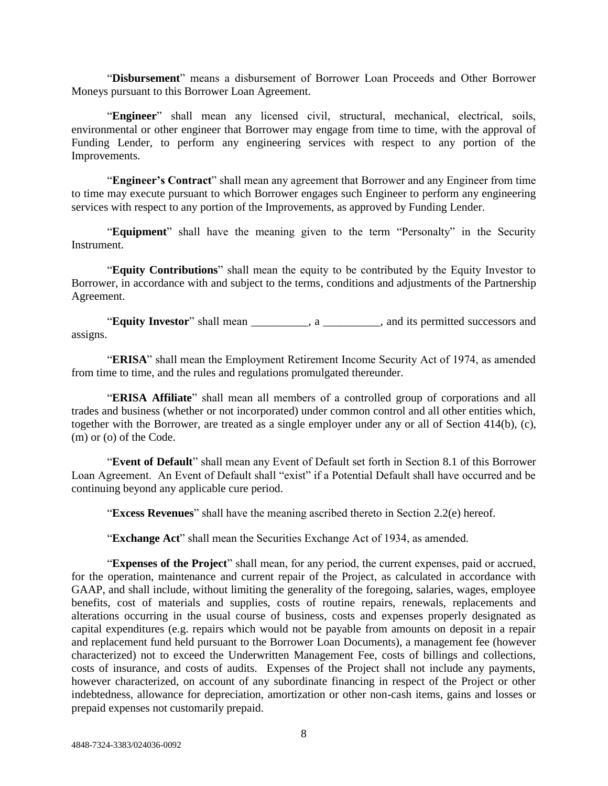"**Disbursement**" means a disbursement of Borrower Loan Proceeds and Other Borrower Moneys pursuant to this Borrower Loan Agreement.

"**Engineer**" shall mean any licensed civil, structural, mechanical, electrical, soils, environmental or other engineer that Borrower may engage from time to time, with the approval of Funding Lender, to perform any engineering services with respect to any portion of the Improvements.

"**Engineer's Contract**" shall mean any agreement that Borrower and any Engineer from time to time may execute pursuant to which Borrower engages such Engineer to perform any engineering services with respect to any portion of the Improvements, as approved by Funding Lender.

"**Equipment**" shall have the meaning given to the term "Personalty" in the Security Instrument.

"**Equity Contributions**" shall mean the equity to be contributed by the Equity Investor to Borrower, in accordance with and subject to the terms, conditions and adjustments of the Partnership Agreement.

"**Equity Investor**" shall mean \_\_\_\_\_\_\_\_\_\_, a \_\_\_\_\_\_\_\_\_\_, and its permitted successors and assigns.

"**ERISA**" shall mean the Employment Retirement Income Security Act of 1974, as amended from time to time, and the rules and regulations promulgated thereunder.

"**ERISA Affiliate**" shall mean all members of a controlled group of corporations and all trades and business (whether or not incorporated) under common control and all other entities which, together with the Borrower, are treated as a single employer under any or all of Section 414(b), (c), (m) or (o) of the Code.

"**Event of Default**" shall mean any Event of Default set forth in Section 8.1 of this Borrower Loan Agreement. An Event of Default shall "exist" if a Potential Default shall have occurred and be continuing beyond any applicable cure period.

"**Excess Revenues**" shall have the meaning ascribed thereto in Section 2.2(e) hereof.

"**Exchange Act**" shall mean the Securities Exchange Act of 1934, as amended.

"**Expenses of the Project**" shall mean, for any period, the current expenses, paid or accrued, for the operation, maintenance and current repair of the Project, as calculated in accordance with GAAP, and shall include, without limiting the generality of the foregoing, salaries, wages, employee benefits, cost of materials and supplies, costs of routine repairs, renewals, replacements and alterations occurring in the usual course of business, costs and expenses properly designated as capital expenditures (e.g. repairs which would not be payable from amounts on deposit in a repair and replacement fund held pursuant to the Borrower Loan Documents), a management fee (however characterized) not to exceed the Underwritten Management Fee, costs of billings and collections, costs of insurance, and costs of audits. Expenses of the Project shall not include any payments, however characterized, on account of any subordinate financing in respect of the Project or other indebtedness, allowance for depreciation, amortization or other non-cash items, gains and losses or prepaid expenses not customarily prepaid.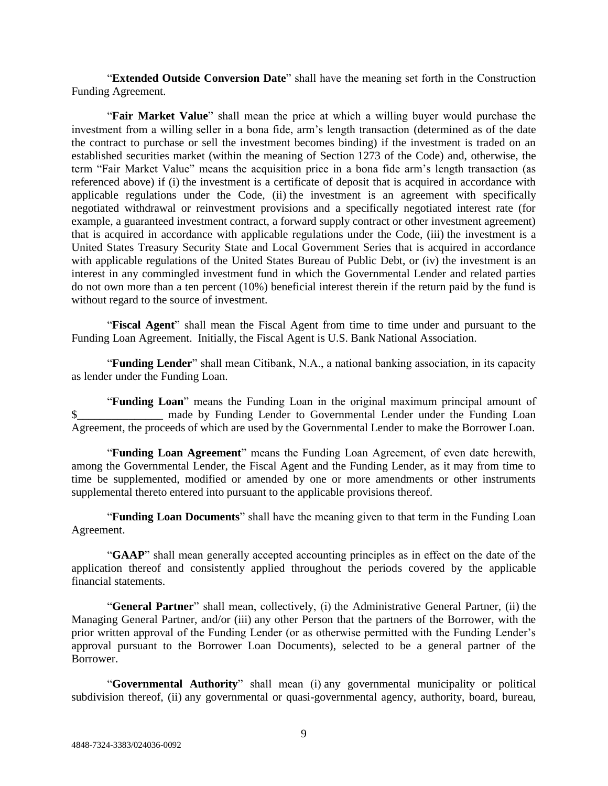"**Extended Outside Conversion Date**" shall have the meaning set forth in the Construction Funding Agreement.

"**Fair Market Value**" shall mean the price at which a willing buyer would purchase the investment from a willing seller in a bona fide, arm's length transaction (determined as of the date the contract to purchase or sell the investment becomes binding) if the investment is traded on an established securities market (within the meaning of Section 1273 of the Code) and, otherwise, the term "Fair Market Value" means the acquisition price in a bona fide arm's length transaction (as referenced above) if (i) the investment is a certificate of deposit that is acquired in accordance with applicable regulations under the Code, (ii) the investment is an agreement with specifically negotiated withdrawal or reinvestment provisions and a specifically negotiated interest rate (for example, a guaranteed investment contract, a forward supply contract or other investment agreement) that is acquired in accordance with applicable regulations under the Code, (iii) the investment is a United States Treasury Security State and Local Government Series that is acquired in accordance with applicable regulations of the United States Bureau of Public Debt, or (iv) the investment is an interest in any commingled investment fund in which the Governmental Lender and related parties do not own more than a ten percent (10%) beneficial interest therein if the return paid by the fund is without regard to the source of investment.

"**Fiscal Agent**" shall mean the Fiscal Agent from time to time under and pursuant to the Funding Loan Agreement. Initially, the Fiscal Agent is U.S. Bank National Association.

"**Funding Lender**" shall mean Citibank, N.A., a national banking association, in its capacity as lender under the Funding Loan.

"**Funding Loan**" means the Funding Loan in the original maximum principal amount of \$\_\_\_\_\_\_\_\_\_\_\_\_\_\_\_\_\_\_ made by Funding Lender to Governmental Lender under the Funding Loan Agreement, the proceeds of which are used by the Governmental Lender to make the Borrower Loan.

"**Funding Loan Agreement**" means the Funding Loan Agreement, of even date herewith, among the Governmental Lender, the Fiscal Agent and the Funding Lender, as it may from time to time be supplemented, modified or amended by one or more amendments or other instruments supplemental thereto entered into pursuant to the applicable provisions thereof.

"**Funding Loan Documents**" shall have the meaning given to that term in the Funding Loan Agreement.

"**GAAP**" shall mean generally accepted accounting principles as in effect on the date of the application thereof and consistently applied throughout the periods covered by the applicable financial statements.

"**General Partner**" shall mean, collectively, (i) the Administrative General Partner, (ii) the Managing General Partner, and/or (iii) any other Person that the partners of the Borrower, with the prior written approval of the Funding Lender (or as otherwise permitted with the Funding Lender's approval pursuant to the Borrower Loan Documents), selected to be a general partner of the Borrower.

"**Governmental Authority**" shall mean (i) any governmental municipality or political subdivision thereof, (ii) any governmental or quasi-governmental agency, authority, board, bureau,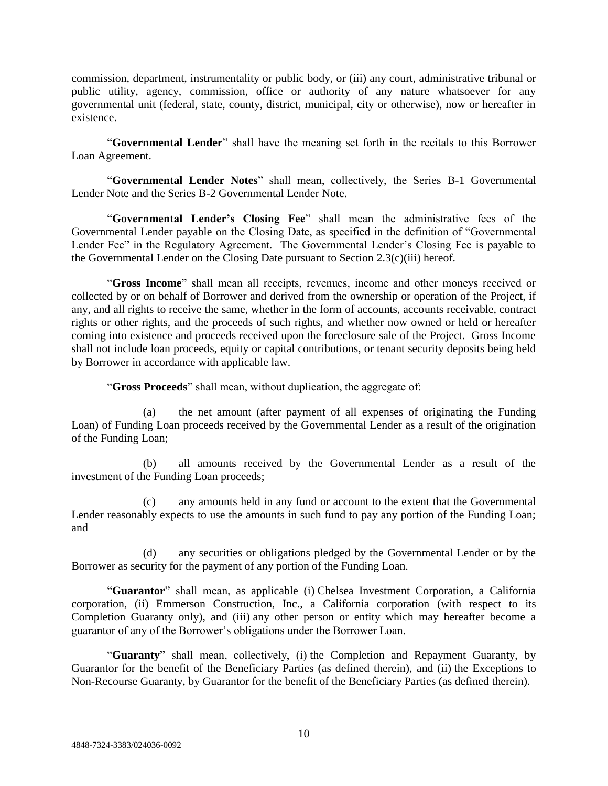commission, department, instrumentality or public body, or (iii) any court, administrative tribunal or public utility, agency, commission, office or authority of any nature whatsoever for any governmental unit (federal, state, county, district, municipal, city or otherwise), now or hereafter in existence.

"**Governmental Lender**" shall have the meaning set forth in the recitals to this Borrower Loan Agreement.

"**Governmental Lender Notes**" shall mean, collectively, the Series B-1 Governmental Lender Note and the Series B-2 Governmental Lender Note.

"**Governmental Lender's Closing Fee**" shall mean the administrative fees of the Governmental Lender payable on the Closing Date, as specified in the definition of "Governmental Lender Fee" in the Regulatory Agreement. The Governmental Lender's Closing Fee is payable to the Governmental Lender on the Closing Date pursuant to Section 2.3(c)(iii) hereof.

"**Gross Income**" shall mean all receipts, revenues, income and other moneys received or collected by or on behalf of Borrower and derived from the ownership or operation of the Project, if any, and all rights to receive the same, whether in the form of accounts, accounts receivable, contract rights or other rights, and the proceeds of such rights, and whether now owned or held or hereafter coming into existence and proceeds received upon the foreclosure sale of the Project. Gross Income shall not include loan proceeds, equity or capital contributions, or tenant security deposits being held by Borrower in accordance with applicable law.

"**Gross Proceeds**" shall mean, without duplication, the aggregate of:

(a) the net amount (after payment of all expenses of originating the Funding Loan) of Funding Loan proceeds received by the Governmental Lender as a result of the origination of the Funding Loan;

(b) all amounts received by the Governmental Lender as a result of the investment of the Funding Loan proceeds;

(c) any amounts held in any fund or account to the extent that the Governmental Lender reasonably expects to use the amounts in such fund to pay any portion of the Funding Loan; and

(d) any securities or obligations pledged by the Governmental Lender or by the Borrower as security for the payment of any portion of the Funding Loan.

"**Guarantor**" shall mean, as applicable (i) Chelsea Investment Corporation, a California corporation, (ii) Emmerson Construction, Inc., a California corporation (with respect to its Completion Guaranty only), and (iii) any other person or entity which may hereafter become a guarantor of any of the Borrower's obligations under the Borrower Loan.

"**Guaranty**" shall mean, collectively, (i) the Completion and Repayment Guaranty, by Guarantor for the benefit of the Beneficiary Parties (as defined therein), and (ii) the Exceptions to Non-Recourse Guaranty, by Guarantor for the benefit of the Beneficiary Parties (as defined therein).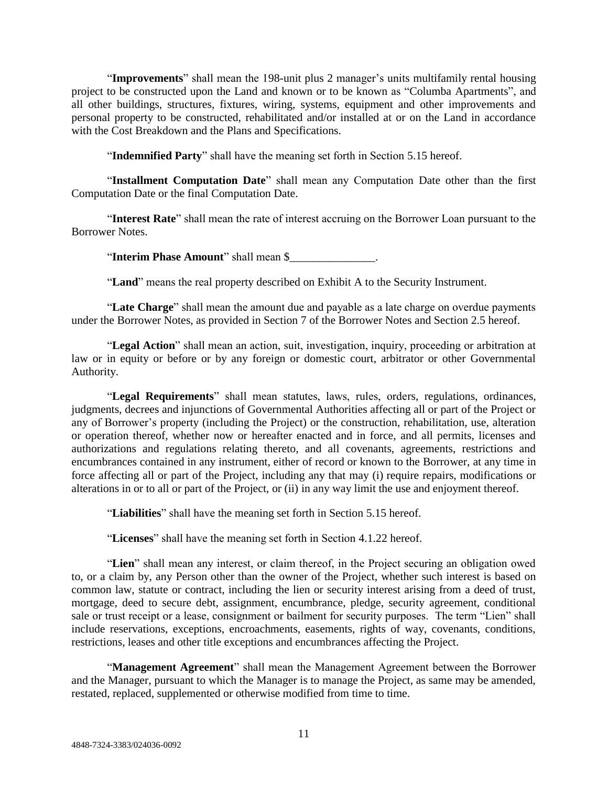"**Improvements**" shall mean the 198-unit plus 2 manager's units multifamily rental housing project to be constructed upon the Land and known or to be known as "Columba Apartments", and all other buildings, structures, fixtures, wiring, systems, equipment and other improvements and personal property to be constructed, rehabilitated and/or installed at or on the Land in accordance with the Cost Breakdown and the Plans and Specifications.

"**Indemnified Party**" shall have the meaning set forth in Section 5.15 hereof.

"**Installment Computation Date**" shall mean any Computation Date other than the first Computation Date or the final Computation Date.

"**Interest Rate**" shall mean the rate of interest accruing on the Borrower Loan pursuant to the Borrower Notes.

"**Interim Phase Amount**" shall mean \$\_\_\_\_\_\_\_\_\_\_\_\_\_\_\_.

"**Land**" means the real property described on Exhibit A to the Security Instrument.

"**Late Charge**" shall mean the amount due and payable as a late charge on overdue payments under the Borrower Notes, as provided in Section 7 of the Borrower Notes and Section 2.5 hereof.

"**Legal Action**" shall mean an action, suit, investigation, inquiry, proceeding or arbitration at law or in equity or before or by any foreign or domestic court, arbitrator or other Governmental Authority.

"**Legal Requirements**" shall mean statutes, laws, rules, orders, regulations, ordinances, judgments, decrees and injunctions of Governmental Authorities affecting all or part of the Project or any of Borrower's property (including the Project) or the construction, rehabilitation, use, alteration or operation thereof, whether now or hereafter enacted and in force, and all permits, licenses and authorizations and regulations relating thereto, and all covenants, agreements, restrictions and encumbrances contained in any instrument, either of record or known to the Borrower, at any time in force affecting all or part of the Project, including any that may (i) require repairs, modifications or alterations in or to all or part of the Project, or (ii) in any way limit the use and enjoyment thereof.

"**Liabilities**" shall have the meaning set forth in Section 5.15 hereof.

"**Licenses**" shall have the meaning set forth in Section 4.1.22 hereof.

"**Lien**" shall mean any interest, or claim thereof, in the Project securing an obligation owed to, or a claim by, any Person other than the owner of the Project, whether such interest is based on common law, statute or contract, including the lien or security interest arising from a deed of trust, mortgage, deed to secure debt, assignment, encumbrance, pledge, security agreement, conditional sale or trust receipt or a lease, consignment or bailment for security purposes. The term "Lien" shall include reservations, exceptions, encroachments, easements, rights of way, covenants, conditions, restrictions, leases and other title exceptions and encumbrances affecting the Project.

"**Management Agreement**" shall mean the Management Agreement between the Borrower and the Manager, pursuant to which the Manager is to manage the Project, as same may be amended, restated, replaced, supplemented or otherwise modified from time to time.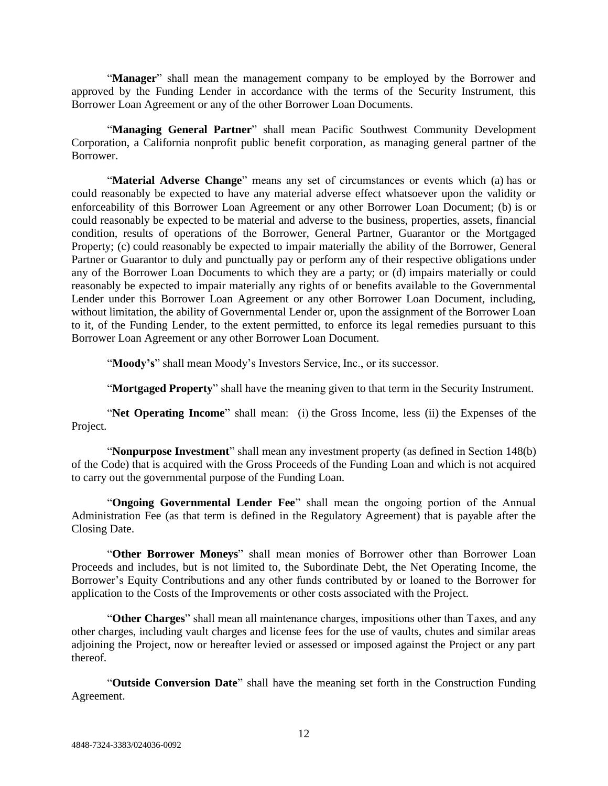"**Manager**" shall mean the management company to be employed by the Borrower and approved by the Funding Lender in accordance with the terms of the Security Instrument, this Borrower Loan Agreement or any of the other Borrower Loan Documents.

"**Managing General Partner**" shall mean Pacific Southwest Community Development Corporation, a California nonprofit public benefit corporation, as managing general partner of the Borrower.

"**Material Adverse Change**" means any set of circumstances or events which (a) has or could reasonably be expected to have any material adverse effect whatsoever upon the validity or enforceability of this Borrower Loan Agreement or any other Borrower Loan Document; (b) is or could reasonably be expected to be material and adverse to the business, properties, assets, financial condition, results of operations of the Borrower, General Partner, Guarantor or the Mortgaged Property; (c) could reasonably be expected to impair materially the ability of the Borrower, General Partner or Guarantor to duly and punctually pay or perform any of their respective obligations under any of the Borrower Loan Documents to which they are a party; or (d) impairs materially or could reasonably be expected to impair materially any rights of or benefits available to the Governmental Lender under this Borrower Loan Agreement or any other Borrower Loan Document, including, without limitation, the ability of Governmental Lender or, upon the assignment of the Borrower Loan to it, of the Funding Lender, to the extent permitted, to enforce its legal remedies pursuant to this Borrower Loan Agreement or any other Borrower Loan Document.

"**Moody's**" shall mean Moody's Investors Service, Inc., or its successor.

"**Mortgaged Property**" shall have the meaning given to that term in the Security Instrument.

"**Net Operating Income**" shall mean: (i) the Gross Income, less (ii) the Expenses of the Project.

"**Nonpurpose Investment**" shall mean any investment property (as defined in Section 148(b) of the Code) that is acquired with the Gross Proceeds of the Funding Loan and which is not acquired to carry out the governmental purpose of the Funding Loan.

"**Ongoing Governmental Lender Fee**" shall mean the ongoing portion of the Annual Administration Fee (as that term is defined in the Regulatory Agreement) that is payable after the Closing Date.

"**Other Borrower Moneys**" shall mean monies of Borrower other than Borrower Loan Proceeds and includes, but is not limited to, the Subordinate Debt, the Net Operating Income, the Borrower's Equity Contributions and any other funds contributed by or loaned to the Borrower for application to the Costs of the Improvements or other costs associated with the Project.

"**Other Charges**" shall mean all maintenance charges, impositions other than Taxes, and any other charges, including vault charges and license fees for the use of vaults, chutes and similar areas adjoining the Project, now or hereafter levied or assessed or imposed against the Project or any part thereof.

"**Outside Conversion Date**" shall have the meaning set forth in the Construction Funding Agreement.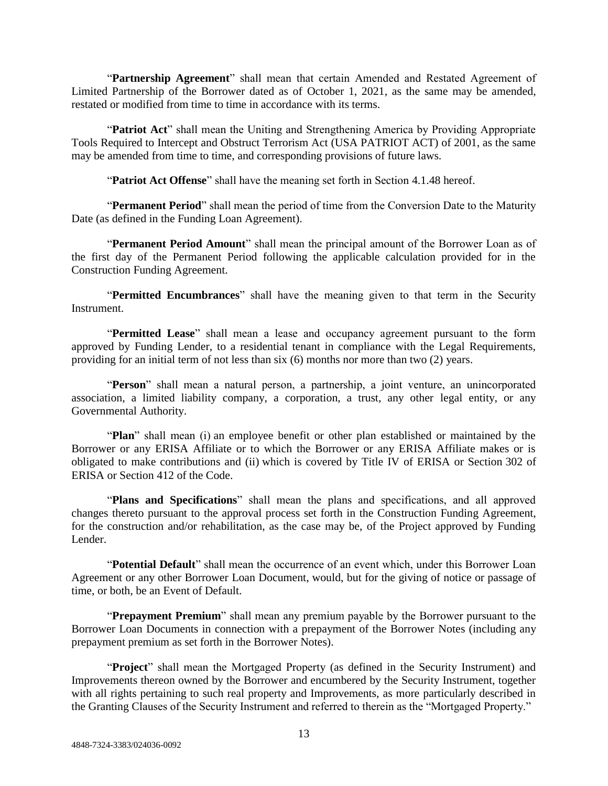"**Partnership Agreement**" shall mean that certain Amended and Restated Agreement of Limited Partnership of the Borrower dated as of October 1, 2021, as the same may be amended, restated or modified from time to time in accordance with its terms.

"**Patriot Act**" shall mean the Uniting and Strengthening America by Providing Appropriate Tools Required to Intercept and Obstruct Terrorism Act (USA PATRIOT ACT) of 2001, as the same may be amended from time to time, and corresponding provisions of future laws.

"**Patriot Act Offense**" shall have the meaning set forth in Section 4.1.48 hereof.

"**Permanent Period**" shall mean the period of time from the Conversion Date to the Maturity Date (as defined in the Funding Loan Agreement).

"**Permanent Period Amount**" shall mean the principal amount of the Borrower Loan as of the first day of the Permanent Period following the applicable calculation provided for in the Construction Funding Agreement.

"**Permitted Encumbrances**" shall have the meaning given to that term in the Security Instrument.

"**Permitted Lease**" shall mean a lease and occupancy agreement pursuant to the form approved by Funding Lender, to a residential tenant in compliance with the Legal Requirements, providing for an initial term of not less than six (6) months nor more than two (2) years.

"**Person**" shall mean a natural person, a partnership, a joint venture, an unincorporated association, a limited liability company, a corporation, a trust, any other legal entity, or any Governmental Authority.

"**Plan**" shall mean (i) an employee benefit or other plan established or maintained by the Borrower or any ERISA Affiliate or to which the Borrower or any ERISA Affiliate makes or is obligated to make contributions and (ii) which is covered by Title IV of ERISA or Section 302 of ERISA or Section 412 of the Code.

"**Plans and Specifications**" shall mean the plans and specifications, and all approved changes thereto pursuant to the approval process set forth in the Construction Funding Agreement, for the construction and/or rehabilitation, as the case may be, of the Project approved by Funding Lender.

"**Potential Default**" shall mean the occurrence of an event which, under this Borrower Loan Agreement or any other Borrower Loan Document, would, but for the giving of notice or passage of time, or both, be an Event of Default.

"**Prepayment Premium**" shall mean any premium payable by the Borrower pursuant to the Borrower Loan Documents in connection with a prepayment of the Borrower Notes (including any prepayment premium as set forth in the Borrower Notes).

"**Project**" shall mean the Mortgaged Property (as defined in the Security Instrument) and Improvements thereon owned by the Borrower and encumbered by the Security Instrument, together with all rights pertaining to such real property and Improvements, as more particularly described in the Granting Clauses of the Security Instrument and referred to therein as the "Mortgaged Property."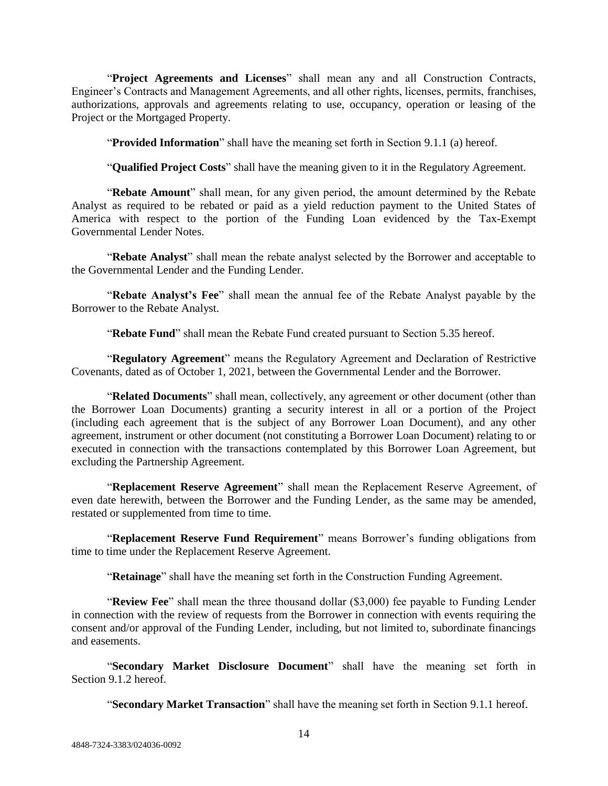"**Project Agreements and Licenses**" shall mean any and all Construction Contracts, Engineer's Contracts and Management Agreements, and all other rights, licenses, permits, franchises, authorizations, approvals and agreements relating to use, occupancy, operation or leasing of the Project or the Mortgaged Property.

"**Provided Information**" shall have the meaning set forth in Section 9.1.1 (a) hereof.

"**Qualified Project Costs**" shall have the meaning given to it in the Regulatory Agreement.

"**Rebate Amount**" shall mean, for any given period, the amount determined by the Rebate Analyst as required to be rebated or paid as a yield reduction payment to the United States of America with respect to the portion of the Funding Loan evidenced by the Tax-Exempt Governmental Lender Notes.

"**Rebate Analyst**" shall mean the rebate analyst selected by the Borrower and acceptable to the Governmental Lender and the Funding Lender.

"**Rebate Analyst's Fee**" shall mean the annual fee of the Rebate Analyst payable by the Borrower to the Rebate Analyst.

"**Rebate Fund**" shall mean the Rebate Fund created pursuant to Section 5.35 hereof.

"**Regulatory Agreement**" means the Regulatory Agreement and Declaration of Restrictive Covenants, dated as of October 1, 2021, between the Governmental Lender and the Borrower.

"**Related Documents**" shall mean, collectively, any agreement or other document (other than the Borrower Loan Documents) granting a security interest in all or a portion of the Project (including each agreement that is the subject of any Borrower Loan Document), and any other agreement, instrument or other document (not constituting a Borrower Loan Document) relating to or executed in connection with the transactions contemplated by this Borrower Loan Agreement, but excluding the Partnership Agreement.

"**Replacement Reserve Agreement**" shall mean the Replacement Reserve Agreement, of even date herewith, between the Borrower and the Funding Lender, as the same may be amended, restated or supplemented from time to time.

"**Replacement Reserve Fund Requirement**" means Borrower's funding obligations from time to time under the Replacement Reserve Agreement.

"**Retainage**" shall have the meaning set forth in the Construction Funding Agreement.

"**Review Fee**" shall mean the three thousand dollar (\$3,000) fee payable to Funding Lender in connection with the review of requests from the Borrower in connection with events requiring the consent and/or approval of the Funding Lender, including, but not limited to, subordinate financings and easements.

"**Secondary Market Disclosure Document**" shall have the meaning set forth in Section 9.1.2 hereof.

"**Secondary Market Transaction**" shall have the meaning set forth in Section 9.1.1 hereof.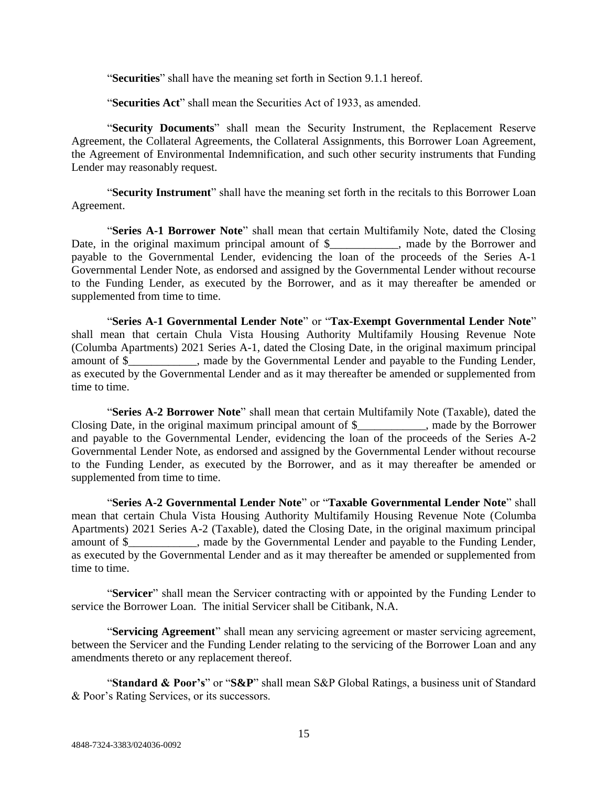"**Securities**" shall have the meaning set forth in Section 9.1.1 hereof.

"**Securities Act**" shall mean the Securities Act of 1933, as amended.

"**Security Documents**" shall mean the Security Instrument, the Replacement Reserve Agreement, the Collateral Agreements, the Collateral Assignments, this Borrower Loan Agreement, the Agreement of Environmental Indemnification, and such other security instruments that Funding Lender may reasonably request.

"**Security Instrument**" shall have the meaning set forth in the recitals to this Borrower Loan Agreement.

"**Series A-1 Borrower Note**" shall mean that certain Multifamily Note, dated the Closing Date, in the original maximum principal amount of \$\_\_\_\_\_\_\_\_\_\_, made by the Borrower and payable to the Governmental Lender, evidencing the loan of the proceeds of the Series A-1 Governmental Lender Note, as endorsed and assigned by the Governmental Lender without recourse to the Funding Lender, as executed by the Borrower, and as it may thereafter be amended or supplemented from time to time.

"**Series A-1 Governmental Lender Note**" or "**Tax-Exempt Governmental Lender Note**" shall mean that certain Chula Vista Housing Authority Multifamily Housing Revenue Note (Columba Apartments) 2021 Series A-1, dated the Closing Date, in the original maximum principal amount of \$\_\_\_\_\_\_\_\_\_\_\_\_, made by the Governmental Lender and payable to the Funding Lender, as executed by the Governmental Lender and as it may thereafter be amended or supplemented from time to time.

"**Series A-2 Borrower Note**" shall mean that certain Multifamily Note (Taxable), dated the Closing Date, in the original maximum principal amount of \$\_\_\_\_\_\_\_\_\_\_\_\_, made by the Borrower and payable to the Governmental Lender, evidencing the loan of the proceeds of the Series A-2 Governmental Lender Note, as endorsed and assigned by the Governmental Lender without recourse to the Funding Lender, as executed by the Borrower, and as it may thereafter be amended or supplemented from time to time.

"**Series A-2 Governmental Lender Note**" or "**Taxable Governmental Lender Note**" shall mean that certain Chula Vista Housing Authority Multifamily Housing Revenue Note (Columba Apartments) 2021 Series A-2 (Taxable), dated the Closing Date, in the original maximum principal amount of \$ has a made by the Governmental Lender and payable to the Funding Lender, as executed by the Governmental Lender and as it may thereafter be amended or supplemented from time to time.

"**Servicer**" shall mean the Servicer contracting with or appointed by the Funding Lender to service the Borrower Loan. The initial Servicer shall be Citibank, N.A.

"**Servicing Agreement**" shall mean any servicing agreement or master servicing agreement, between the Servicer and the Funding Lender relating to the servicing of the Borrower Loan and any amendments thereto or any replacement thereof.

"**Standard & Poor's**" or "**S&P**" shall mean S&P Global Ratings, a business unit of Standard & Poor's Rating Services, or its successors.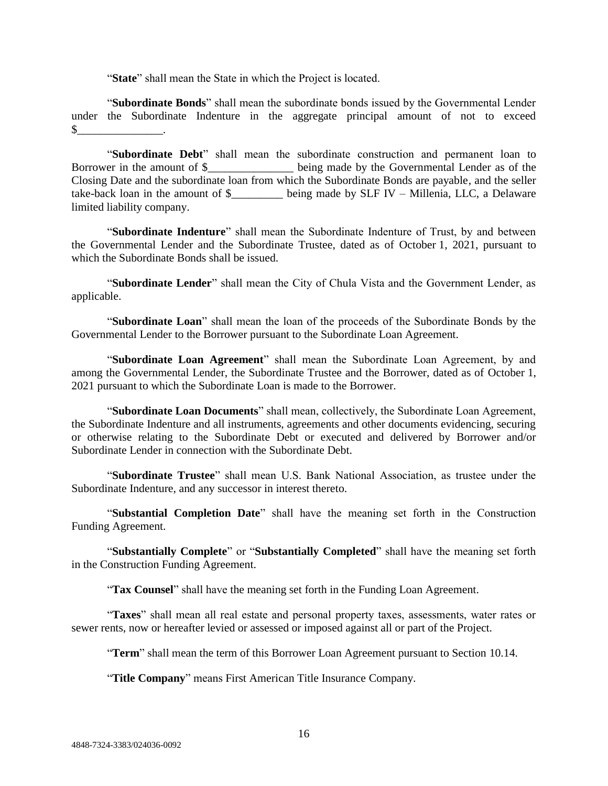"**State**" shall mean the State in which the Project is located.

"**Subordinate Bonds**" shall mean the subordinate bonds issued by the Governmental Lender under the Subordinate Indenture in the aggregate principal amount of not to exceed  $\sim$ 

"**Subordinate Debt**" shall mean the subordinate construction and permanent loan to Borrower in the amount of \$\_\_\_\_\_\_\_\_\_\_\_\_\_\_\_ being made by the Governmental Lender as of the Closing Date and the subordinate loan from which the Subordinate Bonds are payable, and the seller take-back loan in the amount of  $\frac{1}{2}$  being made by SLF IV – Millenia, LLC, a Delaware limited liability company.

"**Subordinate Indenture**" shall mean the Subordinate Indenture of Trust, by and between the Governmental Lender and the Subordinate Trustee, dated as of October 1, 2021, pursuant to which the Subordinate Bonds shall be issued.

"**Subordinate Lender**" shall mean the City of Chula Vista and the Government Lender, as applicable.

"**Subordinate Loan**" shall mean the loan of the proceeds of the Subordinate Bonds by the Governmental Lender to the Borrower pursuant to the Subordinate Loan Agreement.

"**Subordinate Loan Agreement**" shall mean the Subordinate Loan Agreement, by and among the Governmental Lender, the Subordinate Trustee and the Borrower, dated as of October 1, 2021 pursuant to which the Subordinate Loan is made to the Borrower.

"**Subordinate Loan Documents**" shall mean, collectively, the Subordinate Loan Agreement, the Subordinate Indenture and all instruments, agreements and other documents evidencing, securing or otherwise relating to the Subordinate Debt or executed and delivered by Borrower and/or Subordinate Lender in connection with the Subordinate Debt.

"**Subordinate Trustee**" shall mean U.S. Bank National Association, as trustee under the Subordinate Indenture, and any successor in interest thereto.

"**Substantial Completion Date**" shall have the meaning set forth in the Construction Funding Agreement.

"**Substantially Complete**" or "**Substantially Completed**" shall have the meaning set forth in the Construction Funding Agreement.

"**Tax Counsel**" shall have the meaning set forth in the Funding Loan Agreement.

"**Taxes**" shall mean all real estate and personal property taxes, assessments, water rates or sewer rents, now or hereafter levied or assessed or imposed against all or part of the Project.

"**Term**" shall mean the term of this Borrower Loan Agreement pursuant to Section 10.14.

"**Title Company**" means First American Title Insurance Company.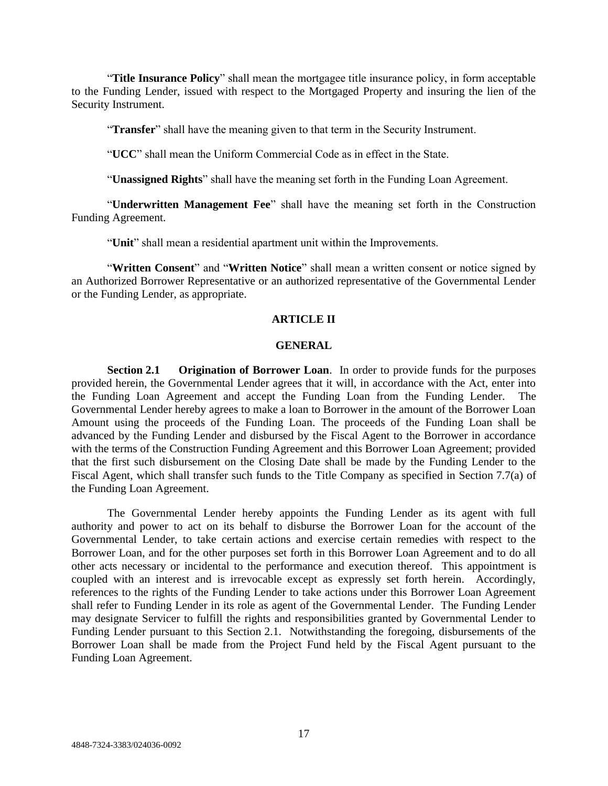"**Title Insurance Policy**" shall mean the mortgagee title insurance policy, in form acceptable to the Funding Lender, issued with respect to the Mortgaged Property and insuring the lien of the Security Instrument.

"**Transfer**" shall have the meaning given to that term in the Security Instrument.

"**UCC**" shall mean the Uniform Commercial Code as in effect in the State.

"**Unassigned Rights**" shall have the meaning set forth in the Funding Loan Agreement.

"**Underwritten Management Fee**" shall have the meaning set forth in the Construction Funding Agreement.

"**Unit**" shall mean a residential apartment unit within the Improvements.

"**Written Consent**" and "**Written Notice**" shall mean a written consent or notice signed by an Authorized Borrower Representative or an authorized representative of the Governmental Lender or the Funding Lender, as appropriate.

## **ARTICLE II**

#### **GENERAL**

**Section 2.1 Origination of Borrower Loan**. In order to provide funds for the purposes provided herein, the Governmental Lender agrees that it will, in accordance with the Act, enter into the Funding Loan Agreement and accept the Funding Loan from the Funding Lender. The Governmental Lender hereby agrees to make a loan to Borrower in the amount of the Borrower Loan Amount using the proceeds of the Funding Loan. The proceeds of the Funding Loan shall be advanced by the Funding Lender and disbursed by the Fiscal Agent to the Borrower in accordance with the terms of the Construction Funding Agreement and this Borrower Loan Agreement; provided that the first such disbursement on the Closing Date shall be made by the Funding Lender to the Fiscal Agent, which shall transfer such funds to the Title Company as specified in Section 7.7(a) of the Funding Loan Agreement.

The Governmental Lender hereby appoints the Funding Lender as its agent with full authority and power to act on its behalf to disburse the Borrower Loan for the account of the Governmental Lender, to take certain actions and exercise certain remedies with respect to the Borrower Loan, and for the other purposes set forth in this Borrower Loan Agreement and to do all other acts necessary or incidental to the performance and execution thereof. This appointment is coupled with an interest and is irrevocable except as expressly set forth herein. Accordingly, references to the rights of the Funding Lender to take actions under this Borrower Loan Agreement shall refer to Funding Lender in its role as agent of the Governmental Lender. The Funding Lender may designate Servicer to fulfill the rights and responsibilities granted by Governmental Lender to Funding Lender pursuant to this Section 2.1. Notwithstanding the foregoing, disbursements of the Borrower Loan shall be made from the Project Fund held by the Fiscal Agent pursuant to the Funding Loan Agreement.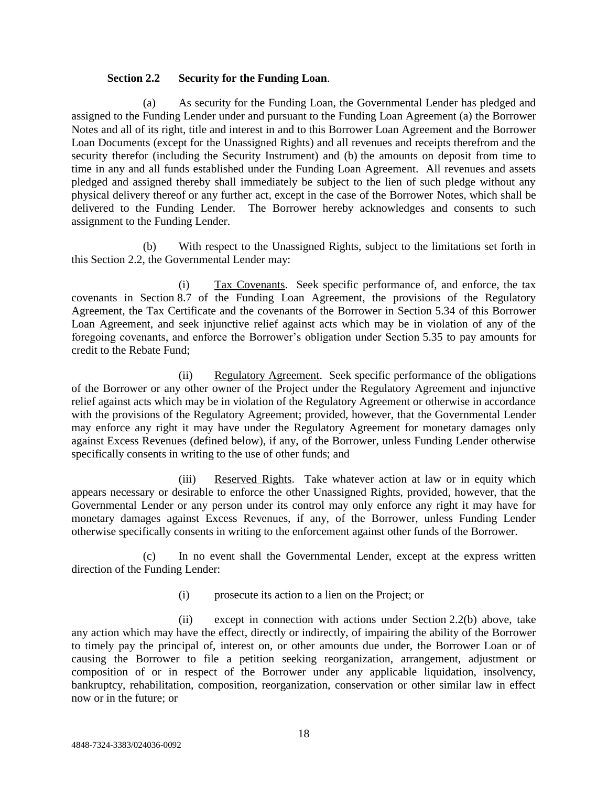### **Section 2.2 Security for the Funding Loan**.

(a) As security for the Funding Loan, the Governmental Lender has pledged and assigned to the Funding Lender under and pursuant to the Funding Loan Agreement (a) the Borrower Notes and all of its right, title and interest in and to this Borrower Loan Agreement and the Borrower Loan Documents (except for the Unassigned Rights) and all revenues and receipts therefrom and the security therefor (including the Security Instrument) and (b) the amounts on deposit from time to time in any and all funds established under the Funding Loan Agreement. All revenues and assets pledged and assigned thereby shall immediately be subject to the lien of such pledge without any physical delivery thereof or any further act, except in the case of the Borrower Notes, which shall be delivered to the Funding Lender. The Borrower hereby acknowledges and consents to such assignment to the Funding Lender.

(b) With respect to the Unassigned Rights, subject to the limitations set forth in this Section 2.2, the Governmental Lender may:

(i) Tax Covenants. Seek specific performance of, and enforce, the tax covenants in Section 8.7 of the Funding Loan Agreement, the provisions of the Regulatory Agreement, the Tax Certificate and the covenants of the Borrower in Section 5.34 of this Borrower Loan Agreement, and seek injunctive relief against acts which may be in violation of any of the foregoing covenants, and enforce the Borrower's obligation under Section 5.35 to pay amounts for credit to the Rebate Fund;

(ii) Regulatory Agreement. Seek specific performance of the obligations of the Borrower or any other owner of the Project under the Regulatory Agreement and injunctive relief against acts which may be in violation of the Regulatory Agreement or otherwise in accordance with the provisions of the Regulatory Agreement; provided, however, that the Governmental Lender may enforce any right it may have under the Regulatory Agreement for monetary damages only against Excess Revenues (defined below), if any, of the Borrower, unless Funding Lender otherwise specifically consents in writing to the use of other funds; and

(iii) Reserved Rights. Take whatever action at law or in equity which appears necessary or desirable to enforce the other Unassigned Rights, provided, however, that the Governmental Lender or any person under its control may only enforce any right it may have for monetary damages against Excess Revenues, if any, of the Borrower, unless Funding Lender otherwise specifically consents in writing to the enforcement against other funds of the Borrower.

(c) In no event shall the Governmental Lender, except at the express written direction of the Funding Lender:

(i) prosecute its action to a lien on the Project; or

(ii) except in connection with actions under Section 2.2(b) above, take any action which may have the effect, directly or indirectly, of impairing the ability of the Borrower to timely pay the principal of, interest on, or other amounts due under, the Borrower Loan or of causing the Borrower to file a petition seeking reorganization, arrangement, adjustment or composition of or in respect of the Borrower under any applicable liquidation, insolvency, bankruptcy, rehabilitation, composition, reorganization, conservation or other similar law in effect now or in the future; or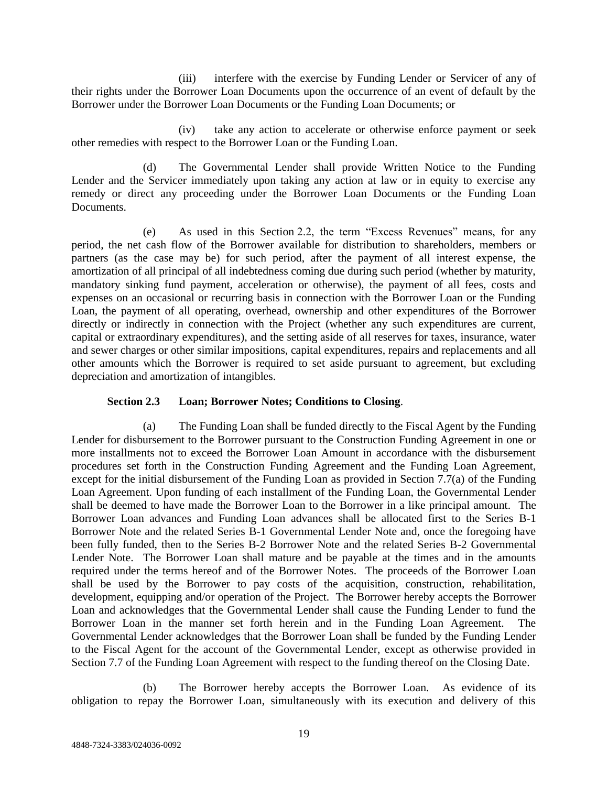(iii) interfere with the exercise by Funding Lender or Servicer of any of their rights under the Borrower Loan Documents upon the occurrence of an event of default by the Borrower under the Borrower Loan Documents or the Funding Loan Documents; or

(iv) take any action to accelerate or otherwise enforce payment or seek other remedies with respect to the Borrower Loan or the Funding Loan.

(d) The Governmental Lender shall provide Written Notice to the Funding Lender and the Servicer immediately upon taking any action at law or in equity to exercise any remedy or direct any proceeding under the Borrower Loan Documents or the Funding Loan Documents.

(e) As used in this Section 2.2, the term "Excess Revenues" means, for any period, the net cash flow of the Borrower available for distribution to shareholders, members or partners (as the case may be) for such period, after the payment of all interest expense, the amortization of all principal of all indebtedness coming due during such period (whether by maturity, mandatory sinking fund payment, acceleration or otherwise), the payment of all fees, costs and expenses on an occasional or recurring basis in connection with the Borrower Loan or the Funding Loan, the payment of all operating, overhead, ownership and other expenditures of the Borrower directly or indirectly in connection with the Project (whether any such expenditures are current, capital or extraordinary expenditures), and the setting aside of all reserves for taxes, insurance, water and sewer charges or other similar impositions, capital expenditures, repairs and replacements and all other amounts which the Borrower is required to set aside pursuant to agreement, but excluding depreciation and amortization of intangibles.

# **Section 2.3 Loan; Borrower Notes; Conditions to Closing**.

(a) The Funding Loan shall be funded directly to the Fiscal Agent by the Funding Lender for disbursement to the Borrower pursuant to the Construction Funding Agreement in one or more installments not to exceed the Borrower Loan Amount in accordance with the disbursement procedures set forth in the Construction Funding Agreement and the Funding Loan Agreement, except for the initial disbursement of the Funding Loan as provided in Section 7.7(a) of the Funding Loan Agreement. Upon funding of each installment of the Funding Loan, the Governmental Lender shall be deemed to have made the Borrower Loan to the Borrower in a like principal amount. The Borrower Loan advances and Funding Loan advances shall be allocated first to the Series B-1 Borrower Note and the related Series B-1 Governmental Lender Note and, once the foregoing have been fully funded, then to the Series B-2 Borrower Note and the related Series B-2 Governmental Lender Note. The Borrower Loan shall mature and be payable at the times and in the amounts required under the terms hereof and of the Borrower Notes. The proceeds of the Borrower Loan shall be used by the Borrower to pay costs of the acquisition, construction, rehabilitation, development, equipping and/or operation of the Project. The Borrower hereby accepts the Borrower Loan and acknowledges that the Governmental Lender shall cause the Funding Lender to fund the Borrower Loan in the manner set forth herein and in the Funding Loan Agreement. The Governmental Lender acknowledges that the Borrower Loan shall be funded by the Funding Lender to the Fiscal Agent for the account of the Governmental Lender, except as otherwise provided in Section 7.7 of the Funding Loan Agreement with respect to the funding thereof on the Closing Date.

(b) The Borrower hereby accepts the Borrower Loan. As evidence of its obligation to repay the Borrower Loan, simultaneously with its execution and delivery of this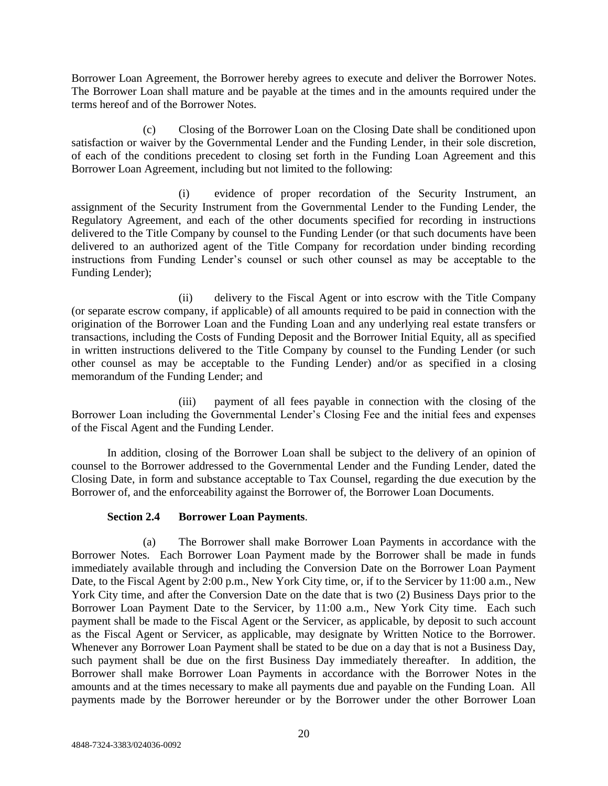Borrower Loan Agreement, the Borrower hereby agrees to execute and deliver the Borrower Notes. The Borrower Loan shall mature and be payable at the times and in the amounts required under the terms hereof and of the Borrower Notes.

(c) Closing of the Borrower Loan on the Closing Date shall be conditioned upon satisfaction or waiver by the Governmental Lender and the Funding Lender, in their sole discretion, of each of the conditions precedent to closing set forth in the Funding Loan Agreement and this Borrower Loan Agreement, including but not limited to the following:

(i) evidence of proper recordation of the Security Instrument, an assignment of the Security Instrument from the Governmental Lender to the Funding Lender, the Regulatory Agreement, and each of the other documents specified for recording in instructions delivered to the Title Company by counsel to the Funding Lender (or that such documents have been delivered to an authorized agent of the Title Company for recordation under binding recording instructions from Funding Lender's counsel or such other counsel as may be acceptable to the Funding Lender);

(ii) delivery to the Fiscal Agent or into escrow with the Title Company (or separate escrow company, if applicable) of all amounts required to be paid in connection with the origination of the Borrower Loan and the Funding Loan and any underlying real estate transfers or transactions, including the Costs of Funding Deposit and the Borrower Initial Equity, all as specified in written instructions delivered to the Title Company by counsel to the Funding Lender (or such other counsel as may be acceptable to the Funding Lender) and/or as specified in a closing memorandum of the Funding Lender; and

(iii) payment of all fees payable in connection with the closing of the Borrower Loan including the Governmental Lender's Closing Fee and the initial fees and expenses of the Fiscal Agent and the Funding Lender.

In addition, closing of the Borrower Loan shall be subject to the delivery of an opinion of counsel to the Borrower addressed to the Governmental Lender and the Funding Lender, dated the Closing Date, in form and substance acceptable to Tax Counsel, regarding the due execution by the Borrower of, and the enforceability against the Borrower of, the Borrower Loan Documents.

### **Section 2.4 Borrower Loan Payments**.

(a) The Borrower shall make Borrower Loan Payments in accordance with the Borrower Notes. Each Borrower Loan Payment made by the Borrower shall be made in funds immediately available through and including the Conversion Date on the Borrower Loan Payment Date, to the Fiscal Agent by 2:00 p.m., New York City time, or, if to the Servicer by 11:00 a.m., New York City time, and after the Conversion Date on the date that is two (2) Business Days prior to the Borrower Loan Payment Date to the Servicer, by 11:00 a.m., New York City time. Each such payment shall be made to the Fiscal Agent or the Servicer, as applicable, by deposit to such account as the Fiscal Agent or Servicer, as applicable, may designate by Written Notice to the Borrower. Whenever any Borrower Loan Payment shall be stated to be due on a day that is not a Business Day, such payment shall be due on the first Business Day immediately thereafter. In addition, the Borrower shall make Borrower Loan Payments in accordance with the Borrower Notes in the amounts and at the times necessary to make all payments due and payable on the Funding Loan. All payments made by the Borrower hereunder or by the Borrower under the other Borrower Loan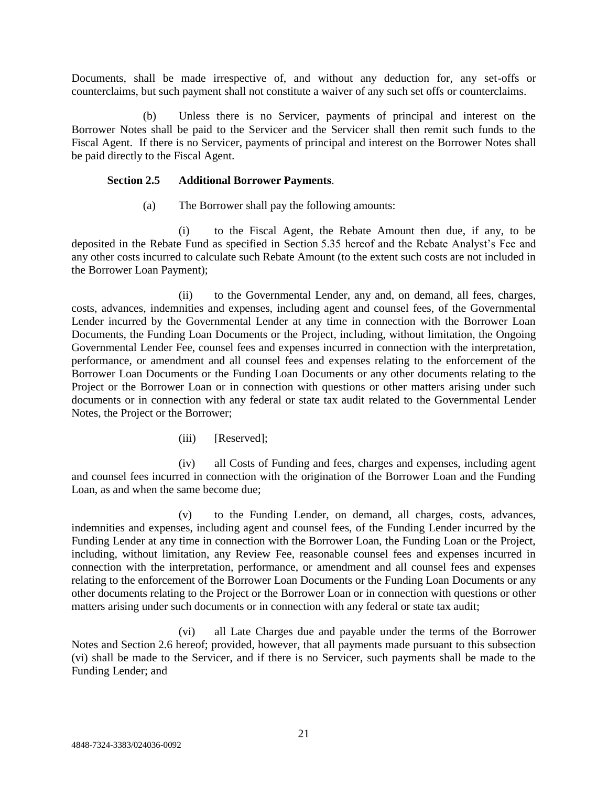Documents, shall be made irrespective of, and without any deduction for, any set-offs or counterclaims, but such payment shall not constitute a waiver of any such set offs or counterclaims.

(b) Unless there is no Servicer, payments of principal and interest on the Borrower Notes shall be paid to the Servicer and the Servicer shall then remit such funds to the Fiscal Agent. If there is no Servicer, payments of principal and interest on the Borrower Notes shall be paid directly to the Fiscal Agent.

### **Section 2.5 Additional Borrower Payments**.

(a) The Borrower shall pay the following amounts:

(i) to the Fiscal Agent, the Rebate Amount then due, if any, to be deposited in the Rebate Fund as specified in Section 5.35 hereof and the Rebate Analyst's Fee and any other costs incurred to calculate such Rebate Amount (to the extent such costs are not included in the Borrower Loan Payment);

(ii) to the Governmental Lender, any and, on demand, all fees, charges, costs, advances, indemnities and expenses, including agent and counsel fees, of the Governmental Lender incurred by the Governmental Lender at any time in connection with the Borrower Loan Documents, the Funding Loan Documents or the Project, including, without limitation, the Ongoing Governmental Lender Fee, counsel fees and expenses incurred in connection with the interpretation, performance, or amendment and all counsel fees and expenses relating to the enforcement of the Borrower Loan Documents or the Funding Loan Documents or any other documents relating to the Project or the Borrower Loan or in connection with questions or other matters arising under such documents or in connection with any federal or state tax audit related to the Governmental Lender Notes, the Project or the Borrower;

(iii) [Reserved];

(iv) all Costs of Funding and fees, charges and expenses, including agent and counsel fees incurred in connection with the origination of the Borrower Loan and the Funding Loan, as and when the same become due;

(v) to the Funding Lender, on demand, all charges, costs, advances, indemnities and expenses, including agent and counsel fees, of the Funding Lender incurred by the Funding Lender at any time in connection with the Borrower Loan, the Funding Loan or the Project, including, without limitation, any Review Fee, reasonable counsel fees and expenses incurred in connection with the interpretation, performance, or amendment and all counsel fees and expenses relating to the enforcement of the Borrower Loan Documents or the Funding Loan Documents or any other documents relating to the Project or the Borrower Loan or in connection with questions or other matters arising under such documents or in connection with any federal or state tax audit;

(vi) all Late Charges due and payable under the terms of the Borrower Notes and Section 2.6 hereof; provided, however, that all payments made pursuant to this subsection (vi) shall be made to the Servicer, and if there is no Servicer, such payments shall be made to the Funding Lender; and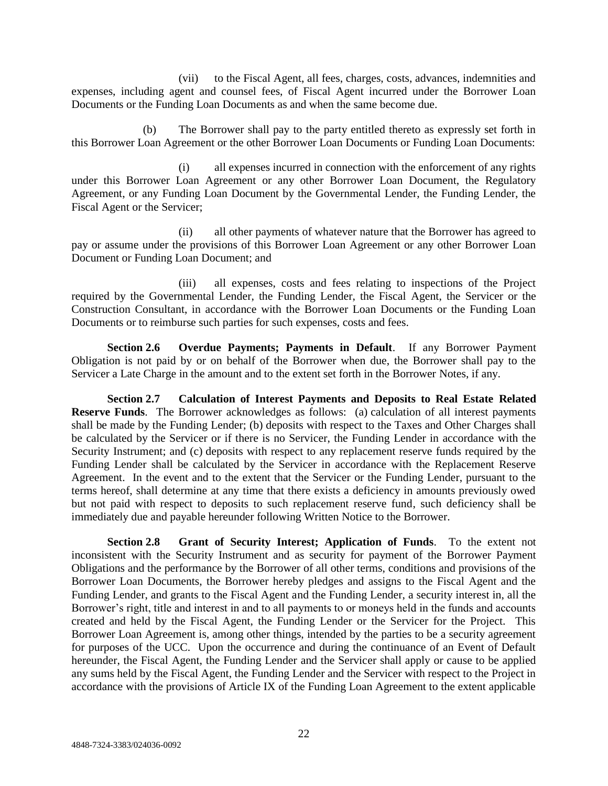(vii) to the Fiscal Agent, all fees, charges, costs, advances, indemnities and expenses, including agent and counsel fees, of Fiscal Agent incurred under the Borrower Loan Documents or the Funding Loan Documents as and when the same become due.

(b) The Borrower shall pay to the party entitled thereto as expressly set forth in this Borrower Loan Agreement or the other Borrower Loan Documents or Funding Loan Documents:

(i) all expenses incurred in connection with the enforcement of any rights under this Borrower Loan Agreement or any other Borrower Loan Document, the Regulatory Agreement, or any Funding Loan Document by the Governmental Lender, the Funding Lender, the Fiscal Agent or the Servicer;

(ii) all other payments of whatever nature that the Borrower has agreed to pay or assume under the provisions of this Borrower Loan Agreement or any other Borrower Loan Document or Funding Loan Document; and

(iii) all expenses, costs and fees relating to inspections of the Project required by the Governmental Lender, the Funding Lender, the Fiscal Agent, the Servicer or the Construction Consultant, in accordance with the Borrower Loan Documents or the Funding Loan Documents or to reimburse such parties for such expenses, costs and fees.

**Section 2.6 Overdue Payments; Payments in Default**. If any Borrower Payment Obligation is not paid by or on behalf of the Borrower when due, the Borrower shall pay to the Servicer a Late Charge in the amount and to the extent set forth in the Borrower Notes, if any.

**Section 2.7 Calculation of Interest Payments and Deposits to Real Estate Related Reserve Funds**. The Borrower acknowledges as follows: (a) calculation of all interest payments shall be made by the Funding Lender; (b) deposits with respect to the Taxes and Other Charges shall be calculated by the Servicer or if there is no Servicer, the Funding Lender in accordance with the Security Instrument; and (c) deposits with respect to any replacement reserve funds required by the Funding Lender shall be calculated by the Servicer in accordance with the Replacement Reserve Agreement. In the event and to the extent that the Servicer or the Funding Lender, pursuant to the terms hereof, shall determine at any time that there exists a deficiency in amounts previously owed but not paid with respect to deposits to such replacement reserve fund, such deficiency shall be immediately due and payable hereunder following Written Notice to the Borrower.

**Section 2.8 Grant of Security Interest; Application of Funds**. To the extent not inconsistent with the Security Instrument and as security for payment of the Borrower Payment Obligations and the performance by the Borrower of all other terms, conditions and provisions of the Borrower Loan Documents, the Borrower hereby pledges and assigns to the Fiscal Agent and the Funding Lender, and grants to the Fiscal Agent and the Funding Lender, a security interest in, all the Borrower's right, title and interest in and to all payments to or moneys held in the funds and accounts created and held by the Fiscal Agent, the Funding Lender or the Servicer for the Project. This Borrower Loan Agreement is, among other things, intended by the parties to be a security agreement for purposes of the UCC. Upon the occurrence and during the continuance of an Event of Default hereunder, the Fiscal Agent, the Funding Lender and the Servicer shall apply or cause to be applied any sums held by the Fiscal Agent, the Funding Lender and the Servicer with respect to the Project in accordance with the provisions of Article IX of the Funding Loan Agreement to the extent applicable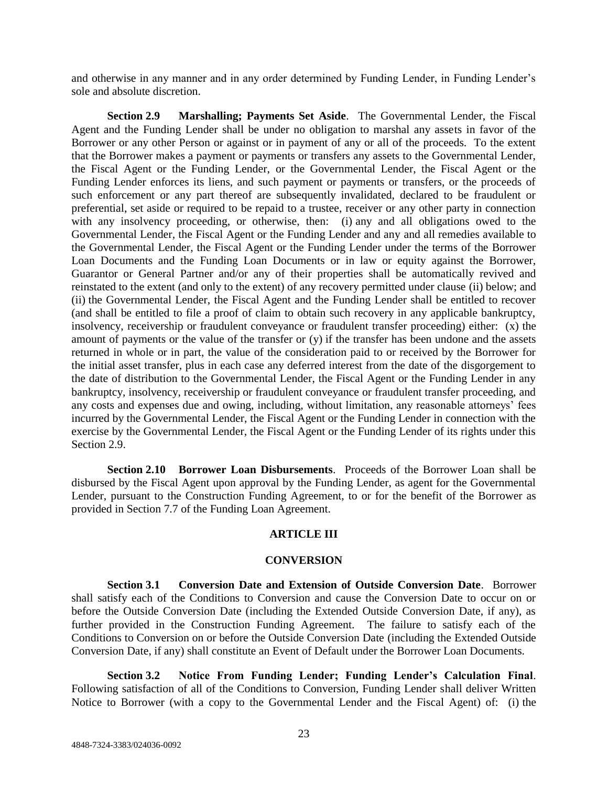and otherwise in any manner and in any order determined by Funding Lender, in Funding Lender's sole and absolute discretion.

**Section 2.9 Marshalling; Payments Set Aside**. The Governmental Lender, the Fiscal Agent and the Funding Lender shall be under no obligation to marshal any assets in favor of the Borrower or any other Person or against or in payment of any or all of the proceeds. To the extent that the Borrower makes a payment or payments or transfers any assets to the Governmental Lender, the Fiscal Agent or the Funding Lender, or the Governmental Lender, the Fiscal Agent or the Funding Lender enforces its liens, and such payment or payments or transfers, or the proceeds of such enforcement or any part thereof are subsequently invalidated, declared to be fraudulent or preferential, set aside or required to be repaid to a trustee, receiver or any other party in connection with any insolvency proceeding, or otherwise, then: (i) any and all obligations owed to the Governmental Lender, the Fiscal Agent or the Funding Lender and any and all remedies available to the Governmental Lender, the Fiscal Agent or the Funding Lender under the terms of the Borrower Loan Documents and the Funding Loan Documents or in law or equity against the Borrower, Guarantor or General Partner and/or any of their properties shall be automatically revived and reinstated to the extent (and only to the extent) of any recovery permitted under clause (ii) below; and (ii) the Governmental Lender, the Fiscal Agent and the Funding Lender shall be entitled to recover (and shall be entitled to file a proof of claim to obtain such recovery in any applicable bankruptcy, insolvency, receivership or fraudulent conveyance or fraudulent transfer proceeding) either: (x) the amount of payments or the value of the transfer or (y) if the transfer has been undone and the assets returned in whole or in part, the value of the consideration paid to or received by the Borrower for the initial asset transfer, plus in each case any deferred interest from the date of the disgorgement to the date of distribution to the Governmental Lender, the Fiscal Agent or the Funding Lender in any bankruptcy, insolvency, receivership or fraudulent conveyance or fraudulent transfer proceeding, and any costs and expenses due and owing, including, without limitation, any reasonable attorneys' fees incurred by the Governmental Lender, the Fiscal Agent or the Funding Lender in connection with the exercise by the Governmental Lender, the Fiscal Agent or the Funding Lender of its rights under this Section 2.9.

**Section 2.10 Borrower Loan Disbursements**. Proceeds of the Borrower Loan shall be disbursed by the Fiscal Agent upon approval by the Funding Lender, as agent for the Governmental Lender, pursuant to the Construction Funding Agreement, to or for the benefit of the Borrower as provided in Section 7.7 of the Funding Loan Agreement.

### **ARTICLE III**

#### **CONVERSION**

**Section 3.1 Conversion Date and Extension of Outside Conversion Date**. Borrower shall satisfy each of the Conditions to Conversion and cause the Conversion Date to occur on or before the Outside Conversion Date (including the Extended Outside Conversion Date, if any), as further provided in the Construction Funding Agreement. The failure to satisfy each of the Conditions to Conversion on or before the Outside Conversion Date (including the Extended Outside Conversion Date, if any) shall constitute an Event of Default under the Borrower Loan Documents.

**Section 3.2 Notice From Funding Lender; Funding Lender's Calculation Final**. Following satisfaction of all of the Conditions to Conversion, Funding Lender shall deliver Written Notice to Borrower (with a copy to the Governmental Lender and the Fiscal Agent) of: (i) the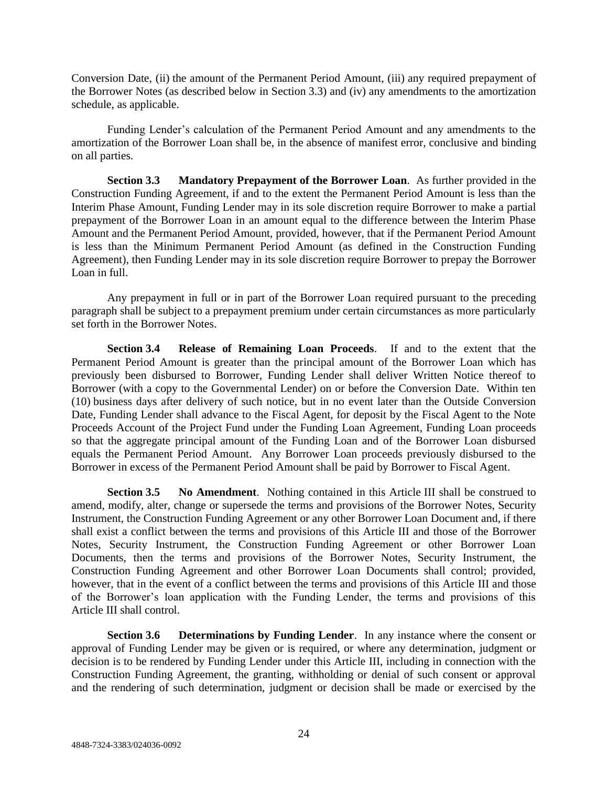Conversion Date, (ii) the amount of the Permanent Period Amount, (iii) any required prepayment of the Borrower Notes (as described below in Section 3.3) and (iv) any amendments to the amortization schedule, as applicable.

Funding Lender's calculation of the Permanent Period Amount and any amendments to the amortization of the Borrower Loan shall be, in the absence of manifest error, conclusive and binding on all parties.

**Section 3.3 Mandatory Prepayment of the Borrower Loan**. As further provided in the Construction Funding Agreement, if and to the extent the Permanent Period Amount is less than the Interim Phase Amount, Funding Lender may in its sole discretion require Borrower to make a partial prepayment of the Borrower Loan in an amount equal to the difference between the Interim Phase Amount and the Permanent Period Amount, provided, however, that if the Permanent Period Amount is less than the Minimum Permanent Period Amount (as defined in the Construction Funding Agreement), then Funding Lender may in its sole discretion require Borrower to prepay the Borrower Loan in full.

Any prepayment in full or in part of the Borrower Loan required pursuant to the preceding paragraph shall be subject to a prepayment premium under certain circumstances as more particularly set forth in the Borrower Notes.

**Section 3.4 Release of Remaining Loan Proceeds**. If and to the extent that the Permanent Period Amount is greater than the principal amount of the Borrower Loan which has previously been disbursed to Borrower, Funding Lender shall deliver Written Notice thereof to Borrower (with a copy to the Governmental Lender) on or before the Conversion Date. Within ten (10) business days after delivery of such notice, but in no event later than the Outside Conversion Date, Funding Lender shall advance to the Fiscal Agent, for deposit by the Fiscal Agent to the Note Proceeds Account of the Project Fund under the Funding Loan Agreement, Funding Loan proceeds so that the aggregate principal amount of the Funding Loan and of the Borrower Loan disbursed equals the Permanent Period Amount. Any Borrower Loan proceeds previously disbursed to the Borrower in excess of the Permanent Period Amount shall be paid by Borrower to Fiscal Agent.

**Section 3.5 No Amendment**. Nothing contained in this Article III shall be construed to amend, modify, alter, change or supersede the terms and provisions of the Borrower Notes, Security Instrument, the Construction Funding Agreement or any other Borrower Loan Document and, if there shall exist a conflict between the terms and provisions of this Article III and those of the Borrower Notes, Security Instrument, the Construction Funding Agreement or other Borrower Loan Documents, then the terms and provisions of the Borrower Notes, Security Instrument, the Construction Funding Agreement and other Borrower Loan Documents shall control; provided, however, that in the event of a conflict between the terms and provisions of this Article III and those of the Borrower's loan application with the Funding Lender, the terms and provisions of this Article III shall control.

**Section 3.6 Determinations by Funding Lender**. In any instance where the consent or approval of Funding Lender may be given or is required, or where any determination, judgment or decision is to be rendered by Funding Lender under this Article III, including in connection with the Construction Funding Agreement, the granting, withholding or denial of such consent or approval and the rendering of such determination, judgment or decision shall be made or exercised by the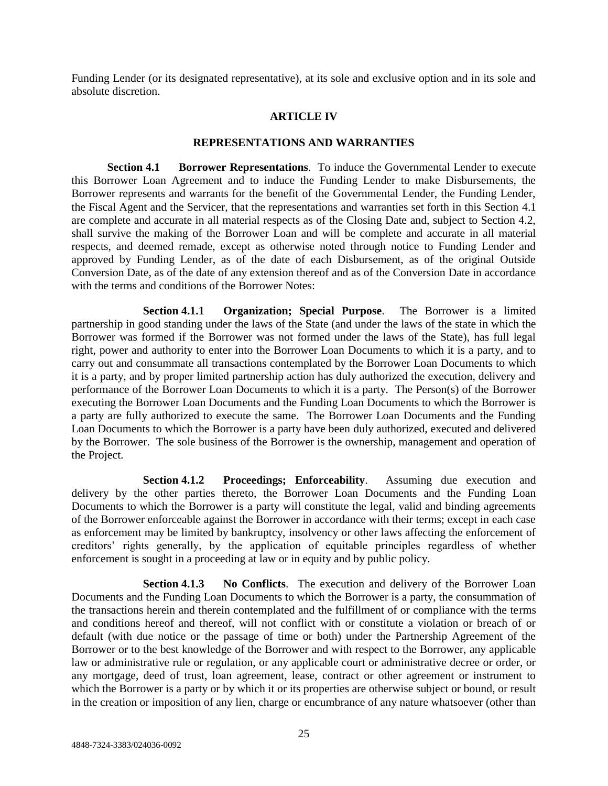Funding Lender (or its designated representative), at its sole and exclusive option and in its sole and absolute discretion.

### **ARTICLE IV**

### **REPRESENTATIONS AND WARRANTIES**

**Section 4.1 Borrower Representations**. To induce the Governmental Lender to execute this Borrower Loan Agreement and to induce the Funding Lender to make Disbursements, the Borrower represents and warrants for the benefit of the Governmental Lender, the Funding Lender, the Fiscal Agent and the Servicer, that the representations and warranties set forth in this Section 4.1 are complete and accurate in all material respects as of the Closing Date and, subject to Section 4.2, shall survive the making of the Borrower Loan and will be complete and accurate in all material respects, and deemed remade, except as otherwise noted through notice to Funding Lender and approved by Funding Lender, as of the date of each Disbursement, as of the original Outside Conversion Date, as of the date of any extension thereof and as of the Conversion Date in accordance with the terms and conditions of the Borrower Notes:

**Section 4.1.1 Organization; Special Purpose**. The Borrower is a limited partnership in good standing under the laws of the State (and under the laws of the state in which the Borrower was formed if the Borrower was not formed under the laws of the State), has full legal right, power and authority to enter into the Borrower Loan Documents to which it is a party, and to carry out and consummate all transactions contemplated by the Borrower Loan Documents to which it is a party, and by proper limited partnership action has duly authorized the execution, delivery and performance of the Borrower Loan Documents to which it is a party. The Person(s) of the Borrower executing the Borrower Loan Documents and the Funding Loan Documents to which the Borrower is a party are fully authorized to execute the same. The Borrower Loan Documents and the Funding Loan Documents to which the Borrower is a party have been duly authorized, executed and delivered by the Borrower. The sole business of the Borrower is the ownership, management and operation of the Project.

**Section 4.1.2 Proceedings; Enforceability**. Assuming due execution and delivery by the other parties thereto, the Borrower Loan Documents and the Funding Loan Documents to which the Borrower is a party will constitute the legal, valid and binding agreements of the Borrower enforceable against the Borrower in accordance with their terms; except in each case as enforcement may be limited by bankruptcy, insolvency or other laws affecting the enforcement of creditors' rights generally, by the application of equitable principles regardless of whether enforcement is sought in a proceeding at law or in equity and by public policy.

**Section 4.1.3 No Conflicts**. The execution and delivery of the Borrower Loan Documents and the Funding Loan Documents to which the Borrower is a party, the consummation of the transactions herein and therein contemplated and the fulfillment of or compliance with the terms and conditions hereof and thereof, will not conflict with or constitute a violation or breach of or default (with due notice or the passage of time or both) under the Partnership Agreement of the Borrower or to the best knowledge of the Borrower and with respect to the Borrower, any applicable law or administrative rule or regulation, or any applicable court or administrative decree or order, or any mortgage, deed of trust, loan agreement, lease, contract or other agreement or instrument to which the Borrower is a party or by which it or its properties are otherwise subject or bound, or result in the creation or imposition of any lien, charge or encumbrance of any nature whatsoever (other than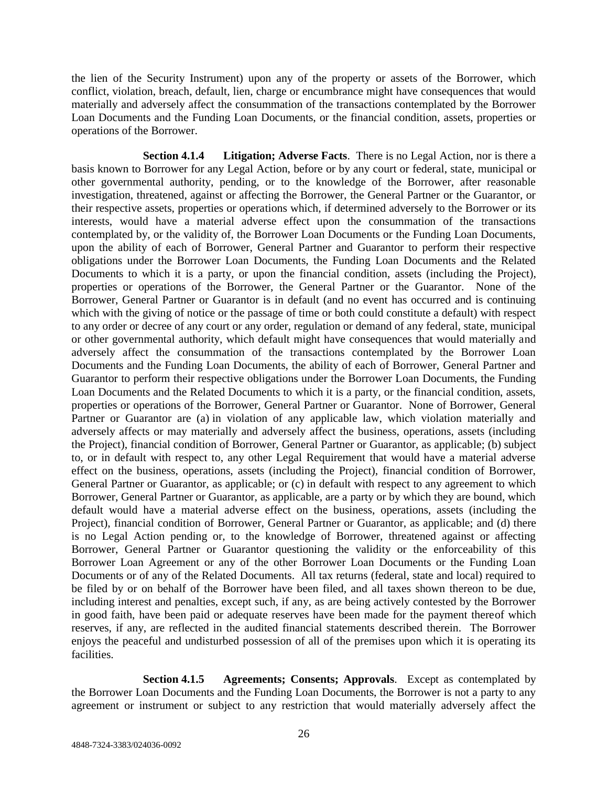the lien of the Security Instrument) upon any of the property or assets of the Borrower, which conflict, violation, breach, default, lien, charge or encumbrance might have consequences that would materially and adversely affect the consummation of the transactions contemplated by the Borrower Loan Documents and the Funding Loan Documents, or the financial condition, assets, properties or operations of the Borrower.

**Section 4.1.4 Litigation; Adverse Facts**. There is no Legal Action, nor is there a basis known to Borrower for any Legal Action, before or by any court or federal, state, municipal or other governmental authority, pending, or to the knowledge of the Borrower, after reasonable investigation, threatened, against or affecting the Borrower, the General Partner or the Guarantor, or their respective assets, properties or operations which, if determined adversely to the Borrower or its interests, would have a material adverse effect upon the consummation of the transactions contemplated by, or the validity of, the Borrower Loan Documents or the Funding Loan Documents, upon the ability of each of Borrower, General Partner and Guarantor to perform their respective obligations under the Borrower Loan Documents, the Funding Loan Documents and the Related Documents to which it is a party, or upon the financial condition, assets (including the Project), properties or operations of the Borrower, the General Partner or the Guarantor. None of the Borrower, General Partner or Guarantor is in default (and no event has occurred and is continuing which with the giving of notice or the passage of time or both could constitute a default) with respect to any order or decree of any court or any order, regulation or demand of any federal, state, municipal or other governmental authority, which default might have consequences that would materially and adversely affect the consummation of the transactions contemplated by the Borrower Loan Documents and the Funding Loan Documents, the ability of each of Borrower, General Partner and Guarantor to perform their respective obligations under the Borrower Loan Documents, the Funding Loan Documents and the Related Documents to which it is a party, or the financial condition, assets, properties or operations of the Borrower, General Partner or Guarantor. None of Borrower, General Partner or Guarantor are (a) in violation of any applicable law, which violation materially and adversely affects or may materially and adversely affect the business, operations, assets (including the Project), financial condition of Borrower, General Partner or Guarantor, as applicable; (b) subject to, or in default with respect to, any other Legal Requirement that would have a material adverse effect on the business, operations, assets (including the Project), financial condition of Borrower, General Partner or Guarantor, as applicable; or (c) in default with respect to any agreement to which Borrower, General Partner or Guarantor, as applicable, are a party or by which they are bound, which default would have a material adverse effect on the business, operations, assets (including the Project), financial condition of Borrower, General Partner or Guarantor, as applicable; and (d) there is no Legal Action pending or, to the knowledge of Borrower, threatened against or affecting Borrower, General Partner or Guarantor questioning the validity or the enforceability of this Borrower Loan Agreement or any of the other Borrower Loan Documents or the Funding Loan Documents or of any of the Related Documents. All tax returns (federal, state and local) required to be filed by or on behalf of the Borrower have been filed, and all taxes shown thereon to be due, including interest and penalties, except such, if any, as are being actively contested by the Borrower in good faith, have been paid or adequate reserves have been made for the payment thereof which reserves, if any, are reflected in the audited financial statements described therein. The Borrower enjoys the peaceful and undisturbed possession of all of the premises upon which it is operating its facilities.

**Section 4.1.5 Agreements; Consents; Approvals**. Except as contemplated by the Borrower Loan Documents and the Funding Loan Documents, the Borrower is not a party to any agreement or instrument or subject to any restriction that would materially adversely affect the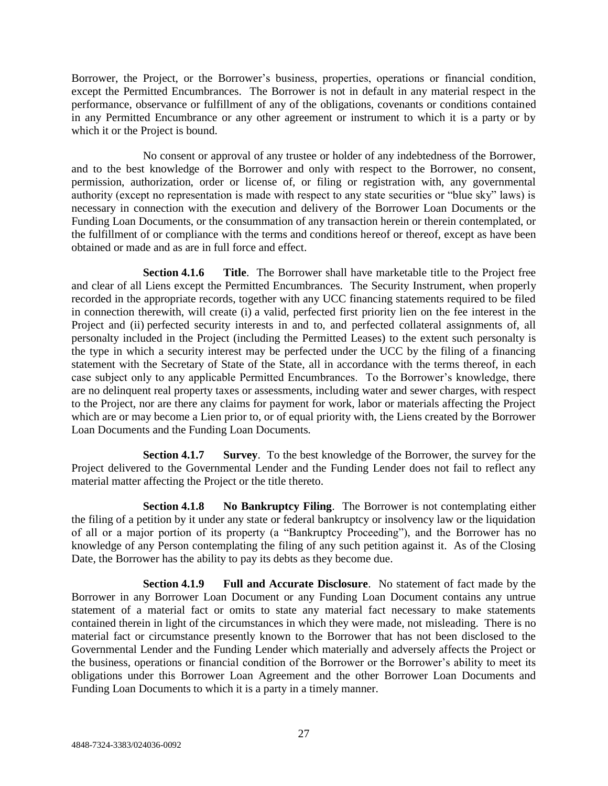Borrower, the Project, or the Borrower's business, properties, operations or financial condition, except the Permitted Encumbrances. The Borrower is not in default in any material respect in the performance, observance or fulfillment of any of the obligations, covenants or conditions contained in any Permitted Encumbrance or any other agreement or instrument to which it is a party or by which it or the Project is bound.

No consent or approval of any trustee or holder of any indebtedness of the Borrower, and to the best knowledge of the Borrower and only with respect to the Borrower, no consent, permission, authorization, order or license of, or filing or registration with, any governmental authority (except no representation is made with respect to any state securities or "blue sky" laws) is necessary in connection with the execution and delivery of the Borrower Loan Documents or the Funding Loan Documents, or the consummation of any transaction herein or therein contemplated, or the fulfillment of or compliance with the terms and conditions hereof or thereof, except as have been obtained or made and as are in full force and effect.

**Section 4.1.6 Title**. The Borrower shall have marketable title to the Project free and clear of all Liens except the Permitted Encumbrances. The Security Instrument, when properly recorded in the appropriate records, together with any UCC financing statements required to be filed in connection therewith, will create (i) a valid, perfected first priority lien on the fee interest in the Project and (ii) perfected security interests in and to, and perfected collateral assignments of, all personalty included in the Project (including the Permitted Leases) to the extent such personalty is the type in which a security interest may be perfected under the UCC by the filing of a financing statement with the Secretary of State of the State, all in accordance with the terms thereof, in each case subject only to any applicable Permitted Encumbrances. To the Borrower's knowledge, there are no delinquent real property taxes or assessments, including water and sewer charges, with respect to the Project, nor are there any claims for payment for work, labor or materials affecting the Project which are or may become a Lien prior to, or of equal priority with, the Liens created by the Borrower Loan Documents and the Funding Loan Documents.

**Section 4.1.7 Survey**. To the best knowledge of the Borrower, the survey for the Project delivered to the Governmental Lender and the Funding Lender does not fail to reflect any material matter affecting the Project or the title thereto.

**Section 4.1.8 No Bankruptcy Filing**. The Borrower is not contemplating either the filing of a petition by it under any state or federal bankruptcy or insolvency law or the liquidation of all or a major portion of its property (a "Bankruptcy Proceeding"), and the Borrower has no knowledge of any Person contemplating the filing of any such petition against it. As of the Closing Date, the Borrower has the ability to pay its debts as they become due.

**Section 4.1.9 Full and Accurate Disclosure**. No statement of fact made by the Borrower in any Borrower Loan Document or any Funding Loan Document contains any untrue statement of a material fact or omits to state any material fact necessary to make statements contained therein in light of the circumstances in which they were made, not misleading. There is no material fact or circumstance presently known to the Borrower that has not been disclosed to the Governmental Lender and the Funding Lender which materially and adversely affects the Project or the business, operations or financial condition of the Borrower or the Borrower's ability to meet its obligations under this Borrower Loan Agreement and the other Borrower Loan Documents and Funding Loan Documents to which it is a party in a timely manner.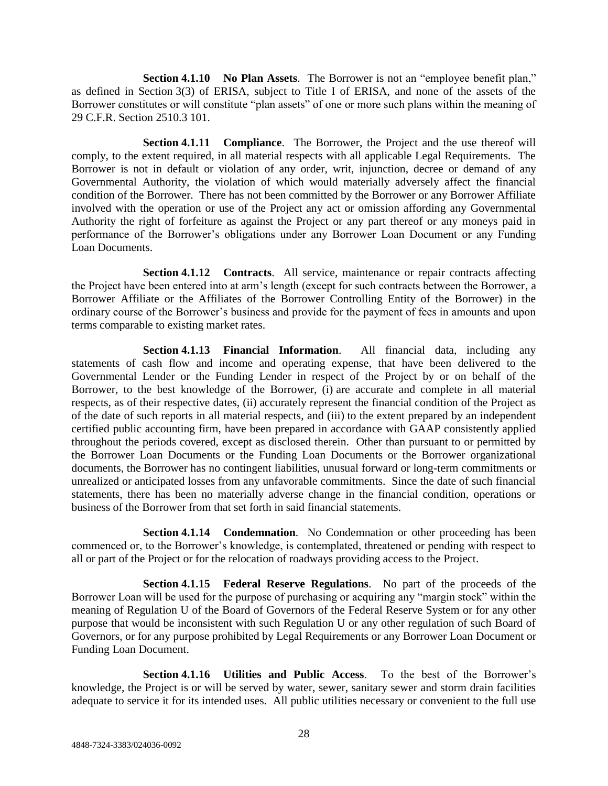**Section 4.1.10 No Plan Assets**. The Borrower is not an "employee benefit plan," as defined in Section 3(3) of ERISA, subject to Title I of ERISA, and none of the assets of the Borrower constitutes or will constitute "plan assets" of one or more such plans within the meaning of 29 C.F.R. Section 2510.3 101.

**Section 4.1.11 Compliance**. The Borrower, the Project and the use thereof will comply, to the extent required, in all material respects with all applicable Legal Requirements. The Borrower is not in default or violation of any order, writ, injunction, decree or demand of any Governmental Authority, the violation of which would materially adversely affect the financial condition of the Borrower. There has not been committed by the Borrower or any Borrower Affiliate involved with the operation or use of the Project any act or omission affording any Governmental Authority the right of forfeiture as against the Project or any part thereof or any moneys paid in performance of the Borrower's obligations under any Borrower Loan Document or any Funding Loan Documents.

**Section 4.1.12 Contracts**. All service, maintenance or repair contracts affecting the Project have been entered into at arm's length (except for such contracts between the Borrower, a Borrower Affiliate or the Affiliates of the Borrower Controlling Entity of the Borrower) in the ordinary course of the Borrower's business and provide for the payment of fees in amounts and upon terms comparable to existing market rates.

**Section 4.1.13 Financial Information**. All financial data, including any statements of cash flow and income and operating expense, that have been delivered to the Governmental Lender or the Funding Lender in respect of the Project by or on behalf of the Borrower, to the best knowledge of the Borrower, (i) are accurate and complete in all material respects, as of their respective dates, (ii) accurately represent the financial condition of the Project as of the date of such reports in all material respects, and (iii) to the extent prepared by an independent certified public accounting firm, have been prepared in accordance with GAAP consistently applied throughout the periods covered, except as disclosed therein. Other than pursuant to or permitted by the Borrower Loan Documents or the Funding Loan Documents or the Borrower organizational documents, the Borrower has no contingent liabilities, unusual forward or long-term commitments or unrealized or anticipated losses from any unfavorable commitments. Since the date of such financial statements, there has been no materially adverse change in the financial condition, operations or business of the Borrower from that set forth in said financial statements.

**Section 4.1.14 • Condemnation.** No Condemnation or other proceeding has been commenced or, to the Borrower's knowledge, is contemplated, threatened or pending with respect to all or part of the Project or for the relocation of roadways providing access to the Project.

**Section 4.1.15 Federal Reserve Regulations**. No part of the proceeds of the Borrower Loan will be used for the purpose of purchasing or acquiring any "margin stock" within the meaning of Regulation U of the Board of Governors of the Federal Reserve System or for any other purpose that would be inconsistent with such Regulation U or any other regulation of such Board of Governors, or for any purpose prohibited by Legal Requirements or any Borrower Loan Document or Funding Loan Document.

**Section 4.1.16 Utilities and Public Access**. To the best of the Borrower's knowledge, the Project is or will be served by water, sewer, sanitary sewer and storm drain facilities adequate to service it for its intended uses. All public utilities necessary or convenient to the full use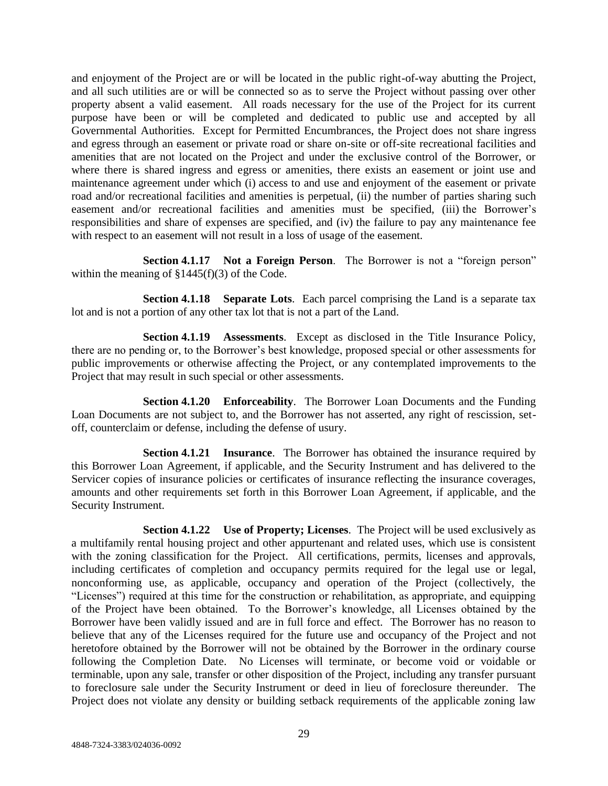and enjoyment of the Project are or will be located in the public right-of-way abutting the Project, and all such utilities are or will be connected so as to serve the Project without passing over other property absent a valid easement. All roads necessary for the use of the Project for its current purpose have been or will be completed and dedicated to public use and accepted by all Governmental Authorities. Except for Permitted Encumbrances, the Project does not share ingress and egress through an easement or private road or share on-site or off-site recreational facilities and amenities that are not located on the Project and under the exclusive control of the Borrower, or where there is shared ingress and egress or amenities, there exists an easement or joint use and maintenance agreement under which (i) access to and use and enjoyment of the easement or private road and/or recreational facilities and amenities is perpetual, (ii) the number of parties sharing such easement and/or recreational facilities and amenities must be specified, (iii) the Borrower's responsibilities and share of expenses are specified, and (iv) the failure to pay any maintenance fee with respect to an easement will not result in a loss of usage of the easement.

**Section 4.1.17 Not a Foreign Person**. The Borrower is not a "foreign person" within the meaning of  $\S 1445(f)(3)$  of the Code.

**Section 4.1.18 Separate Lots**. Each parcel comprising the Land is a separate tax lot and is not a portion of any other tax lot that is not a part of the Land.

**Section 4.1.19 Assessments**. Except as disclosed in the Title Insurance Policy, there are no pending or, to the Borrower's best knowledge, proposed special or other assessments for public improvements or otherwise affecting the Project, or any contemplated improvements to the Project that may result in such special or other assessments.

**Section 4.1.20 Enforceability**. The Borrower Loan Documents and the Funding Loan Documents are not subject to, and the Borrower has not asserted, any right of rescission, setoff, counterclaim or defense, including the defense of usury.

**Section 4.1.21 Insurance**. The Borrower has obtained the insurance required by this Borrower Loan Agreement, if applicable, and the Security Instrument and has delivered to the Servicer copies of insurance policies or certificates of insurance reflecting the insurance coverages, amounts and other requirements set forth in this Borrower Loan Agreement, if applicable, and the Security Instrument.

**Section 4.1.22 Use of Property; Licenses**. The Project will be used exclusively as a multifamily rental housing project and other appurtenant and related uses, which use is consistent with the zoning classification for the Project. All certifications, permits, licenses and approvals, including certificates of completion and occupancy permits required for the legal use or legal, nonconforming use, as applicable, occupancy and operation of the Project (collectively, the "Licenses") required at this time for the construction or rehabilitation, as appropriate, and equipping of the Project have been obtained. To the Borrower's knowledge, all Licenses obtained by the Borrower have been validly issued and are in full force and effect. The Borrower has no reason to believe that any of the Licenses required for the future use and occupancy of the Project and not heretofore obtained by the Borrower will not be obtained by the Borrower in the ordinary course following the Completion Date. No Licenses will terminate, or become void or voidable or terminable, upon any sale, transfer or other disposition of the Project, including any transfer pursuant to foreclosure sale under the Security Instrument or deed in lieu of foreclosure thereunder. The Project does not violate any density or building setback requirements of the applicable zoning law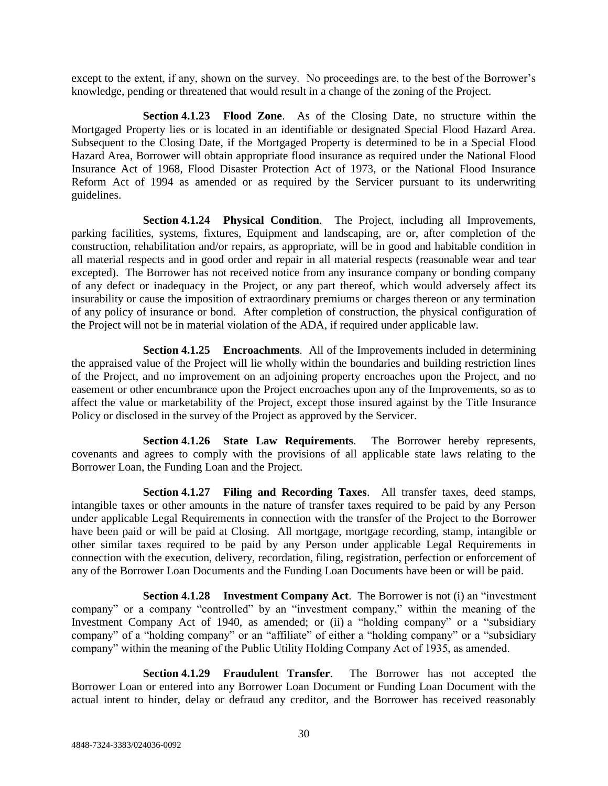except to the extent, if any, shown on the survey. No proceedings are, to the best of the Borrower's knowledge, pending or threatened that would result in a change of the zoning of the Project.

**Section 4.1.23 Flood Zone**. As of the Closing Date, no structure within the Mortgaged Property lies or is located in an identifiable or designated Special Flood Hazard Area. Subsequent to the Closing Date, if the Mortgaged Property is determined to be in a Special Flood Hazard Area, Borrower will obtain appropriate flood insurance as required under the National Flood Insurance Act of 1968, Flood Disaster Protection Act of 1973, or the National Flood Insurance Reform Act of 1994 as amended or as required by the Servicer pursuant to its underwriting guidelines.

**Section 4.1.24 Physical Condition**. The Project, including all Improvements, parking facilities, systems, fixtures, Equipment and landscaping, are or, after completion of the construction, rehabilitation and/or repairs, as appropriate, will be in good and habitable condition in all material respects and in good order and repair in all material respects (reasonable wear and tear excepted). The Borrower has not received notice from any insurance company or bonding company of any defect or inadequacy in the Project, or any part thereof, which would adversely affect its insurability or cause the imposition of extraordinary premiums or charges thereon or any termination of any policy of insurance or bond. After completion of construction, the physical configuration of the Project will not be in material violation of the ADA, if required under applicable law.

**Section 4.1.25 Encroachments**. All of the Improvements included in determining the appraised value of the Project will lie wholly within the boundaries and building restriction lines of the Project, and no improvement on an adjoining property encroaches upon the Project, and no easement or other encumbrance upon the Project encroaches upon any of the Improvements, so as to affect the value or marketability of the Project, except those insured against by the Title Insurance Policy or disclosed in the survey of the Project as approved by the Servicer.

**Section 4.1.26 State Law Requirements**. The Borrower hereby represents, covenants and agrees to comply with the provisions of all applicable state laws relating to the Borrower Loan, the Funding Loan and the Project.

**Section 4.1.27 Filing and Recording Taxes**. All transfer taxes, deed stamps, intangible taxes or other amounts in the nature of transfer taxes required to be paid by any Person under applicable Legal Requirements in connection with the transfer of the Project to the Borrower have been paid or will be paid at Closing. All mortgage, mortgage recording, stamp, intangible or other similar taxes required to be paid by any Person under applicable Legal Requirements in connection with the execution, delivery, recordation, filing, registration, perfection or enforcement of any of the Borrower Loan Documents and the Funding Loan Documents have been or will be paid.

**Section 4.1.28 Investment Company Act**. The Borrower is not (i) an "investment company" or a company "controlled" by an "investment company," within the meaning of the Investment Company Act of 1940, as amended; or (ii) a "holding company" or a "subsidiary company" of a "holding company" or an "affiliate" of either a "holding company" or a "subsidiary company" within the meaning of the Public Utility Holding Company Act of 1935, as amended.

**Section 4.1.29 Fraudulent Transfer**. The Borrower has not accepted the Borrower Loan or entered into any Borrower Loan Document or Funding Loan Document with the actual intent to hinder, delay or defraud any creditor, and the Borrower has received reasonably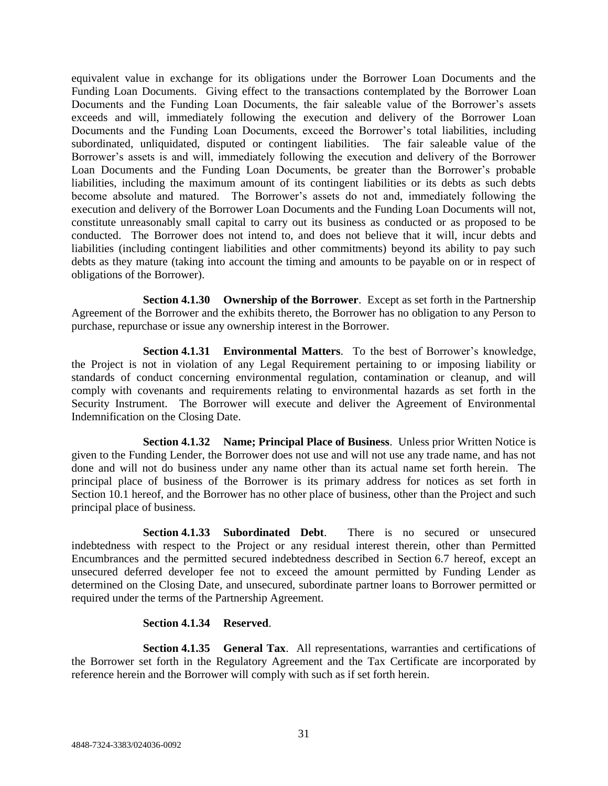equivalent value in exchange for its obligations under the Borrower Loan Documents and the Funding Loan Documents. Giving effect to the transactions contemplated by the Borrower Loan Documents and the Funding Loan Documents, the fair saleable value of the Borrower's assets exceeds and will, immediately following the execution and delivery of the Borrower Loan Documents and the Funding Loan Documents, exceed the Borrower's total liabilities, including subordinated, unliquidated, disputed or contingent liabilities. The fair saleable value of the Borrower's assets is and will, immediately following the execution and delivery of the Borrower Loan Documents and the Funding Loan Documents, be greater than the Borrower's probable liabilities, including the maximum amount of its contingent liabilities or its debts as such debts become absolute and matured. The Borrower's assets do not and, immediately following the execution and delivery of the Borrower Loan Documents and the Funding Loan Documents will not, constitute unreasonably small capital to carry out its business as conducted or as proposed to be conducted. The Borrower does not intend to, and does not believe that it will, incur debts and liabilities (including contingent liabilities and other commitments) beyond its ability to pay such debts as they mature (taking into account the timing and amounts to be payable on or in respect of obligations of the Borrower).

**Section 4.1.30 Ownership of the Borrower**. Except as set forth in the Partnership Agreement of the Borrower and the exhibits thereto, the Borrower has no obligation to any Person to purchase, repurchase or issue any ownership interest in the Borrower.

**Section 4.1.31 Environmental Matters**. To the best of Borrower's knowledge, the Project is not in violation of any Legal Requirement pertaining to or imposing liability or standards of conduct concerning environmental regulation, contamination or cleanup, and will comply with covenants and requirements relating to environmental hazards as set forth in the Security Instrument. The Borrower will execute and deliver the Agreement of Environmental Indemnification on the Closing Date.

**Section 4.1.32 Name; Principal Place of Business**. Unless prior Written Notice is given to the Funding Lender, the Borrower does not use and will not use any trade name, and has not done and will not do business under any name other than its actual name set forth herein. The principal place of business of the Borrower is its primary address for notices as set forth in Section 10.1 hereof, and the Borrower has no other place of business, other than the Project and such principal place of business.

**Section 4.1.33 Subordinated Debt**. There is no secured or unsecured indebtedness with respect to the Project or any residual interest therein, other than Permitted Encumbrances and the permitted secured indebtedness described in Section 6.7 hereof, except an unsecured deferred developer fee not to exceed the amount permitted by Funding Lender as determined on the Closing Date, and unsecured, subordinate partner loans to Borrower permitted or required under the terms of the Partnership Agreement.

# **Section 4.1.34 Reserved**.

**Section 4.1.35 General Tax**. All representations, warranties and certifications of the Borrower set forth in the Regulatory Agreement and the Tax Certificate are incorporated by reference herein and the Borrower will comply with such as if set forth herein.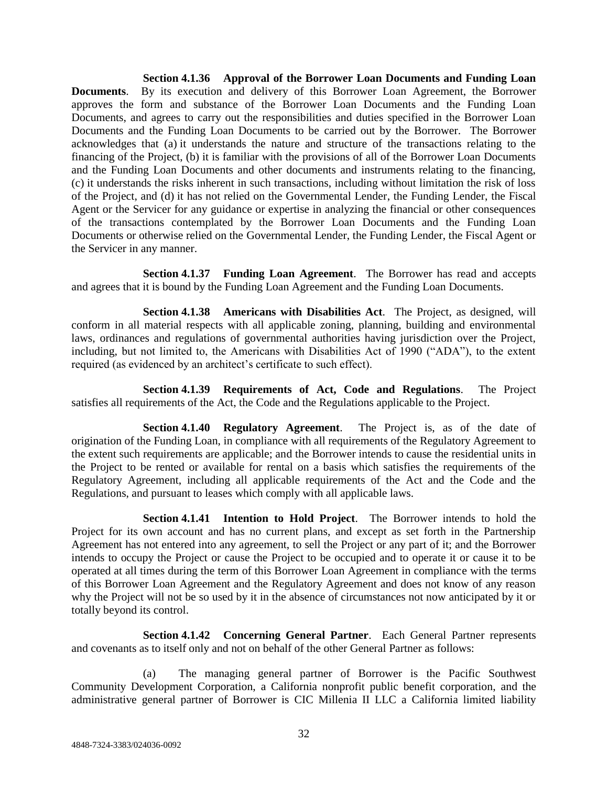**Section 4.1.36 Approval of the Borrower Loan Documents and Funding Loan Documents**. By its execution and delivery of this Borrower Loan Agreement, the Borrower approves the form and substance of the Borrower Loan Documents and the Funding Loan Documents, and agrees to carry out the responsibilities and duties specified in the Borrower Loan Documents and the Funding Loan Documents to be carried out by the Borrower. The Borrower acknowledges that (a) it understands the nature and structure of the transactions relating to the financing of the Project, (b) it is familiar with the provisions of all of the Borrower Loan Documents and the Funding Loan Documents and other documents and instruments relating to the financing, (c) it understands the risks inherent in such transactions, including without limitation the risk of loss of the Project, and (d) it has not relied on the Governmental Lender, the Funding Lender, the Fiscal Agent or the Servicer for any guidance or expertise in analyzing the financial or other consequences of the transactions contemplated by the Borrower Loan Documents and the Funding Loan Documents or otherwise relied on the Governmental Lender, the Funding Lender, the Fiscal Agent or the Servicer in any manner.

**Section 4.1.37 Funding Loan Agreement**. The Borrower has read and accepts and agrees that it is bound by the Funding Loan Agreement and the Funding Loan Documents.

**Section 4.1.38 Americans with Disabilities Act**. The Project, as designed, will conform in all material respects with all applicable zoning, planning, building and environmental laws, ordinances and regulations of governmental authorities having jurisdiction over the Project, including, but not limited to, the Americans with Disabilities Act of 1990 ("ADA"), to the extent required (as evidenced by an architect's certificate to such effect).

**Section 4.1.39 Requirements of Act, Code and Regulations**. The Project satisfies all requirements of the Act, the Code and the Regulations applicable to the Project.

**Section 4.1.40 Regulatory Agreement**. The Project is, as of the date of origination of the Funding Loan, in compliance with all requirements of the Regulatory Agreement to the extent such requirements are applicable; and the Borrower intends to cause the residential units in the Project to be rented or available for rental on a basis which satisfies the requirements of the Regulatory Agreement, including all applicable requirements of the Act and the Code and the Regulations, and pursuant to leases which comply with all applicable laws.

**Section 4.1.41 Intention to Hold Project**. The Borrower intends to hold the Project for its own account and has no current plans, and except as set forth in the Partnership Agreement has not entered into any agreement, to sell the Project or any part of it; and the Borrower intends to occupy the Project or cause the Project to be occupied and to operate it or cause it to be operated at all times during the term of this Borrower Loan Agreement in compliance with the terms of this Borrower Loan Agreement and the Regulatory Agreement and does not know of any reason why the Project will not be so used by it in the absence of circumstances not now anticipated by it or totally beyond its control.

**Section 4.1.42 Concerning General Partner**. Each General Partner represents and covenants as to itself only and not on behalf of the other General Partner as follows:

(a) The managing general partner of Borrower is the Pacific Southwest Community Development Corporation, a California nonprofit public benefit corporation, and the administrative general partner of Borrower is CIC Millenia II LLC a California limited liability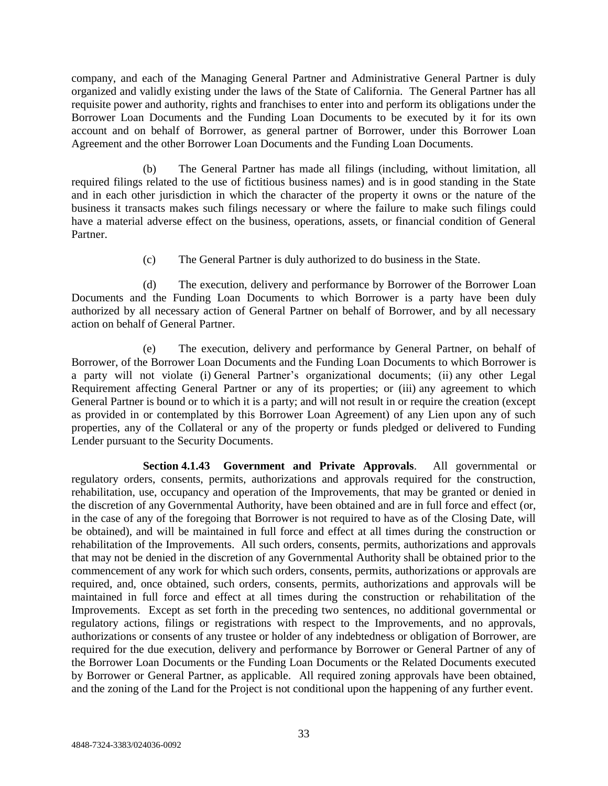company, and each of the Managing General Partner and Administrative General Partner is duly organized and validly existing under the laws of the State of California. The General Partner has all requisite power and authority, rights and franchises to enter into and perform its obligations under the Borrower Loan Documents and the Funding Loan Documents to be executed by it for its own account and on behalf of Borrower, as general partner of Borrower, under this Borrower Loan Agreement and the other Borrower Loan Documents and the Funding Loan Documents.

(b) The General Partner has made all filings (including, without limitation, all required filings related to the use of fictitious business names) and is in good standing in the State and in each other jurisdiction in which the character of the property it owns or the nature of the business it transacts makes such filings necessary or where the failure to make such filings could have a material adverse effect on the business, operations, assets, or financial condition of General Partner.

(c) The General Partner is duly authorized to do business in the State.

(d) The execution, delivery and performance by Borrower of the Borrower Loan Documents and the Funding Loan Documents to which Borrower is a party have been duly authorized by all necessary action of General Partner on behalf of Borrower, and by all necessary action on behalf of General Partner.

(e) The execution, delivery and performance by General Partner, on behalf of Borrower, of the Borrower Loan Documents and the Funding Loan Documents to which Borrower is a party will not violate (i) General Partner's organizational documents; (ii) any other Legal Requirement affecting General Partner or any of its properties; or (iii) any agreement to which General Partner is bound or to which it is a party; and will not result in or require the creation (except as provided in or contemplated by this Borrower Loan Agreement) of any Lien upon any of such properties, any of the Collateral or any of the property or funds pledged or delivered to Funding Lender pursuant to the Security Documents.

**Section 4.1.43 Government and Private Approvals**. All governmental or regulatory orders, consents, permits, authorizations and approvals required for the construction, rehabilitation, use, occupancy and operation of the Improvements, that may be granted or denied in the discretion of any Governmental Authority, have been obtained and are in full force and effect (or, in the case of any of the foregoing that Borrower is not required to have as of the Closing Date, will be obtained), and will be maintained in full force and effect at all times during the construction or rehabilitation of the Improvements. All such orders, consents, permits, authorizations and approvals that may not be denied in the discretion of any Governmental Authority shall be obtained prior to the commencement of any work for which such orders, consents, permits, authorizations or approvals are required, and, once obtained, such orders, consents, permits, authorizations and approvals will be maintained in full force and effect at all times during the construction or rehabilitation of the Improvements. Except as set forth in the preceding two sentences, no additional governmental or regulatory actions, filings or registrations with respect to the Improvements, and no approvals, authorizations or consents of any trustee or holder of any indebtedness or obligation of Borrower, are required for the due execution, delivery and performance by Borrower or General Partner of any of the Borrower Loan Documents or the Funding Loan Documents or the Related Documents executed by Borrower or General Partner, as applicable. All required zoning approvals have been obtained, and the zoning of the Land for the Project is not conditional upon the happening of any further event.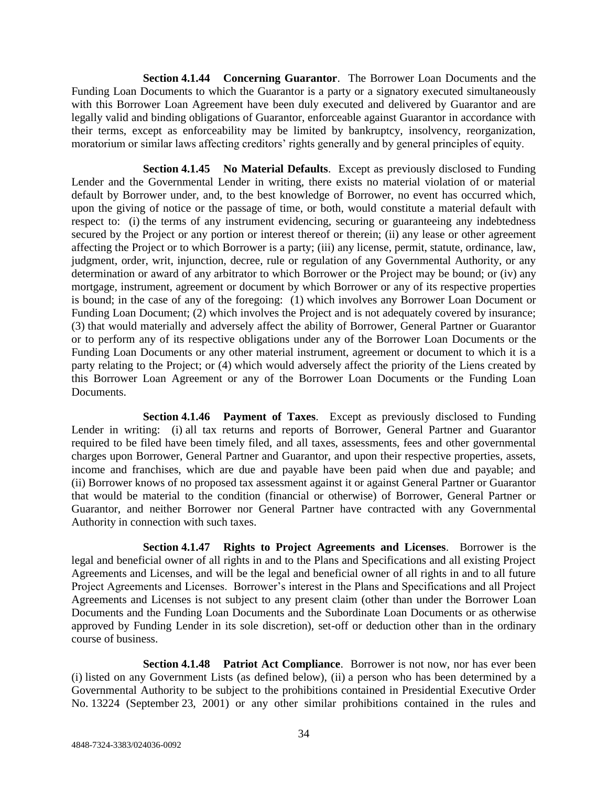**Section 4.1.44 Concerning Guarantor**. The Borrower Loan Documents and the Funding Loan Documents to which the Guarantor is a party or a signatory executed simultaneously with this Borrower Loan Agreement have been duly executed and delivered by Guarantor and are legally valid and binding obligations of Guarantor, enforceable against Guarantor in accordance with their terms, except as enforceability may be limited by bankruptcy, insolvency, reorganization, moratorium or similar laws affecting creditors' rights generally and by general principles of equity.

**Section 4.1.45 No Material Defaults**. Except as previously disclosed to Funding Lender and the Governmental Lender in writing, there exists no material violation of or material default by Borrower under, and, to the best knowledge of Borrower, no event has occurred which, upon the giving of notice or the passage of time, or both, would constitute a material default with respect to: (i) the terms of any instrument evidencing, securing or guaranteeing any indebtedness secured by the Project or any portion or interest thereof or therein; (ii) any lease or other agreement affecting the Project or to which Borrower is a party; (iii) any license, permit, statute, ordinance, law, judgment, order, writ, injunction, decree, rule or regulation of any Governmental Authority, or any determination or award of any arbitrator to which Borrower or the Project may be bound; or (iv) any mortgage, instrument, agreement or document by which Borrower or any of its respective properties is bound; in the case of any of the foregoing: (1) which involves any Borrower Loan Document or Funding Loan Document; (2) which involves the Project and is not adequately covered by insurance; (3) that would materially and adversely affect the ability of Borrower, General Partner or Guarantor or to perform any of its respective obligations under any of the Borrower Loan Documents or the Funding Loan Documents or any other material instrument, agreement or document to which it is a party relating to the Project; or (4) which would adversely affect the priority of the Liens created by this Borrower Loan Agreement or any of the Borrower Loan Documents or the Funding Loan Documents.

**Section 4.1.46 Payment of Taxes**. Except as previously disclosed to Funding Lender in writing: (i) all tax returns and reports of Borrower, General Partner and Guarantor required to be filed have been timely filed, and all taxes, assessments, fees and other governmental charges upon Borrower, General Partner and Guarantor, and upon their respective properties, assets, income and franchises, which are due and payable have been paid when due and payable; and (ii) Borrower knows of no proposed tax assessment against it or against General Partner or Guarantor that would be material to the condition (financial or otherwise) of Borrower, General Partner or Guarantor, and neither Borrower nor General Partner have contracted with any Governmental Authority in connection with such taxes.

**Section 4.1.47 Rights to Project Agreements and Licenses**. Borrower is the legal and beneficial owner of all rights in and to the Plans and Specifications and all existing Project Agreements and Licenses, and will be the legal and beneficial owner of all rights in and to all future Project Agreements and Licenses. Borrower's interest in the Plans and Specifications and all Project Agreements and Licenses is not subject to any present claim (other than under the Borrower Loan Documents and the Funding Loan Documents and the Subordinate Loan Documents or as otherwise approved by Funding Lender in its sole discretion), set-off or deduction other than in the ordinary course of business.

**Section 4.1.48 Patriot Act Compliance**. Borrower is not now, nor has ever been (i) listed on any Government Lists (as defined below), (ii) a person who has been determined by a Governmental Authority to be subject to the prohibitions contained in Presidential Executive Order No. 13224 (September 23, 2001) or any other similar prohibitions contained in the rules and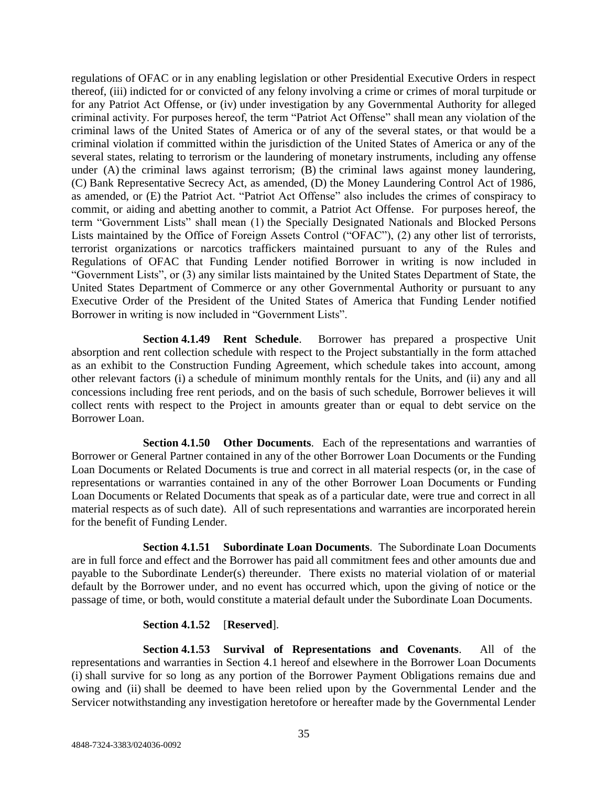regulations of OFAC or in any enabling legislation or other Presidential Executive Orders in respect thereof, (iii) indicted for or convicted of any felony involving a crime or crimes of moral turpitude or for any Patriot Act Offense, or (iv) under investigation by any Governmental Authority for alleged criminal activity. For purposes hereof, the term "Patriot Act Offense" shall mean any violation of the criminal laws of the United States of America or of any of the several states, or that would be a criminal violation if committed within the jurisdiction of the United States of America or any of the several states, relating to terrorism or the laundering of monetary instruments, including any offense under (A) the criminal laws against terrorism; (B) the criminal laws against money laundering, (C) Bank Representative Secrecy Act, as amended, (D) the Money Laundering Control Act of 1986, as amended, or (E) the Patriot Act. "Patriot Act Offense" also includes the crimes of conspiracy to commit, or aiding and abetting another to commit, a Patriot Act Offense. For purposes hereof, the term "Government Lists" shall mean (1) the Specially Designated Nationals and Blocked Persons Lists maintained by the Office of Foreign Assets Control ("OFAC"), (2) any other list of terrorists, terrorist organizations or narcotics traffickers maintained pursuant to any of the Rules and Regulations of OFAC that Funding Lender notified Borrower in writing is now included in "Government Lists", or (3) any similar lists maintained by the United States Department of State, the United States Department of Commerce or any other Governmental Authority or pursuant to any Executive Order of the President of the United States of America that Funding Lender notified Borrower in writing is now included in "Government Lists".

**Section 4.1.49 Rent Schedule**. Borrower has prepared a prospective Unit absorption and rent collection schedule with respect to the Project substantially in the form attached as an exhibit to the Construction Funding Agreement, which schedule takes into account, among other relevant factors (i) a schedule of minimum monthly rentals for the Units, and (ii) any and all concessions including free rent periods, and on the basis of such schedule, Borrower believes it will collect rents with respect to the Project in amounts greater than or equal to debt service on the Borrower Loan.

**Section 4.1.50 Other Documents**. Each of the representations and warranties of Borrower or General Partner contained in any of the other Borrower Loan Documents or the Funding Loan Documents or Related Documents is true and correct in all material respects (or, in the case of representations or warranties contained in any of the other Borrower Loan Documents or Funding Loan Documents or Related Documents that speak as of a particular date, were true and correct in all material respects as of such date). All of such representations and warranties are incorporated herein for the benefit of Funding Lender.

**Section 4.1.51 Subordinate Loan Documents**. The Subordinate Loan Documents are in full force and effect and the Borrower has paid all commitment fees and other amounts due and payable to the Subordinate Lender(s) thereunder. There exists no material violation of or material default by the Borrower under, and no event has occurred which, upon the giving of notice or the passage of time, or both, would constitute a material default under the Subordinate Loan Documents.

# **Section 4.1.52** [**Reserved**].

**Section 4.1.53 Survival of Representations and Covenants**. All of the representations and warranties in Section 4.1 hereof and elsewhere in the Borrower Loan Documents (i) shall survive for so long as any portion of the Borrower Payment Obligations remains due and owing and (ii) shall be deemed to have been relied upon by the Governmental Lender and the Servicer notwithstanding any investigation heretofore or hereafter made by the Governmental Lender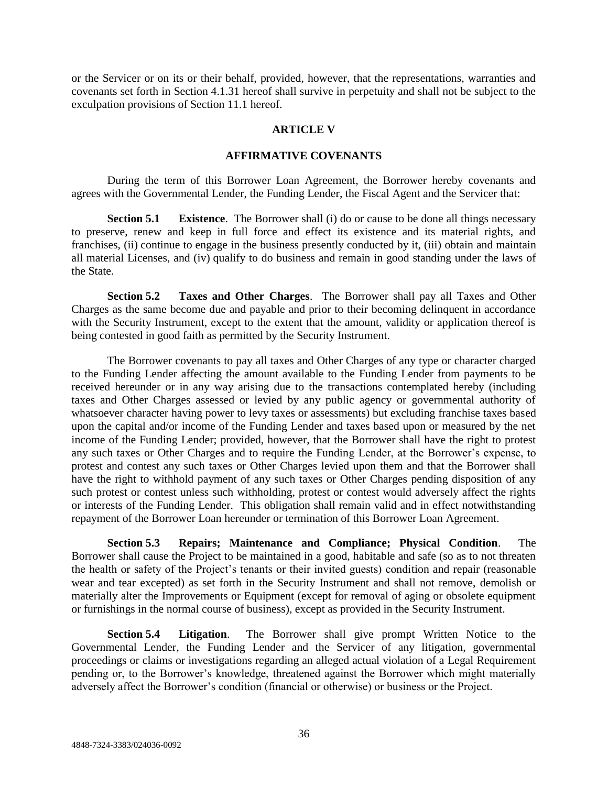or the Servicer or on its or their behalf, provided, however, that the representations, warranties and covenants set forth in Section 4.1.31 hereof shall survive in perpetuity and shall not be subject to the exculpation provisions of Section 11.1 hereof.

### **ARTICLE V**

### **AFFIRMATIVE COVENANTS**

During the term of this Borrower Loan Agreement, the Borrower hereby covenants and agrees with the Governmental Lender, the Funding Lender, the Fiscal Agent and the Servicer that:

**Section 5.1 Existence**. The Borrower shall (i) do or cause to be done all things necessary to preserve, renew and keep in full force and effect its existence and its material rights, and franchises, (ii) continue to engage in the business presently conducted by it, (iii) obtain and maintain all material Licenses, and (iv) qualify to do business and remain in good standing under the laws of the State.

**Section 5.2 Taxes and Other Charges**. The Borrower shall pay all Taxes and Other Charges as the same become due and payable and prior to their becoming delinquent in accordance with the Security Instrument, except to the extent that the amount, validity or application thereof is being contested in good faith as permitted by the Security Instrument.

The Borrower covenants to pay all taxes and Other Charges of any type or character charged to the Funding Lender affecting the amount available to the Funding Lender from payments to be received hereunder or in any way arising due to the transactions contemplated hereby (including taxes and Other Charges assessed or levied by any public agency or governmental authority of whatsoever character having power to levy taxes or assessments) but excluding franchise taxes based upon the capital and/or income of the Funding Lender and taxes based upon or measured by the net income of the Funding Lender; provided, however, that the Borrower shall have the right to protest any such taxes or Other Charges and to require the Funding Lender, at the Borrower's expense, to protest and contest any such taxes or Other Charges levied upon them and that the Borrower shall have the right to withhold payment of any such taxes or Other Charges pending disposition of any such protest or contest unless such withholding, protest or contest would adversely affect the rights or interests of the Funding Lender. This obligation shall remain valid and in effect notwithstanding repayment of the Borrower Loan hereunder or termination of this Borrower Loan Agreement.

**Section 5.3 Repairs; Maintenance and Compliance; Physical Condition**. The Borrower shall cause the Project to be maintained in a good, habitable and safe (so as to not threaten the health or safety of the Project's tenants or their invited guests) condition and repair (reasonable wear and tear excepted) as set forth in the Security Instrument and shall not remove, demolish or materially alter the Improvements or Equipment (except for removal of aging or obsolete equipment or furnishings in the normal course of business), except as provided in the Security Instrument.

**Section 5.4 Litigation**. The Borrower shall give prompt Written Notice to the Governmental Lender, the Funding Lender and the Servicer of any litigation, governmental proceedings or claims or investigations regarding an alleged actual violation of a Legal Requirement pending or, to the Borrower's knowledge, threatened against the Borrower which might materially adversely affect the Borrower's condition (financial or otherwise) or business or the Project.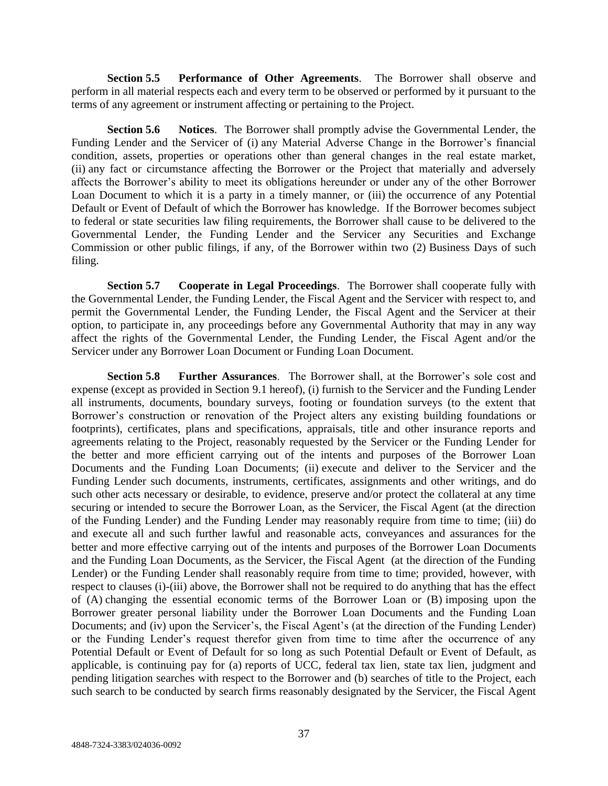**Section 5.5 Performance of Other Agreements**. The Borrower shall observe and perform in all material respects each and every term to be observed or performed by it pursuant to the terms of any agreement or instrument affecting or pertaining to the Project.

**Section 5.6 Notices**. The Borrower shall promptly advise the Governmental Lender, the Funding Lender and the Servicer of (i) any Material Adverse Change in the Borrower's financial condition, assets, properties or operations other than general changes in the real estate market, (ii) any fact or circumstance affecting the Borrower or the Project that materially and adversely affects the Borrower's ability to meet its obligations hereunder or under any of the other Borrower Loan Document to which it is a party in a timely manner, or (iii) the occurrence of any Potential Default or Event of Default of which the Borrower has knowledge. If the Borrower becomes subject to federal or state securities law filing requirements, the Borrower shall cause to be delivered to the Governmental Lender, the Funding Lender and the Servicer any Securities and Exchange Commission or other public filings, if any, of the Borrower within two (2) Business Days of such filing.

**Section 5.7 Cooperate in Legal Proceedings**. The Borrower shall cooperate fully with the Governmental Lender, the Funding Lender, the Fiscal Agent and the Servicer with respect to, and permit the Governmental Lender, the Funding Lender, the Fiscal Agent and the Servicer at their option, to participate in, any proceedings before any Governmental Authority that may in any way affect the rights of the Governmental Lender, the Funding Lender, the Fiscal Agent and/or the Servicer under any Borrower Loan Document or Funding Loan Document.

**Section 5.8 Further Assurances**. The Borrower shall, at the Borrower's sole cost and expense (except as provided in Section 9.1 hereof), (i) furnish to the Servicer and the Funding Lender all instruments, documents, boundary surveys, footing or foundation surveys (to the extent that Borrower's construction or renovation of the Project alters any existing building foundations or footprints), certificates, plans and specifications, appraisals, title and other insurance reports and agreements relating to the Project, reasonably requested by the Servicer or the Funding Lender for the better and more efficient carrying out of the intents and purposes of the Borrower Loan Documents and the Funding Loan Documents; (ii) execute and deliver to the Servicer and the Funding Lender such documents, instruments, certificates, assignments and other writings, and do such other acts necessary or desirable, to evidence, preserve and/or protect the collateral at any time securing or intended to secure the Borrower Loan, as the Servicer, the Fiscal Agent (at the direction of the Funding Lender) and the Funding Lender may reasonably require from time to time; (iii) do and execute all and such further lawful and reasonable acts, conveyances and assurances for the better and more effective carrying out of the intents and purposes of the Borrower Loan Documents and the Funding Loan Documents, as the Servicer, the Fiscal Agent (at the direction of the Funding Lender) or the Funding Lender shall reasonably require from time to time; provided, however, with respect to clauses (i)-(iii) above, the Borrower shall not be required to do anything that has the effect of (A) changing the essential economic terms of the Borrower Loan or (B) imposing upon the Borrower greater personal liability under the Borrower Loan Documents and the Funding Loan Documents; and (iv) upon the Servicer's, the Fiscal Agent's (at the direction of the Funding Lender) or the Funding Lender's request therefor given from time to time after the occurrence of any Potential Default or Event of Default for so long as such Potential Default or Event of Default, as applicable, is continuing pay for (a) reports of UCC, federal tax lien, state tax lien, judgment and pending litigation searches with respect to the Borrower and (b) searches of title to the Project, each such search to be conducted by search firms reasonably designated by the Servicer, the Fiscal Agent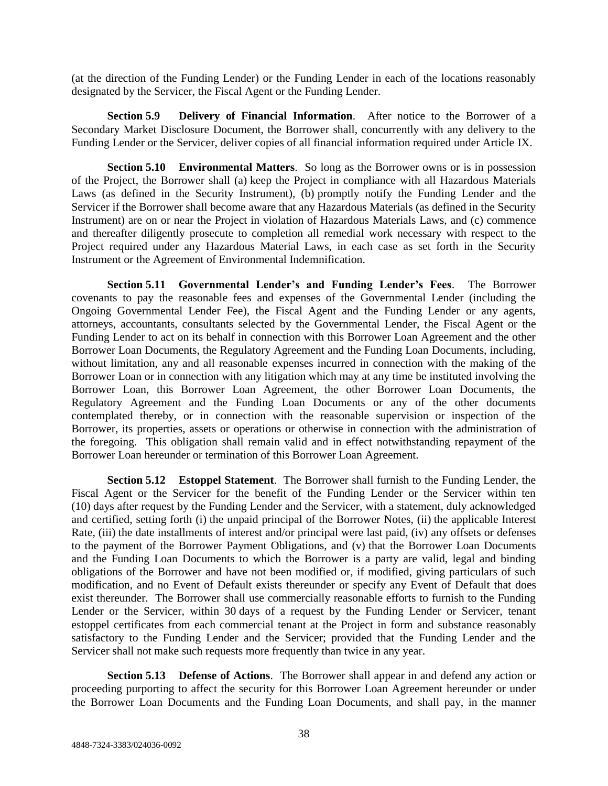(at the direction of the Funding Lender) or the Funding Lender in each of the locations reasonably designated by the Servicer, the Fiscal Agent or the Funding Lender.

**Section 5.9 Delivery of Financial Information**. After notice to the Borrower of a Secondary Market Disclosure Document, the Borrower shall, concurrently with any delivery to the Funding Lender or the Servicer, deliver copies of all financial information required under Article IX.

**Section 5.10 Environmental Matters**. So long as the Borrower owns or is in possession of the Project, the Borrower shall (a) keep the Project in compliance with all Hazardous Materials Laws (as defined in the Security Instrument), (b) promptly notify the Funding Lender and the Servicer if the Borrower shall become aware that any Hazardous Materials (as defined in the Security Instrument) are on or near the Project in violation of Hazardous Materials Laws, and (c) commence and thereafter diligently prosecute to completion all remedial work necessary with respect to the Project required under any Hazardous Material Laws, in each case as set forth in the Security Instrument or the Agreement of Environmental Indemnification.

**Section 5.11 Governmental Lender's and Funding Lender's Fees**. The Borrower covenants to pay the reasonable fees and expenses of the Governmental Lender (including the Ongoing Governmental Lender Fee), the Fiscal Agent and the Funding Lender or any agents, attorneys, accountants, consultants selected by the Governmental Lender, the Fiscal Agent or the Funding Lender to act on its behalf in connection with this Borrower Loan Agreement and the other Borrower Loan Documents, the Regulatory Agreement and the Funding Loan Documents, including, without limitation, any and all reasonable expenses incurred in connection with the making of the Borrower Loan or in connection with any litigation which may at any time be instituted involving the Borrower Loan, this Borrower Loan Agreement, the other Borrower Loan Documents, the Regulatory Agreement and the Funding Loan Documents or any of the other documents contemplated thereby, or in connection with the reasonable supervision or inspection of the Borrower, its properties, assets or operations or otherwise in connection with the administration of the foregoing. This obligation shall remain valid and in effect notwithstanding repayment of the Borrower Loan hereunder or termination of this Borrower Loan Agreement.

**Section 5.12 Estoppel Statement**. The Borrower shall furnish to the Funding Lender, the Fiscal Agent or the Servicer for the benefit of the Funding Lender or the Servicer within ten (10) days after request by the Funding Lender and the Servicer, with a statement, duly acknowledged and certified, setting forth (i) the unpaid principal of the Borrower Notes, (ii) the applicable Interest Rate, (iii) the date installments of interest and/or principal were last paid, (iv) any offsets or defenses to the payment of the Borrower Payment Obligations, and (v) that the Borrower Loan Documents and the Funding Loan Documents to which the Borrower is a party are valid, legal and binding obligations of the Borrower and have not been modified or, if modified, giving particulars of such modification, and no Event of Default exists thereunder or specify any Event of Default that does exist thereunder. The Borrower shall use commercially reasonable efforts to furnish to the Funding Lender or the Servicer, within 30 days of a request by the Funding Lender or Servicer, tenant estoppel certificates from each commercial tenant at the Project in form and substance reasonably satisfactory to the Funding Lender and the Servicer; provided that the Funding Lender and the Servicer shall not make such requests more frequently than twice in any year.

**Section 5.13 Defense of Actions**. The Borrower shall appear in and defend any action or proceeding purporting to affect the security for this Borrower Loan Agreement hereunder or under the Borrower Loan Documents and the Funding Loan Documents, and shall pay, in the manner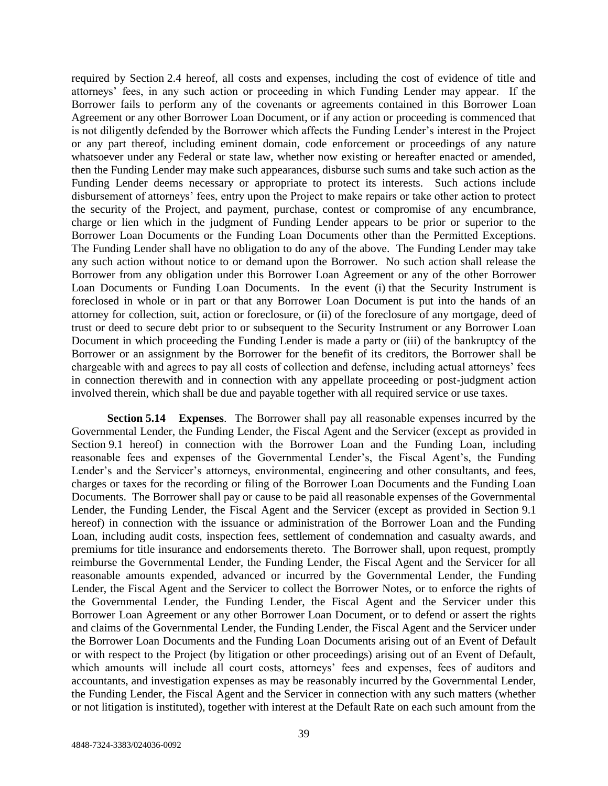required by Section 2.4 hereof, all costs and expenses, including the cost of evidence of title and attorneys' fees, in any such action or proceeding in which Funding Lender may appear. If the Borrower fails to perform any of the covenants or agreements contained in this Borrower Loan Agreement or any other Borrower Loan Document, or if any action or proceeding is commenced that is not diligently defended by the Borrower which affects the Funding Lender's interest in the Project or any part thereof, including eminent domain, code enforcement or proceedings of any nature whatsoever under any Federal or state law, whether now existing or hereafter enacted or amended, then the Funding Lender may make such appearances, disburse such sums and take such action as the Funding Lender deems necessary or appropriate to protect its interests. Such actions include disbursement of attorneys' fees, entry upon the Project to make repairs or take other action to protect the security of the Project, and payment, purchase, contest or compromise of any encumbrance, charge or lien which in the judgment of Funding Lender appears to be prior or superior to the Borrower Loan Documents or the Funding Loan Documents other than the Permitted Exceptions. The Funding Lender shall have no obligation to do any of the above. The Funding Lender may take any such action without notice to or demand upon the Borrower. No such action shall release the Borrower from any obligation under this Borrower Loan Agreement or any of the other Borrower Loan Documents or Funding Loan Documents. In the event (i) that the Security Instrument is foreclosed in whole or in part or that any Borrower Loan Document is put into the hands of an attorney for collection, suit, action or foreclosure, or (ii) of the foreclosure of any mortgage, deed of trust or deed to secure debt prior to or subsequent to the Security Instrument or any Borrower Loan Document in which proceeding the Funding Lender is made a party or (iii) of the bankruptcy of the Borrower or an assignment by the Borrower for the benefit of its creditors, the Borrower shall be chargeable with and agrees to pay all costs of collection and defense, including actual attorneys' fees in connection therewith and in connection with any appellate proceeding or post-judgment action involved therein, which shall be due and payable together with all required service or use taxes.

**Section 5.14 Expenses**. The Borrower shall pay all reasonable expenses incurred by the Governmental Lender, the Funding Lender, the Fiscal Agent and the Servicer (except as provided in Section 9.1 hereof) in connection with the Borrower Loan and the Funding Loan, including reasonable fees and expenses of the Governmental Lender's, the Fiscal Agent's, the Funding Lender's and the Servicer's attorneys, environmental, engineering and other consultants, and fees, charges or taxes for the recording or filing of the Borrower Loan Documents and the Funding Loan Documents. The Borrower shall pay or cause to be paid all reasonable expenses of the Governmental Lender, the Funding Lender, the Fiscal Agent and the Servicer (except as provided in Section 9.1 hereof) in connection with the issuance or administration of the Borrower Loan and the Funding Loan, including audit costs, inspection fees, settlement of condemnation and casualty awards, and premiums for title insurance and endorsements thereto. The Borrower shall, upon request, promptly reimburse the Governmental Lender, the Funding Lender, the Fiscal Agent and the Servicer for all reasonable amounts expended, advanced or incurred by the Governmental Lender, the Funding Lender, the Fiscal Agent and the Servicer to collect the Borrower Notes, or to enforce the rights of the Governmental Lender, the Funding Lender, the Fiscal Agent and the Servicer under this Borrower Loan Agreement or any other Borrower Loan Document, or to defend or assert the rights and claims of the Governmental Lender, the Funding Lender, the Fiscal Agent and the Servicer under the Borrower Loan Documents and the Funding Loan Documents arising out of an Event of Default or with respect to the Project (by litigation or other proceedings) arising out of an Event of Default, which amounts will include all court costs, attorneys' fees and expenses, fees of auditors and accountants, and investigation expenses as may be reasonably incurred by the Governmental Lender, the Funding Lender, the Fiscal Agent and the Servicer in connection with any such matters (whether or not litigation is instituted), together with interest at the Default Rate on each such amount from the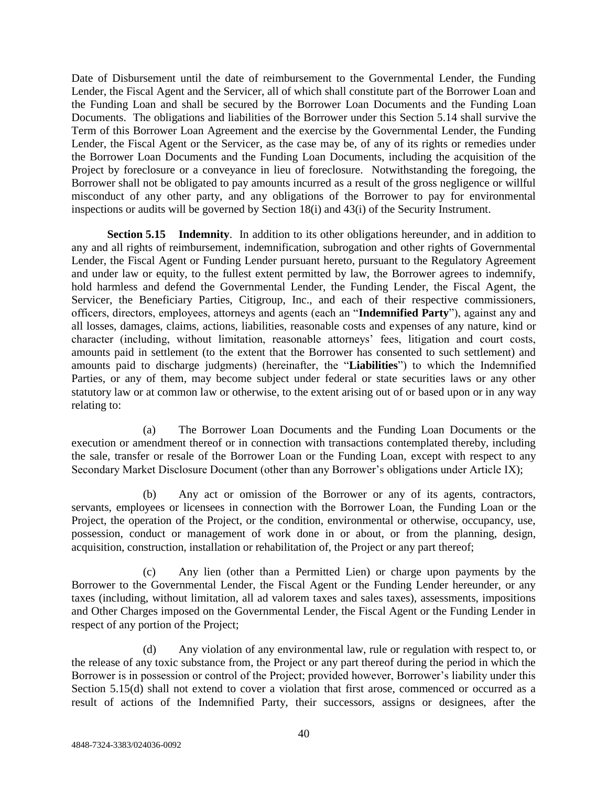Date of Disbursement until the date of reimbursement to the Governmental Lender, the Funding Lender, the Fiscal Agent and the Servicer, all of which shall constitute part of the Borrower Loan and the Funding Loan and shall be secured by the Borrower Loan Documents and the Funding Loan Documents. The obligations and liabilities of the Borrower under this Section 5.14 shall survive the Term of this Borrower Loan Agreement and the exercise by the Governmental Lender, the Funding Lender, the Fiscal Agent or the Servicer, as the case may be, of any of its rights or remedies under the Borrower Loan Documents and the Funding Loan Documents, including the acquisition of the Project by foreclosure or a conveyance in lieu of foreclosure. Notwithstanding the foregoing, the Borrower shall not be obligated to pay amounts incurred as a result of the gross negligence or willful misconduct of any other party, and any obligations of the Borrower to pay for environmental inspections or audits will be governed by Section 18(i) and 43(i) of the Security Instrument.

**Section 5.15 • Indemnity.** In addition to its other obligations hereunder, and in addition to any and all rights of reimbursement, indemnification, subrogation and other rights of Governmental Lender, the Fiscal Agent or Funding Lender pursuant hereto, pursuant to the Regulatory Agreement and under law or equity, to the fullest extent permitted by law, the Borrower agrees to indemnify, hold harmless and defend the Governmental Lender, the Funding Lender, the Fiscal Agent, the Servicer, the Beneficiary Parties, Citigroup, Inc., and each of their respective commissioners, officers, directors, employees, attorneys and agents (each an "**Indemnified Party**"), against any and all losses, damages, claims, actions, liabilities, reasonable costs and expenses of any nature, kind or character (including, without limitation, reasonable attorneys' fees, litigation and court costs, amounts paid in settlement (to the extent that the Borrower has consented to such settlement) and amounts paid to discharge judgments) (hereinafter, the "**Liabilities**") to which the Indemnified Parties, or any of them, may become subject under federal or state securities laws or any other statutory law or at common law or otherwise, to the extent arising out of or based upon or in any way relating to:

(a) The Borrower Loan Documents and the Funding Loan Documents or the execution or amendment thereof or in connection with transactions contemplated thereby, including the sale, transfer or resale of the Borrower Loan or the Funding Loan, except with respect to any Secondary Market Disclosure Document (other than any Borrower's obligations under Article IX);

(b) Any act or omission of the Borrower or any of its agents, contractors, servants, employees or licensees in connection with the Borrower Loan, the Funding Loan or the Project, the operation of the Project, or the condition, environmental or otherwise, occupancy, use, possession, conduct or management of work done in or about, or from the planning, design, acquisition, construction, installation or rehabilitation of, the Project or any part thereof;

(c) Any lien (other than a Permitted Lien) or charge upon payments by the Borrower to the Governmental Lender, the Fiscal Agent or the Funding Lender hereunder, or any taxes (including, without limitation, all ad valorem taxes and sales taxes), assessments, impositions and Other Charges imposed on the Governmental Lender, the Fiscal Agent or the Funding Lender in respect of any portion of the Project;

(d) Any violation of any environmental law, rule or regulation with respect to, or the release of any toxic substance from, the Project or any part thereof during the period in which the Borrower is in possession or control of the Project; provided however, Borrower's liability under this Section 5.15(d) shall not extend to cover a violation that first arose, commenced or occurred as a result of actions of the Indemnified Party, their successors, assigns or designees, after the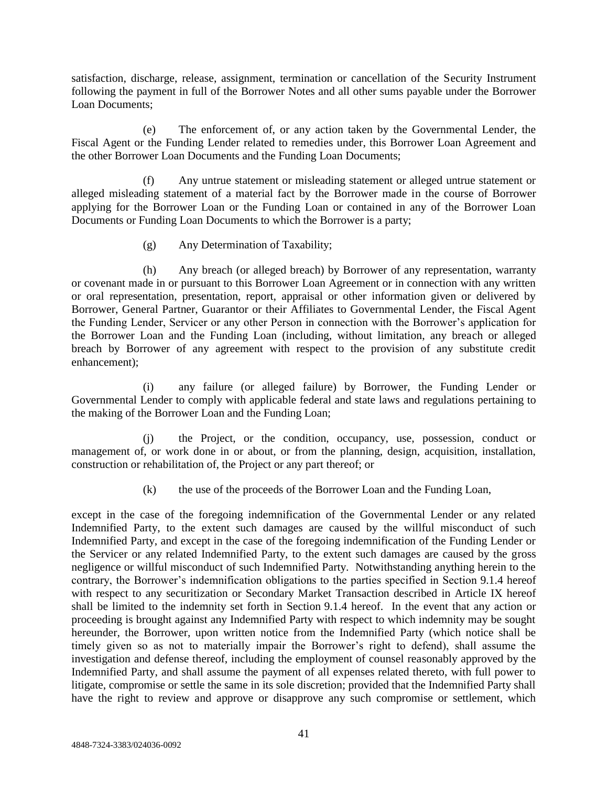satisfaction, discharge, release, assignment, termination or cancellation of the Security Instrument following the payment in full of the Borrower Notes and all other sums payable under the Borrower Loan Documents;

(e) The enforcement of, or any action taken by the Governmental Lender, the Fiscal Agent or the Funding Lender related to remedies under, this Borrower Loan Agreement and the other Borrower Loan Documents and the Funding Loan Documents;

(f) Any untrue statement or misleading statement or alleged untrue statement or alleged misleading statement of a material fact by the Borrower made in the course of Borrower applying for the Borrower Loan or the Funding Loan or contained in any of the Borrower Loan Documents or Funding Loan Documents to which the Borrower is a party;

(g) Any Determination of Taxability;

(h) Any breach (or alleged breach) by Borrower of any representation, warranty or covenant made in or pursuant to this Borrower Loan Agreement or in connection with any written or oral representation, presentation, report, appraisal or other information given or delivered by Borrower, General Partner, Guarantor or their Affiliates to Governmental Lender, the Fiscal Agent the Funding Lender, Servicer or any other Person in connection with the Borrower's application for the Borrower Loan and the Funding Loan (including, without limitation, any breach or alleged breach by Borrower of any agreement with respect to the provision of any substitute credit enhancement);

(i) any failure (or alleged failure) by Borrower, the Funding Lender or Governmental Lender to comply with applicable federal and state laws and regulations pertaining to the making of the Borrower Loan and the Funding Loan;

(j) the Project, or the condition, occupancy, use, possession, conduct or management of, or work done in or about, or from the planning, design, acquisition, installation, construction or rehabilitation of, the Project or any part thereof; or

(k) the use of the proceeds of the Borrower Loan and the Funding Loan,

except in the case of the foregoing indemnification of the Governmental Lender or any related Indemnified Party, to the extent such damages are caused by the willful misconduct of such Indemnified Party, and except in the case of the foregoing indemnification of the Funding Lender or the Servicer or any related Indemnified Party, to the extent such damages are caused by the gross negligence or willful misconduct of such Indemnified Party. Notwithstanding anything herein to the contrary, the Borrower's indemnification obligations to the parties specified in Section 9.1.4 hereof with respect to any securitization or Secondary Market Transaction described in Article IX hereof shall be limited to the indemnity set forth in Section 9.1.4 hereof. In the event that any action or proceeding is brought against any Indemnified Party with respect to which indemnity may be sought hereunder, the Borrower, upon written notice from the Indemnified Party (which notice shall be timely given so as not to materially impair the Borrower's right to defend), shall assume the investigation and defense thereof, including the employment of counsel reasonably approved by the Indemnified Party, and shall assume the payment of all expenses related thereto, with full power to litigate, compromise or settle the same in its sole discretion; provided that the Indemnified Party shall have the right to review and approve or disapprove any such compromise or settlement, which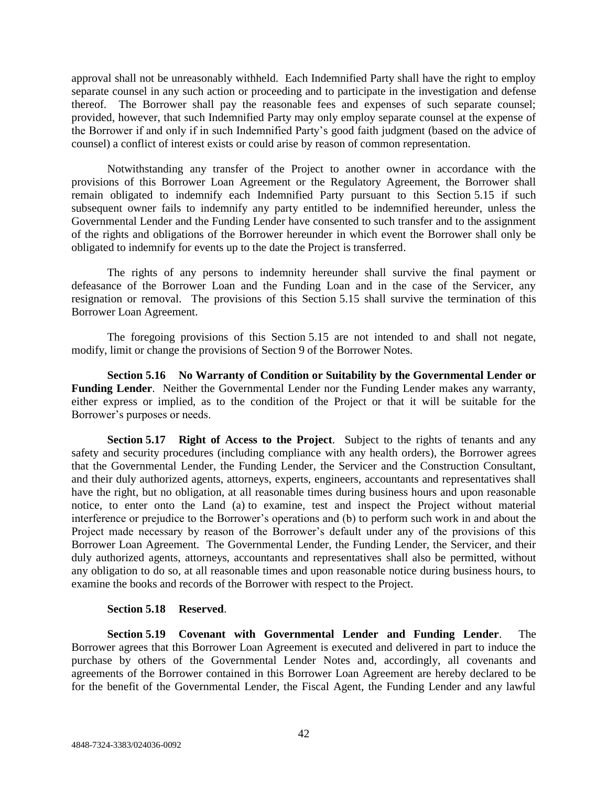approval shall not be unreasonably withheld. Each Indemnified Party shall have the right to employ separate counsel in any such action or proceeding and to participate in the investigation and defense thereof. The Borrower shall pay the reasonable fees and expenses of such separate counsel; provided, however, that such Indemnified Party may only employ separate counsel at the expense of the Borrower if and only if in such Indemnified Party's good faith judgment (based on the advice of counsel) a conflict of interest exists or could arise by reason of common representation.

Notwithstanding any transfer of the Project to another owner in accordance with the provisions of this Borrower Loan Agreement or the Regulatory Agreement, the Borrower shall remain obligated to indemnify each Indemnified Party pursuant to this Section 5.15 if such subsequent owner fails to indemnify any party entitled to be indemnified hereunder, unless the Governmental Lender and the Funding Lender have consented to such transfer and to the assignment of the rights and obligations of the Borrower hereunder in which event the Borrower shall only be obligated to indemnify for events up to the date the Project is transferred.

The rights of any persons to indemnity hereunder shall survive the final payment or defeasance of the Borrower Loan and the Funding Loan and in the case of the Servicer, any resignation or removal. The provisions of this Section 5.15 shall survive the termination of this Borrower Loan Agreement.

The foregoing provisions of this Section 5.15 are not intended to and shall not negate, modify, limit or change the provisions of Section 9 of the Borrower Notes.

**Section 5.16 No Warranty of Condition or Suitability by the Governmental Lender or Funding Lender**. Neither the Governmental Lender nor the Funding Lender makes any warranty, either express or implied, as to the condition of the Project or that it will be suitable for the Borrower's purposes or needs.

**Section 5.17 Right of Access to the Project**. Subject to the rights of tenants and any safety and security procedures (including compliance with any health orders), the Borrower agrees that the Governmental Lender, the Funding Lender, the Servicer and the Construction Consultant, and their duly authorized agents, attorneys, experts, engineers, accountants and representatives shall have the right, but no obligation, at all reasonable times during business hours and upon reasonable notice, to enter onto the Land (a) to examine, test and inspect the Project without material interference or prejudice to the Borrower's operations and (b) to perform such work in and about the Project made necessary by reason of the Borrower's default under any of the provisions of this Borrower Loan Agreement. The Governmental Lender, the Funding Lender, the Servicer, and their duly authorized agents, attorneys, accountants and representatives shall also be permitted, without any obligation to do so, at all reasonable times and upon reasonable notice during business hours, to examine the books and records of the Borrower with respect to the Project.

# **Section 5.18 Reserved**.

**Section 5.19 Covenant with Governmental Lender and Funding Lender**. The Borrower agrees that this Borrower Loan Agreement is executed and delivered in part to induce the purchase by others of the Governmental Lender Notes and, accordingly, all covenants and agreements of the Borrower contained in this Borrower Loan Agreement are hereby declared to be for the benefit of the Governmental Lender, the Fiscal Agent, the Funding Lender and any lawful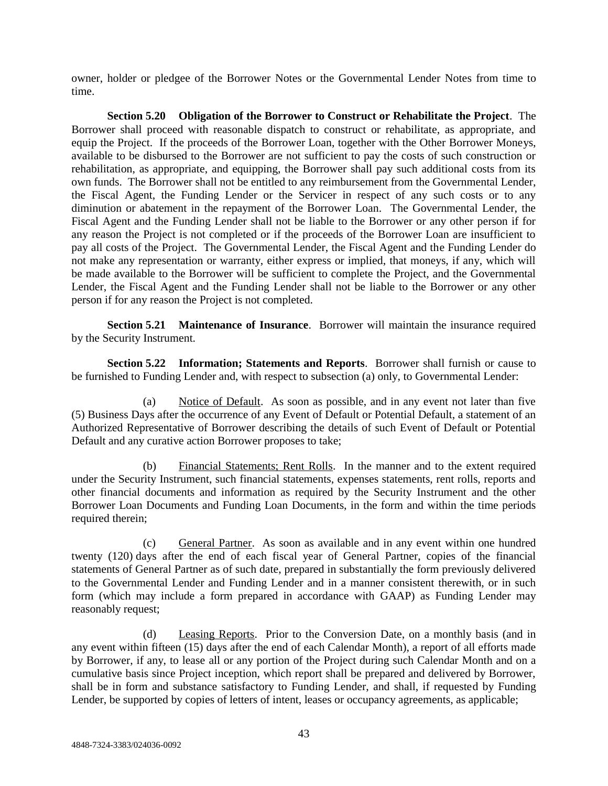owner, holder or pledgee of the Borrower Notes or the Governmental Lender Notes from time to time.

**Section 5.20 Obligation of the Borrower to Construct or Rehabilitate the Project**. The Borrower shall proceed with reasonable dispatch to construct or rehabilitate, as appropriate, and equip the Project. If the proceeds of the Borrower Loan, together with the Other Borrower Moneys, available to be disbursed to the Borrower are not sufficient to pay the costs of such construction or rehabilitation, as appropriate, and equipping, the Borrower shall pay such additional costs from its own funds. The Borrower shall not be entitled to any reimbursement from the Governmental Lender, the Fiscal Agent, the Funding Lender or the Servicer in respect of any such costs or to any diminution or abatement in the repayment of the Borrower Loan. The Governmental Lender, the Fiscal Agent and the Funding Lender shall not be liable to the Borrower or any other person if for any reason the Project is not completed or if the proceeds of the Borrower Loan are insufficient to pay all costs of the Project. The Governmental Lender, the Fiscal Agent and the Funding Lender do not make any representation or warranty, either express or implied, that moneys, if any, which will be made available to the Borrower will be sufficient to complete the Project, and the Governmental Lender, the Fiscal Agent and the Funding Lender shall not be liable to the Borrower or any other person if for any reason the Project is not completed.

**Section 5.21 Maintenance of Insurance**. Borrower will maintain the insurance required by the Security Instrument.

**Section 5.22 Information; Statements and Reports**. Borrower shall furnish or cause to be furnished to Funding Lender and, with respect to subsection (a) only, to Governmental Lender:

(a) Notice of Default. As soon as possible, and in any event not later than five (5) Business Days after the occurrence of any Event of Default or Potential Default, a statement of an Authorized Representative of Borrower describing the details of such Event of Default or Potential Default and any curative action Borrower proposes to take;

(b) Financial Statements; Rent Rolls. In the manner and to the extent required under the Security Instrument, such financial statements, expenses statements, rent rolls, reports and other financial documents and information as required by the Security Instrument and the other Borrower Loan Documents and Funding Loan Documents, in the form and within the time periods required therein;

(c) General Partner. As soon as available and in any event within one hundred twenty (120) days after the end of each fiscal year of General Partner, copies of the financial statements of General Partner as of such date, prepared in substantially the form previously delivered to the Governmental Lender and Funding Lender and in a manner consistent therewith, or in such form (which may include a form prepared in accordance with GAAP) as Funding Lender may reasonably request;

(d) Leasing Reports. Prior to the Conversion Date, on a monthly basis (and in any event within fifteen (15) days after the end of each Calendar Month), a report of all efforts made by Borrower, if any, to lease all or any portion of the Project during such Calendar Month and on a cumulative basis since Project inception, which report shall be prepared and delivered by Borrower, shall be in form and substance satisfactory to Funding Lender, and shall, if requested by Funding Lender, be supported by copies of letters of intent, leases or occupancy agreements, as applicable;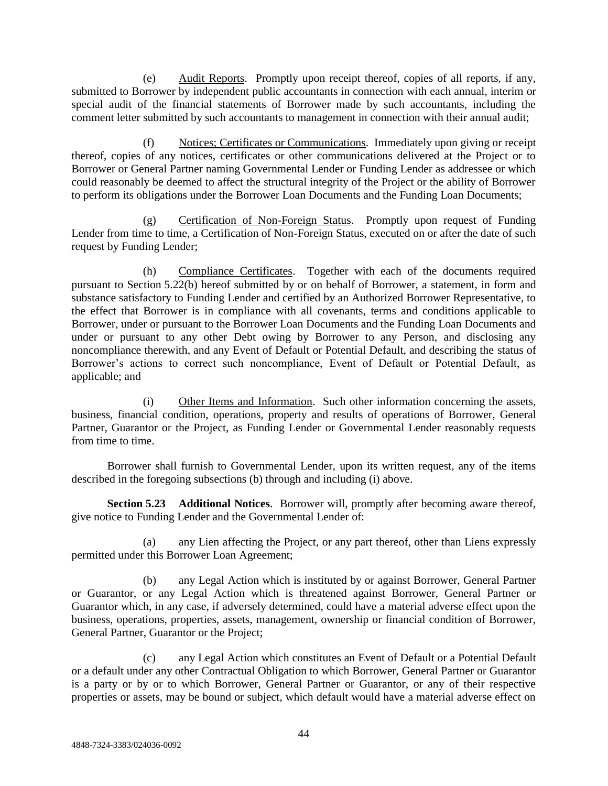(e) Audit Reports. Promptly upon receipt thereof, copies of all reports, if any, submitted to Borrower by independent public accountants in connection with each annual, interim or special audit of the financial statements of Borrower made by such accountants, including the comment letter submitted by such accountants to management in connection with their annual audit;

Notices; Certificates or Communications. Immediately upon giving or receipt thereof, copies of any notices, certificates or other communications delivered at the Project or to Borrower or General Partner naming Governmental Lender or Funding Lender as addressee or which could reasonably be deemed to affect the structural integrity of the Project or the ability of Borrower to perform its obligations under the Borrower Loan Documents and the Funding Loan Documents;

(g) Certification of Non-Foreign Status. Promptly upon request of Funding Lender from time to time, a Certification of Non-Foreign Status, executed on or after the date of such request by Funding Lender;

(h) Compliance Certificates. Together with each of the documents required pursuant to Section 5.22(b) hereof submitted by or on behalf of Borrower, a statement, in form and substance satisfactory to Funding Lender and certified by an Authorized Borrower Representative, to the effect that Borrower is in compliance with all covenants, terms and conditions applicable to Borrower, under or pursuant to the Borrower Loan Documents and the Funding Loan Documents and under or pursuant to any other Debt owing by Borrower to any Person, and disclosing any noncompliance therewith, and any Event of Default or Potential Default, and describing the status of Borrower's actions to correct such noncompliance, Event of Default or Potential Default, as applicable; and

(i) Other Items and Information. Such other information concerning the assets, business, financial condition, operations, property and results of operations of Borrower, General Partner, Guarantor or the Project, as Funding Lender or Governmental Lender reasonably requests from time to time.

Borrower shall furnish to Governmental Lender, upon its written request, any of the items described in the foregoing subsections (b) through and including (i) above.

**Section 5.23 Additional Notices**. Borrower will, promptly after becoming aware thereof, give notice to Funding Lender and the Governmental Lender of:

any Lien affecting the Project, or any part thereof, other than Liens expressly permitted under this Borrower Loan Agreement;

(b) any Legal Action which is instituted by or against Borrower, General Partner or Guarantor, or any Legal Action which is threatened against Borrower, General Partner or Guarantor which, in any case, if adversely determined, could have a material adverse effect upon the business, operations, properties, assets, management, ownership or financial condition of Borrower, General Partner, Guarantor or the Project;

(c) any Legal Action which constitutes an Event of Default or a Potential Default or a default under any other Contractual Obligation to which Borrower, General Partner or Guarantor is a party or by or to which Borrower, General Partner or Guarantor, or any of their respective properties or assets, may be bound or subject, which default would have a material adverse effect on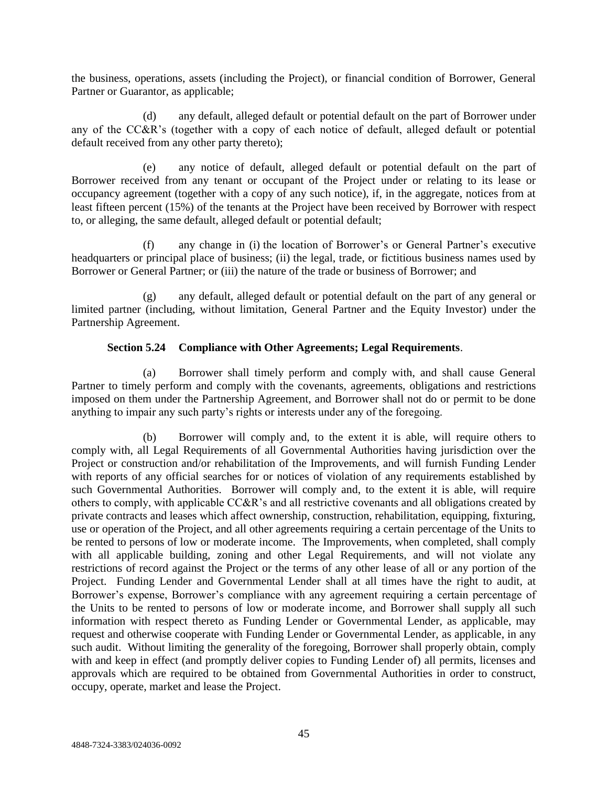the business, operations, assets (including the Project), or financial condition of Borrower, General Partner or Guarantor, as applicable;

(d) any default, alleged default or potential default on the part of Borrower under any of the CC&R's (together with a copy of each notice of default, alleged default or potential default received from any other party thereto);

(e) any notice of default, alleged default or potential default on the part of Borrower received from any tenant or occupant of the Project under or relating to its lease or occupancy agreement (together with a copy of any such notice), if, in the aggregate, notices from at least fifteen percent (15%) of the tenants at the Project have been received by Borrower with respect to, or alleging, the same default, alleged default or potential default;

(f) any change in (i) the location of Borrower's or General Partner's executive headquarters or principal place of business; (ii) the legal, trade, or fictitious business names used by Borrower or General Partner; or (iii) the nature of the trade or business of Borrower; and

(g) any default, alleged default or potential default on the part of any general or limited partner (including, without limitation, General Partner and the Equity Investor) under the Partnership Agreement.

# **Section 5.24 Compliance with Other Agreements; Legal Requirements**.

(a) Borrower shall timely perform and comply with, and shall cause General Partner to timely perform and comply with the covenants, agreements, obligations and restrictions imposed on them under the Partnership Agreement, and Borrower shall not do or permit to be done anything to impair any such party's rights or interests under any of the foregoing.

(b) Borrower will comply and, to the extent it is able, will require others to comply with, all Legal Requirements of all Governmental Authorities having jurisdiction over the Project or construction and/or rehabilitation of the Improvements, and will furnish Funding Lender with reports of any official searches for or notices of violation of any requirements established by such Governmental Authorities. Borrower will comply and, to the extent it is able, will require others to comply, with applicable CC&R's and all restrictive covenants and all obligations created by private contracts and leases which affect ownership, construction, rehabilitation, equipping, fixturing, use or operation of the Project, and all other agreements requiring a certain percentage of the Units to be rented to persons of low or moderate income. The Improvements, when completed, shall comply with all applicable building, zoning and other Legal Requirements, and will not violate any restrictions of record against the Project or the terms of any other lease of all or any portion of the Project. Funding Lender and Governmental Lender shall at all times have the right to audit, at Borrower's expense, Borrower's compliance with any agreement requiring a certain percentage of the Units to be rented to persons of low or moderate income, and Borrower shall supply all such information with respect thereto as Funding Lender or Governmental Lender, as applicable, may request and otherwise cooperate with Funding Lender or Governmental Lender, as applicable, in any such audit. Without limiting the generality of the foregoing, Borrower shall properly obtain, comply with and keep in effect (and promptly deliver copies to Funding Lender of) all permits, licenses and approvals which are required to be obtained from Governmental Authorities in order to construct, occupy, operate, market and lease the Project.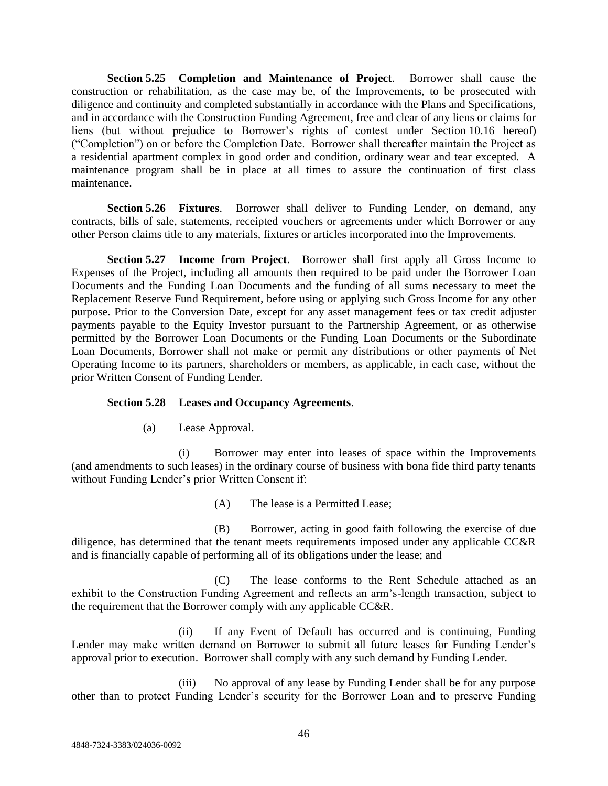**Section 5.25 Completion and Maintenance of Project**. Borrower shall cause the construction or rehabilitation, as the case may be, of the Improvements, to be prosecuted with diligence and continuity and completed substantially in accordance with the Plans and Specifications, and in accordance with the Construction Funding Agreement, free and clear of any liens or claims for liens (but without prejudice to Borrower's rights of contest under Section 10.16 hereof) ("Completion") on or before the Completion Date. Borrower shall thereafter maintain the Project as a residential apartment complex in good order and condition, ordinary wear and tear excepted. A maintenance program shall be in place at all times to assure the continuation of first class maintenance.

**Section 5.26 Fixtures**. Borrower shall deliver to Funding Lender, on demand, any contracts, bills of sale, statements, receipted vouchers or agreements under which Borrower or any other Person claims title to any materials, fixtures or articles incorporated into the Improvements.

**Section 5.27 Income from Project**. Borrower shall first apply all Gross Income to Expenses of the Project, including all amounts then required to be paid under the Borrower Loan Documents and the Funding Loan Documents and the funding of all sums necessary to meet the Replacement Reserve Fund Requirement, before using or applying such Gross Income for any other purpose. Prior to the Conversion Date, except for any asset management fees or tax credit adjuster payments payable to the Equity Investor pursuant to the Partnership Agreement, or as otherwise permitted by the Borrower Loan Documents or the Funding Loan Documents or the Subordinate Loan Documents, Borrower shall not make or permit any distributions or other payments of Net Operating Income to its partners, shareholders or members, as applicable, in each case, without the prior Written Consent of Funding Lender.

# **Section 5.28 Leases and Occupancy Agreements**.

(a) Lease Approval.

(i) Borrower may enter into leases of space within the Improvements (and amendments to such leases) in the ordinary course of business with bona fide third party tenants without Funding Lender's prior Written Consent if:

(A) The lease is a Permitted Lease;

(B) Borrower, acting in good faith following the exercise of due diligence, has determined that the tenant meets requirements imposed under any applicable CC&R and is financially capable of performing all of its obligations under the lease; and

(C) The lease conforms to the Rent Schedule attached as an exhibit to the Construction Funding Agreement and reflects an arm's-length transaction, subject to the requirement that the Borrower comply with any applicable CC&R.

(ii) If any Event of Default has occurred and is continuing, Funding Lender may make written demand on Borrower to submit all future leases for Funding Lender's approval prior to execution. Borrower shall comply with any such demand by Funding Lender.

(iii) No approval of any lease by Funding Lender shall be for any purpose other than to protect Funding Lender's security for the Borrower Loan and to preserve Funding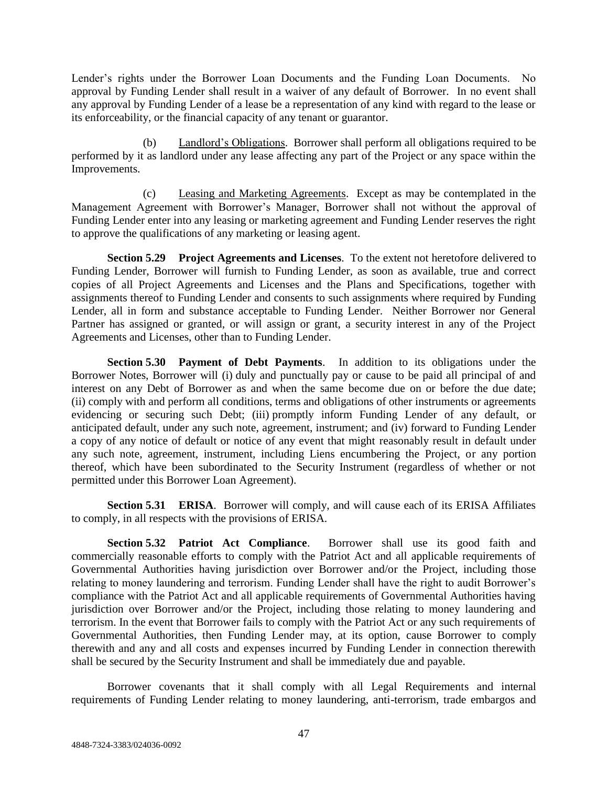Lender's rights under the Borrower Loan Documents and the Funding Loan Documents. No approval by Funding Lender shall result in a waiver of any default of Borrower. In no event shall any approval by Funding Lender of a lease be a representation of any kind with regard to the lease or its enforceability, or the financial capacity of any tenant or guarantor.

Landlord's Obligations. Borrower shall perform all obligations required to be performed by it as landlord under any lease affecting any part of the Project or any space within the Improvements.

(c) Leasing and Marketing Agreements. Except as may be contemplated in the Management Agreement with Borrower's Manager, Borrower shall not without the approval of Funding Lender enter into any leasing or marketing agreement and Funding Lender reserves the right to approve the qualifications of any marketing or leasing agent.

**Section 5.29 Project Agreements and Licenses**. To the extent not heretofore delivered to Funding Lender, Borrower will furnish to Funding Lender, as soon as available, true and correct copies of all Project Agreements and Licenses and the Plans and Specifications, together with assignments thereof to Funding Lender and consents to such assignments where required by Funding Lender, all in form and substance acceptable to Funding Lender. Neither Borrower nor General Partner has assigned or granted, or will assign or grant, a security interest in any of the Project Agreements and Licenses, other than to Funding Lender.

**Section 5.30 Payment of Debt Payments**. In addition to its obligations under the Borrower Notes, Borrower will (i) duly and punctually pay or cause to be paid all principal of and interest on any Debt of Borrower as and when the same become due on or before the due date; (ii) comply with and perform all conditions, terms and obligations of other instruments or agreements evidencing or securing such Debt; (iii) promptly inform Funding Lender of any default, or anticipated default, under any such note, agreement, instrument; and (iv) forward to Funding Lender a copy of any notice of default or notice of any event that might reasonably result in default under any such note, agreement, instrument, including Liens encumbering the Project, or any portion thereof, which have been subordinated to the Security Instrument (regardless of whether or not permitted under this Borrower Loan Agreement).

**Section 5.31 <b>ERISA**. Borrower will comply, and will cause each of its ERISA Affiliates to comply, in all respects with the provisions of ERISA.

**Section 5.32 Patriot Act Compliance**. Borrower shall use its good faith and commercially reasonable efforts to comply with the Patriot Act and all applicable requirements of Governmental Authorities having jurisdiction over Borrower and/or the Project, including those relating to money laundering and terrorism. Funding Lender shall have the right to audit Borrower's compliance with the Patriot Act and all applicable requirements of Governmental Authorities having jurisdiction over Borrower and/or the Project, including those relating to money laundering and terrorism. In the event that Borrower fails to comply with the Patriot Act or any such requirements of Governmental Authorities, then Funding Lender may, at its option, cause Borrower to comply therewith and any and all costs and expenses incurred by Funding Lender in connection therewith shall be secured by the Security Instrument and shall be immediately due and payable.

Borrower covenants that it shall comply with all Legal Requirements and internal requirements of Funding Lender relating to money laundering, anti-terrorism, trade embargos and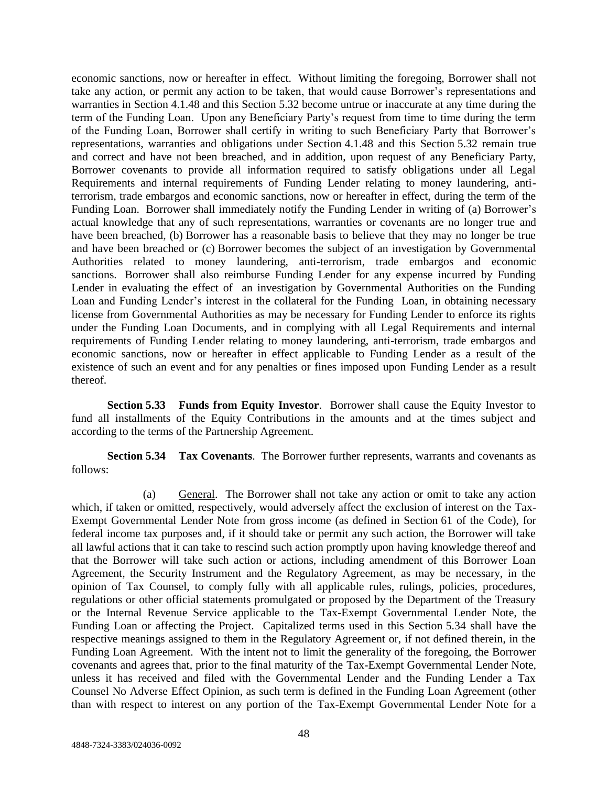economic sanctions, now or hereafter in effect. Without limiting the foregoing, Borrower shall not take any action, or permit any action to be taken, that would cause Borrower's representations and warranties in Section 4.1.48 and this Section 5.32 become untrue or inaccurate at any time during the term of the Funding Loan. Upon any Beneficiary Party's request from time to time during the term of the Funding Loan, Borrower shall certify in writing to such Beneficiary Party that Borrower's representations, warranties and obligations under Section 4.1.48 and this Section 5.32 remain true and correct and have not been breached, and in addition, upon request of any Beneficiary Party, Borrower covenants to provide all information required to satisfy obligations under all Legal Requirements and internal requirements of Funding Lender relating to money laundering, antiterrorism, trade embargos and economic sanctions, now or hereafter in effect, during the term of the Funding Loan. Borrower shall immediately notify the Funding Lender in writing of (a) Borrower's actual knowledge that any of such representations, warranties or covenants are no longer true and have been breached, (b) Borrower has a reasonable basis to believe that they may no longer be true and have been breached or (c) Borrower becomes the subject of an investigation by Governmental Authorities related to money laundering, anti-terrorism, trade embargos and economic sanctions. Borrower shall also reimburse Funding Lender for any expense incurred by Funding Lender in evaluating the effect of an investigation by Governmental Authorities on the Funding Loan and Funding Lender's interest in the collateral for the Funding Loan, in obtaining necessary license from Governmental Authorities as may be necessary for Funding Lender to enforce its rights under the Funding Loan Documents, and in complying with all Legal Requirements and internal requirements of Funding Lender relating to money laundering, anti-terrorism, trade embargos and economic sanctions, now or hereafter in effect applicable to Funding Lender as a result of the existence of such an event and for any penalties or fines imposed upon Funding Lender as a result thereof.

**Section 5.33 Funds from Equity Investor**. Borrower shall cause the Equity Investor to fund all installments of the Equity Contributions in the amounts and at the times subject and according to the terms of the Partnership Agreement.

**Section 5.34 Tax Covenants**. The Borrower further represents, warrants and covenants as follows:

(a) General. The Borrower shall not take any action or omit to take any action which, if taken or omitted, respectively, would adversely affect the exclusion of interest on the Tax-Exempt Governmental Lender Note from gross income (as defined in Section 61 of the Code), for federal income tax purposes and, if it should take or permit any such action, the Borrower will take all lawful actions that it can take to rescind such action promptly upon having knowledge thereof and that the Borrower will take such action or actions, including amendment of this Borrower Loan Agreement, the Security Instrument and the Regulatory Agreement, as may be necessary, in the opinion of Tax Counsel, to comply fully with all applicable rules, rulings, policies, procedures, regulations or other official statements promulgated or proposed by the Department of the Treasury or the Internal Revenue Service applicable to the Tax-Exempt Governmental Lender Note, the Funding Loan or affecting the Project. Capitalized terms used in this Section 5.34 shall have the respective meanings assigned to them in the Regulatory Agreement or, if not defined therein, in the Funding Loan Agreement. With the intent not to limit the generality of the foregoing, the Borrower covenants and agrees that, prior to the final maturity of the Tax-Exempt Governmental Lender Note, unless it has received and filed with the Governmental Lender and the Funding Lender a Tax Counsel No Adverse Effect Opinion, as such term is defined in the Funding Loan Agreement (other than with respect to interest on any portion of the Tax-Exempt Governmental Lender Note for a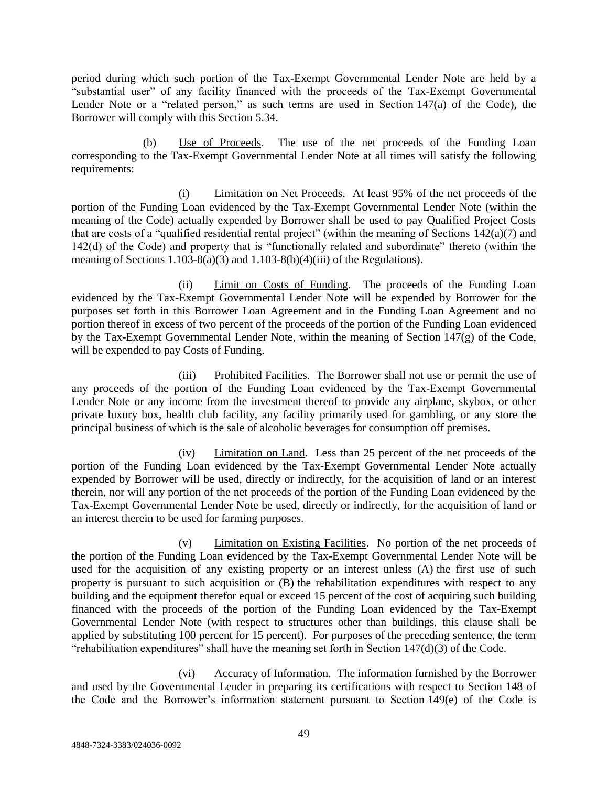period during which such portion of the Tax-Exempt Governmental Lender Note are held by a "substantial user" of any facility financed with the proceeds of the Tax-Exempt Governmental Lender Note or a "related person," as such terms are used in Section 147(a) of the Code), the Borrower will comply with this Section 5.34.

(b) Use of Proceeds. The use of the net proceeds of the Funding Loan corresponding to the Tax-Exempt Governmental Lender Note at all times will satisfy the following requirements:

(i) Limitation on Net Proceeds. At least 95% of the net proceeds of the portion of the Funding Loan evidenced by the Tax-Exempt Governmental Lender Note (within the meaning of the Code) actually expended by Borrower shall be used to pay Qualified Project Costs that are costs of a "qualified residential rental project" (within the meaning of Sections  $142(a)(7)$  and 142(d) of the Code) and property that is "functionally related and subordinate" thereto (within the meaning of Sections  $1.103-8(a)(3)$  and  $1.103-8(b)(4)(iii)$  of the Regulations).

(ii) Limit on Costs of Funding. The proceeds of the Funding Loan evidenced by the Tax-Exempt Governmental Lender Note will be expended by Borrower for the purposes set forth in this Borrower Loan Agreement and in the Funding Loan Agreement and no portion thereof in excess of two percent of the proceeds of the portion of the Funding Loan evidenced by the Tax-Exempt Governmental Lender Note, within the meaning of Section 147(g) of the Code, will be expended to pay Costs of Funding.

(iii) Prohibited Facilities. The Borrower shall not use or permit the use of any proceeds of the portion of the Funding Loan evidenced by the Tax-Exempt Governmental Lender Note or any income from the investment thereof to provide any airplane, skybox, or other private luxury box, health club facility, any facility primarily used for gambling, or any store the principal business of which is the sale of alcoholic beverages for consumption off premises.

(iv) Limitation on Land. Less than 25 percent of the net proceeds of the portion of the Funding Loan evidenced by the Tax-Exempt Governmental Lender Note actually expended by Borrower will be used, directly or indirectly, for the acquisition of land or an interest therein, nor will any portion of the net proceeds of the portion of the Funding Loan evidenced by the Tax-Exempt Governmental Lender Note be used, directly or indirectly, for the acquisition of land or an interest therein to be used for farming purposes.

(v) Limitation on Existing Facilities. No portion of the net proceeds of the portion of the Funding Loan evidenced by the Tax-Exempt Governmental Lender Note will be used for the acquisition of any existing property or an interest unless (A) the first use of such property is pursuant to such acquisition or (B) the rehabilitation expenditures with respect to any building and the equipment therefor equal or exceed 15 percent of the cost of acquiring such building financed with the proceeds of the portion of the Funding Loan evidenced by the Tax-Exempt Governmental Lender Note (with respect to structures other than buildings, this clause shall be applied by substituting 100 percent for 15 percent). For purposes of the preceding sentence, the term "rehabilitation expenditures" shall have the meaning set forth in Section 147(d)(3) of the Code.

(vi) Accuracy of Information. The information furnished by the Borrower and used by the Governmental Lender in preparing its certifications with respect to Section 148 of the Code and the Borrower's information statement pursuant to Section 149(e) of the Code is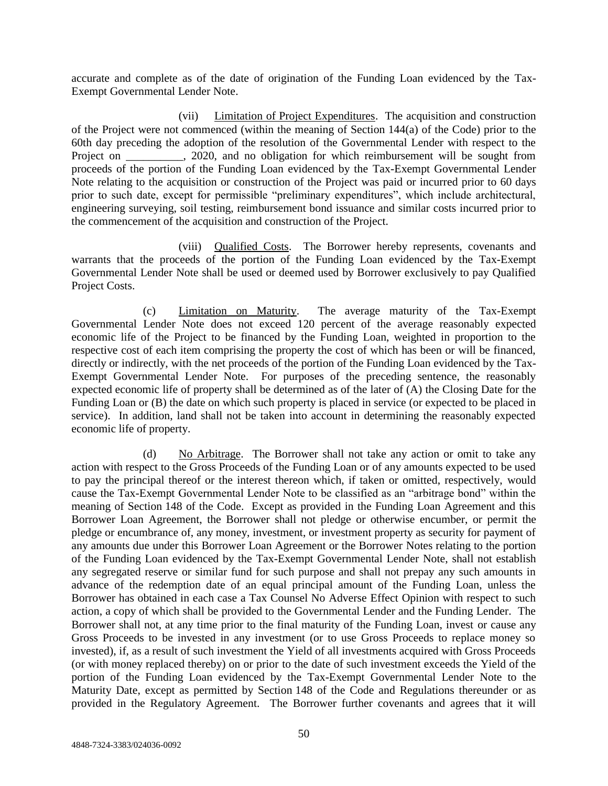accurate and complete as of the date of origination of the Funding Loan evidenced by the Tax-Exempt Governmental Lender Note.

(vii) Limitation of Project Expenditures. The acquisition and construction of the Project were not commenced (within the meaning of Section 144(a) of the Code) prior to the 60th day preceding the adoption of the resolution of the Governmental Lender with respect to the Project on \_\_\_\_\_\_\_\_, 2020, and no obligation for which reimbursement will be sought from proceeds of the portion of the Funding Loan evidenced by the Tax-Exempt Governmental Lender Note relating to the acquisition or construction of the Project was paid or incurred prior to 60 days prior to such date, except for permissible "preliminary expenditures", which include architectural, engineering surveying, soil testing, reimbursement bond issuance and similar costs incurred prior to the commencement of the acquisition and construction of the Project.

(viii) Qualified Costs. The Borrower hereby represents, covenants and warrants that the proceeds of the portion of the Funding Loan evidenced by the Tax-Exempt Governmental Lender Note shall be used or deemed used by Borrower exclusively to pay Qualified Project Costs.

(c) Limitation on Maturity. The average maturity of the Tax-Exempt Governmental Lender Note does not exceed 120 percent of the average reasonably expected economic life of the Project to be financed by the Funding Loan, weighted in proportion to the respective cost of each item comprising the property the cost of which has been or will be financed, directly or indirectly, with the net proceeds of the portion of the Funding Loan evidenced by the Tax-Exempt Governmental Lender Note. For purposes of the preceding sentence, the reasonably expected economic life of property shall be determined as of the later of (A) the Closing Date for the Funding Loan or (B) the date on which such property is placed in service (or expected to be placed in service). In addition, land shall not be taken into account in determining the reasonably expected economic life of property.

(d) No Arbitrage. The Borrower shall not take any action or omit to take any action with respect to the Gross Proceeds of the Funding Loan or of any amounts expected to be used to pay the principal thereof or the interest thereon which, if taken or omitted, respectively, would cause the Tax-Exempt Governmental Lender Note to be classified as an "arbitrage bond" within the meaning of Section 148 of the Code. Except as provided in the Funding Loan Agreement and this Borrower Loan Agreement, the Borrower shall not pledge or otherwise encumber, or permit the pledge or encumbrance of, any money, investment, or investment property as security for payment of any amounts due under this Borrower Loan Agreement or the Borrower Notes relating to the portion of the Funding Loan evidenced by the Tax-Exempt Governmental Lender Note, shall not establish any segregated reserve or similar fund for such purpose and shall not prepay any such amounts in advance of the redemption date of an equal principal amount of the Funding Loan, unless the Borrower has obtained in each case a Tax Counsel No Adverse Effect Opinion with respect to such action, a copy of which shall be provided to the Governmental Lender and the Funding Lender. The Borrower shall not, at any time prior to the final maturity of the Funding Loan, invest or cause any Gross Proceeds to be invested in any investment (or to use Gross Proceeds to replace money so invested), if, as a result of such investment the Yield of all investments acquired with Gross Proceeds (or with money replaced thereby) on or prior to the date of such investment exceeds the Yield of the portion of the Funding Loan evidenced by the Tax-Exempt Governmental Lender Note to the Maturity Date, except as permitted by Section 148 of the Code and Regulations thereunder or as provided in the Regulatory Agreement. The Borrower further covenants and agrees that it will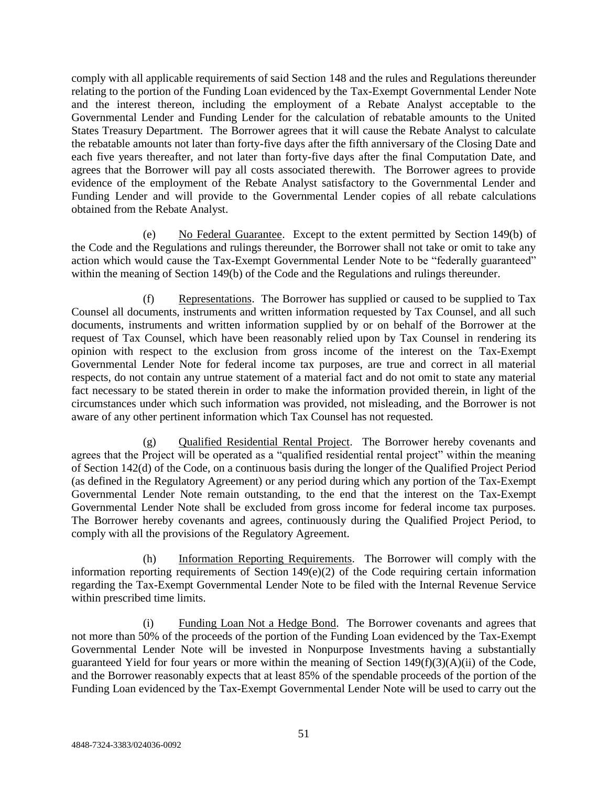comply with all applicable requirements of said Section 148 and the rules and Regulations thereunder relating to the portion of the Funding Loan evidenced by the Tax-Exempt Governmental Lender Note and the interest thereon, including the employment of a Rebate Analyst acceptable to the Governmental Lender and Funding Lender for the calculation of rebatable amounts to the United States Treasury Department. The Borrower agrees that it will cause the Rebate Analyst to calculate the rebatable amounts not later than forty-five days after the fifth anniversary of the Closing Date and each five years thereafter, and not later than forty-five days after the final Computation Date, and agrees that the Borrower will pay all costs associated therewith. The Borrower agrees to provide evidence of the employment of the Rebate Analyst satisfactory to the Governmental Lender and Funding Lender and will provide to the Governmental Lender copies of all rebate calculations obtained from the Rebate Analyst.

(e) No Federal Guarantee. Except to the extent permitted by Section 149(b) of the Code and the Regulations and rulings thereunder, the Borrower shall not take or omit to take any action which would cause the Tax-Exempt Governmental Lender Note to be "federally guaranteed" within the meaning of Section 149(b) of the Code and the Regulations and rulings thereunder.

(f) Representations. The Borrower has supplied or caused to be supplied to Tax Counsel all documents, instruments and written information requested by Tax Counsel, and all such documents, instruments and written information supplied by or on behalf of the Borrower at the request of Tax Counsel, which have been reasonably relied upon by Tax Counsel in rendering its opinion with respect to the exclusion from gross income of the interest on the Tax-Exempt Governmental Lender Note for federal income tax purposes, are true and correct in all material respects, do not contain any untrue statement of a material fact and do not omit to state any material fact necessary to be stated therein in order to make the information provided therein, in light of the circumstances under which such information was provided, not misleading, and the Borrower is not aware of any other pertinent information which Tax Counsel has not requested.

(g) Qualified Residential Rental Project. The Borrower hereby covenants and agrees that the Project will be operated as a "qualified residential rental project" within the meaning of Section 142(d) of the Code, on a continuous basis during the longer of the Qualified Project Period (as defined in the Regulatory Agreement) or any period during which any portion of the Tax-Exempt Governmental Lender Note remain outstanding, to the end that the interest on the Tax-Exempt Governmental Lender Note shall be excluded from gross income for federal income tax purposes. The Borrower hereby covenants and agrees, continuously during the Qualified Project Period, to comply with all the provisions of the Regulatory Agreement.

(h) Information Reporting Requirements. The Borrower will comply with the information reporting requirements of Section 149(e)(2) of the Code requiring certain information regarding the Tax-Exempt Governmental Lender Note to be filed with the Internal Revenue Service within prescribed time limits.

(i) Funding Loan Not a Hedge Bond. The Borrower covenants and agrees that not more than 50% of the proceeds of the portion of the Funding Loan evidenced by the Tax-Exempt Governmental Lender Note will be invested in Nonpurpose Investments having a substantially guaranteed Yield for four years or more within the meaning of Section  $149(f)(3)(A)(ii)$  of the Code, and the Borrower reasonably expects that at least 85% of the spendable proceeds of the portion of the Funding Loan evidenced by the Tax-Exempt Governmental Lender Note will be used to carry out the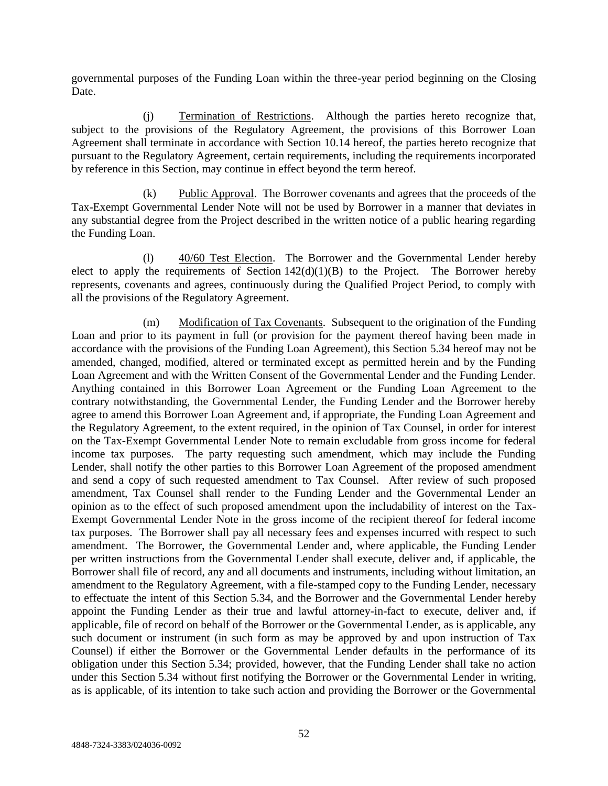governmental purposes of the Funding Loan within the three-year period beginning on the Closing Date.

(j) Termination of Restrictions. Although the parties hereto recognize that, subject to the provisions of the Regulatory Agreement, the provisions of this Borrower Loan Agreement shall terminate in accordance with Section 10.14 hereof, the parties hereto recognize that pursuant to the Regulatory Agreement, certain requirements, including the requirements incorporated by reference in this Section, may continue in effect beyond the term hereof.

(k) Public Approval. The Borrower covenants and agrees that the proceeds of the Tax-Exempt Governmental Lender Note will not be used by Borrower in a manner that deviates in any substantial degree from the Project described in the written notice of a public hearing regarding the Funding Loan.

(l) 40/60 Test Election. The Borrower and the Governmental Lender hereby elect to apply the requirements of Section  $142(d)(1)(B)$  to the Project. The Borrower hereby represents, covenants and agrees, continuously during the Qualified Project Period, to comply with all the provisions of the Regulatory Agreement.

(m) Modification of Tax Covenants. Subsequent to the origination of the Funding Loan and prior to its payment in full (or provision for the payment thereof having been made in accordance with the provisions of the Funding Loan Agreement), this Section 5.34 hereof may not be amended, changed, modified, altered or terminated except as permitted herein and by the Funding Loan Agreement and with the Written Consent of the Governmental Lender and the Funding Lender. Anything contained in this Borrower Loan Agreement or the Funding Loan Agreement to the contrary notwithstanding, the Governmental Lender, the Funding Lender and the Borrower hereby agree to amend this Borrower Loan Agreement and, if appropriate, the Funding Loan Agreement and the Regulatory Agreement, to the extent required, in the opinion of Tax Counsel, in order for interest on the Tax-Exempt Governmental Lender Note to remain excludable from gross income for federal income tax purposes. The party requesting such amendment, which may include the Funding Lender, shall notify the other parties to this Borrower Loan Agreement of the proposed amendment and send a copy of such requested amendment to Tax Counsel. After review of such proposed amendment, Tax Counsel shall render to the Funding Lender and the Governmental Lender an opinion as to the effect of such proposed amendment upon the includability of interest on the Tax-Exempt Governmental Lender Note in the gross income of the recipient thereof for federal income tax purposes. The Borrower shall pay all necessary fees and expenses incurred with respect to such amendment. The Borrower, the Governmental Lender and, where applicable, the Funding Lender per written instructions from the Governmental Lender shall execute, deliver and, if applicable, the Borrower shall file of record, any and all documents and instruments, including without limitation, an amendment to the Regulatory Agreement, with a file-stamped copy to the Funding Lender, necessary to effectuate the intent of this Section 5.34, and the Borrower and the Governmental Lender hereby appoint the Funding Lender as their true and lawful attorney-in-fact to execute, deliver and, if applicable, file of record on behalf of the Borrower or the Governmental Lender, as is applicable, any such document or instrument (in such form as may be approved by and upon instruction of Tax Counsel) if either the Borrower or the Governmental Lender defaults in the performance of its obligation under this Section 5.34; provided, however, that the Funding Lender shall take no action under this Section 5.34 without first notifying the Borrower or the Governmental Lender in writing, as is applicable, of its intention to take such action and providing the Borrower or the Governmental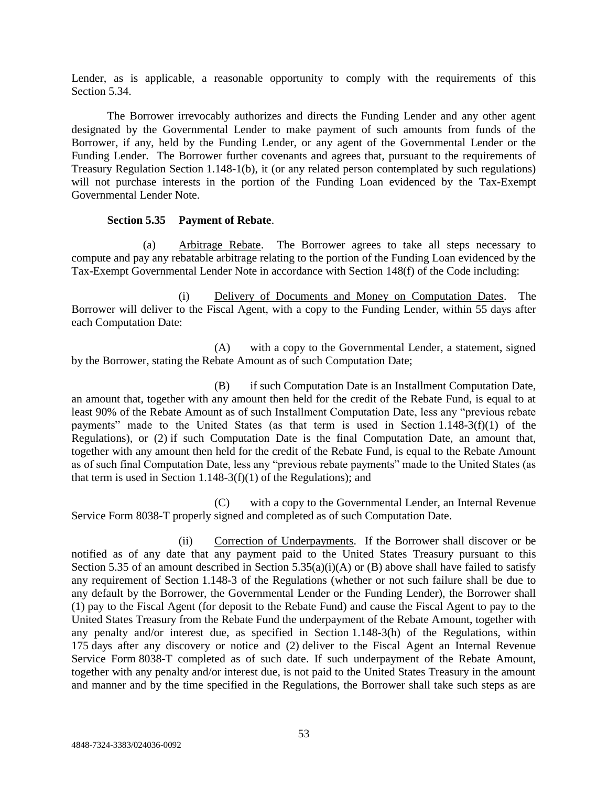Lender, as is applicable, a reasonable opportunity to comply with the requirements of this Section 5.34.

The Borrower irrevocably authorizes and directs the Funding Lender and any other agent designated by the Governmental Lender to make payment of such amounts from funds of the Borrower, if any, held by the Funding Lender, or any agent of the Governmental Lender or the Funding Lender. The Borrower further covenants and agrees that, pursuant to the requirements of Treasury Regulation Section 1.148-1(b), it (or any related person contemplated by such regulations) will not purchase interests in the portion of the Funding Loan evidenced by the Tax-Exempt Governmental Lender Note.

# **Section 5.35 Payment of Rebate**.

(a) Arbitrage Rebate. The Borrower agrees to take all steps necessary to compute and pay any rebatable arbitrage relating to the portion of the Funding Loan evidenced by the Tax-Exempt Governmental Lender Note in accordance with Section 148(f) of the Code including:

(i) Delivery of Documents and Money on Computation Dates. The Borrower will deliver to the Fiscal Agent, with a copy to the Funding Lender, within 55 days after each Computation Date:

(A) with a copy to the Governmental Lender, a statement, signed by the Borrower, stating the Rebate Amount as of such Computation Date;

(B) if such Computation Date is an Installment Computation Date, an amount that, together with any amount then held for the credit of the Rebate Fund, is equal to at least 90% of the Rebate Amount as of such Installment Computation Date, less any "previous rebate payments" made to the United States (as that term is used in Section 1.148-3(f)(1) of the Regulations), or (2) if such Computation Date is the final Computation Date, an amount that, together with any amount then held for the credit of the Rebate Fund, is equal to the Rebate Amount as of such final Computation Date, less any "previous rebate payments" made to the United States (as that term is used in Section 1.148-3(f)(1) of the Regulations); and

(C) with a copy to the Governmental Lender, an Internal Revenue Service Form 8038-T properly signed and completed as of such Computation Date.

(ii) Correction of Underpayments. If the Borrower shall discover or be notified as of any date that any payment paid to the United States Treasury pursuant to this Section 5.35 of an amount described in Section 5.35(a)(i)(A) or (B) above shall have failed to satisfy any requirement of Section 1.148-3 of the Regulations (whether or not such failure shall be due to any default by the Borrower, the Governmental Lender or the Funding Lender), the Borrower shall (1) pay to the Fiscal Agent (for deposit to the Rebate Fund) and cause the Fiscal Agent to pay to the United States Treasury from the Rebate Fund the underpayment of the Rebate Amount, together with any penalty and/or interest due, as specified in Section 1.148-3(h) of the Regulations, within 175 days after any discovery or notice and (2) deliver to the Fiscal Agent an Internal Revenue Service Form 8038-T completed as of such date. If such underpayment of the Rebate Amount, together with any penalty and/or interest due, is not paid to the United States Treasury in the amount and manner and by the time specified in the Regulations, the Borrower shall take such steps as are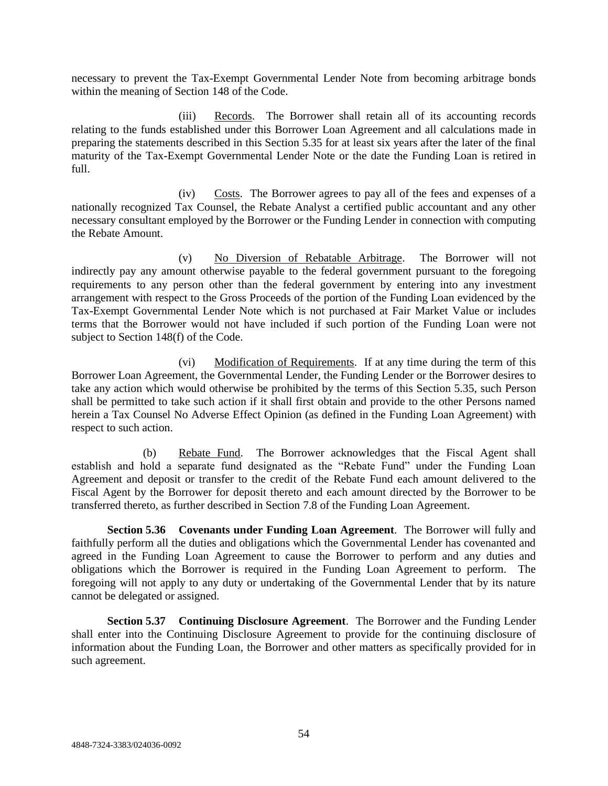necessary to prevent the Tax-Exempt Governmental Lender Note from becoming arbitrage bonds within the meaning of Section 148 of the Code.

(iii) Records. The Borrower shall retain all of its accounting records relating to the funds established under this Borrower Loan Agreement and all calculations made in preparing the statements described in this Section 5.35 for at least six years after the later of the final maturity of the Tax-Exempt Governmental Lender Note or the date the Funding Loan is retired in full.

(iv) Costs. The Borrower agrees to pay all of the fees and expenses of a nationally recognized Tax Counsel, the Rebate Analyst a certified public accountant and any other necessary consultant employed by the Borrower or the Funding Lender in connection with computing the Rebate Amount.

(v) No Diversion of Rebatable Arbitrage. The Borrower will not indirectly pay any amount otherwise payable to the federal government pursuant to the foregoing requirements to any person other than the federal government by entering into any investment arrangement with respect to the Gross Proceeds of the portion of the Funding Loan evidenced by the Tax-Exempt Governmental Lender Note which is not purchased at Fair Market Value or includes terms that the Borrower would not have included if such portion of the Funding Loan were not subject to Section 148(f) of the Code.

(vi) Modification of Requirements. If at any time during the term of this Borrower Loan Agreement, the Governmental Lender, the Funding Lender or the Borrower desires to take any action which would otherwise be prohibited by the terms of this Section 5.35, such Person shall be permitted to take such action if it shall first obtain and provide to the other Persons named herein a Tax Counsel No Adverse Effect Opinion (as defined in the Funding Loan Agreement) with respect to such action.

(b) Rebate Fund. The Borrower acknowledges that the Fiscal Agent shall establish and hold a separate fund designated as the "Rebate Fund" under the Funding Loan Agreement and deposit or transfer to the credit of the Rebate Fund each amount delivered to the Fiscal Agent by the Borrower for deposit thereto and each amount directed by the Borrower to be transferred thereto, as further described in Section 7.8 of the Funding Loan Agreement.

**Section 5.36 Covenants under Funding Loan Agreement**. The Borrower will fully and faithfully perform all the duties and obligations which the Governmental Lender has covenanted and agreed in the Funding Loan Agreement to cause the Borrower to perform and any duties and obligations which the Borrower is required in the Funding Loan Agreement to perform. The foregoing will not apply to any duty or undertaking of the Governmental Lender that by its nature cannot be delegated or assigned.

**Section 5.37 Continuing Disclosure Agreement**. The Borrower and the Funding Lender shall enter into the Continuing Disclosure Agreement to provide for the continuing disclosure of information about the Funding Loan, the Borrower and other matters as specifically provided for in such agreement.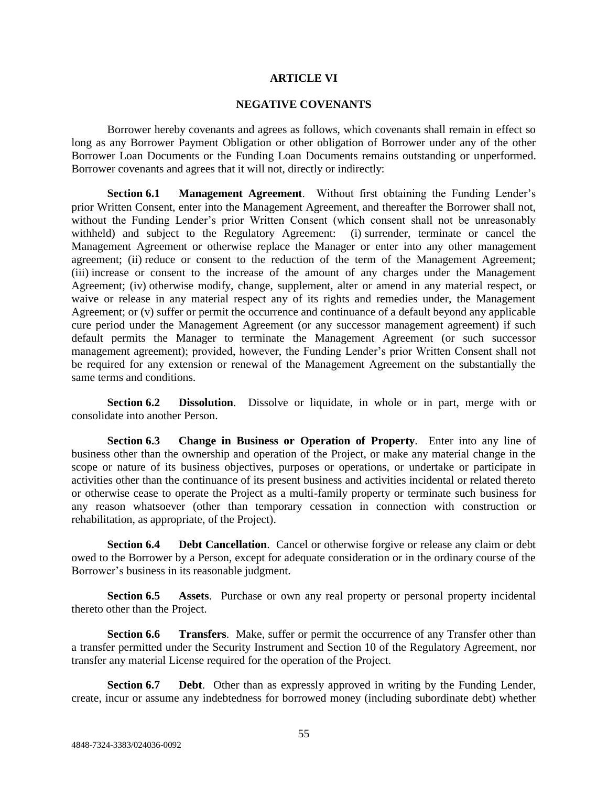### **ARTICLE VI**

### **NEGATIVE COVENANTS**

Borrower hereby covenants and agrees as follows, which covenants shall remain in effect so long as any Borrower Payment Obligation or other obligation of Borrower under any of the other Borrower Loan Documents or the Funding Loan Documents remains outstanding or unperformed. Borrower covenants and agrees that it will not, directly or indirectly:

**Section 6.1 Management Agreement**. Without first obtaining the Funding Lender's prior Written Consent, enter into the Management Agreement, and thereafter the Borrower shall not, without the Funding Lender's prior Written Consent (which consent shall not be unreasonably withheld) and subject to the Regulatory Agreement: (i) surrender, terminate or cancel the Management Agreement or otherwise replace the Manager or enter into any other management agreement; (ii) reduce or consent to the reduction of the term of the Management Agreement; (iii) increase or consent to the increase of the amount of any charges under the Management Agreement; (iv) otherwise modify, change, supplement, alter or amend in any material respect, or waive or release in any material respect any of its rights and remedies under, the Management Agreement; or (v) suffer or permit the occurrence and continuance of a default beyond any applicable cure period under the Management Agreement (or any successor management agreement) if such default permits the Manager to terminate the Management Agreement (or such successor management agreement); provided, however, the Funding Lender's prior Written Consent shall not be required for any extension or renewal of the Management Agreement on the substantially the same terms and conditions.

**Section 6.2 Dissolution**. Dissolve or liquidate, in whole or in part, merge with or consolidate into another Person.

**Section 6.3 Change in Business or Operation of Property**. Enter into any line of business other than the ownership and operation of the Project, or make any material change in the scope or nature of its business objectives, purposes or operations, or undertake or participate in activities other than the continuance of its present business and activities incidental or related thereto or otherwise cease to operate the Project as a multi-family property or terminate such business for any reason whatsoever (other than temporary cessation in connection with construction or rehabilitation, as appropriate, of the Project).

**Section 6.4 Debt Cancellation**. Cancel or otherwise forgive or release any claim or debt owed to the Borrower by a Person, except for adequate consideration or in the ordinary course of the Borrower's business in its reasonable judgment.

**Section 6.5 Assets**. Purchase or own any real property or personal property incidental thereto other than the Project.

**Section 6.6 Transfers**. Make, suffer or permit the occurrence of any Transfer other than a transfer permitted under the Security Instrument and Section 10 of the Regulatory Agreement, nor transfer any material License required for the operation of the Project.

**Section 6.7 Debt**. Other than as expressly approved in writing by the Funding Lender, create, incur or assume any indebtedness for borrowed money (including subordinate debt) whether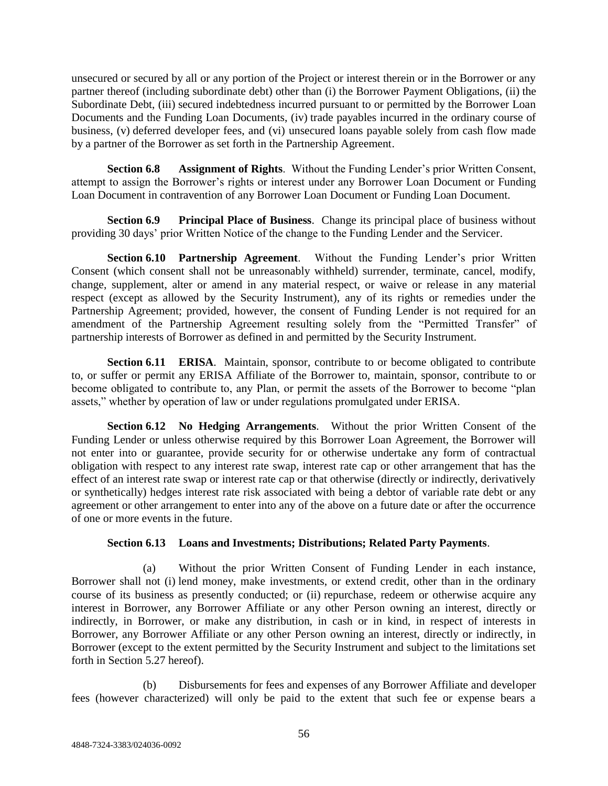unsecured or secured by all or any portion of the Project or interest therein or in the Borrower or any partner thereof (including subordinate debt) other than (i) the Borrower Payment Obligations, (ii) the Subordinate Debt, (iii) secured indebtedness incurred pursuant to or permitted by the Borrower Loan Documents and the Funding Loan Documents, (iv) trade payables incurred in the ordinary course of business, (v) deferred developer fees, and (vi) unsecured loans payable solely from cash flow made by a partner of the Borrower as set forth in the Partnership Agreement.

**Section 6.8 Assignment of Rights**. Without the Funding Lender's prior Written Consent, attempt to assign the Borrower's rights or interest under any Borrower Loan Document or Funding Loan Document in contravention of any Borrower Loan Document or Funding Loan Document.

**Section 6.9 Principal Place of Business**. Change its principal place of business without providing 30 days' prior Written Notice of the change to the Funding Lender and the Servicer.

**Section 6.10 Partnership Agreement**. Without the Funding Lender's prior Written Consent (which consent shall not be unreasonably withheld) surrender, terminate, cancel, modify, change, supplement, alter or amend in any material respect, or waive or release in any material respect (except as allowed by the Security Instrument), any of its rights or remedies under the Partnership Agreement; provided, however, the consent of Funding Lender is not required for an amendment of the Partnership Agreement resulting solely from the "Permitted Transfer" of partnership interests of Borrower as defined in and permitted by the Security Instrument.

**Section 6.11 <b>ERISA**. Maintain, sponsor, contribute to or become obligated to contribute to, or suffer or permit any ERISA Affiliate of the Borrower to, maintain, sponsor, contribute to or become obligated to contribute to, any Plan, or permit the assets of the Borrower to become "plan assets," whether by operation of law or under regulations promulgated under ERISA.

**Section 6.12 No Hedging Arrangements**. Without the prior Written Consent of the Funding Lender or unless otherwise required by this Borrower Loan Agreement, the Borrower will not enter into or guarantee, provide security for or otherwise undertake any form of contractual obligation with respect to any interest rate swap, interest rate cap or other arrangement that has the effect of an interest rate swap or interest rate cap or that otherwise (directly or indirectly, derivatively or synthetically) hedges interest rate risk associated with being a debtor of variable rate debt or any agreement or other arrangement to enter into any of the above on a future date or after the occurrence of one or more events in the future.

# **Section 6.13 Loans and Investments; Distributions; Related Party Payments**.

(a) Without the prior Written Consent of Funding Lender in each instance, Borrower shall not (i) lend money, make investments, or extend credit, other than in the ordinary course of its business as presently conducted; or (ii) repurchase, redeem or otherwise acquire any interest in Borrower, any Borrower Affiliate or any other Person owning an interest, directly or indirectly, in Borrower, or make any distribution, in cash or in kind, in respect of interests in Borrower, any Borrower Affiliate or any other Person owning an interest, directly or indirectly, in Borrower (except to the extent permitted by the Security Instrument and subject to the limitations set forth in Section 5.27 hereof).

(b) Disbursements for fees and expenses of any Borrower Affiliate and developer fees (however characterized) will only be paid to the extent that such fee or expense bears a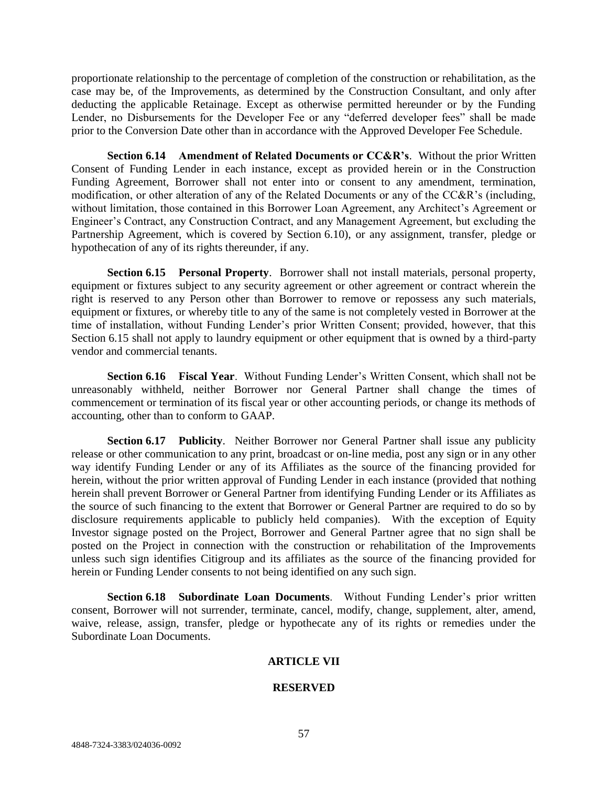proportionate relationship to the percentage of completion of the construction or rehabilitation, as the case may be, of the Improvements, as determined by the Construction Consultant, and only after deducting the applicable Retainage. Except as otherwise permitted hereunder or by the Funding Lender, no Disbursements for the Developer Fee or any "deferred developer fees" shall be made prior to the Conversion Date other than in accordance with the Approved Developer Fee Schedule.

**Section 6.14 Amendment of Related Documents or CC&R's**. Without the prior Written Consent of Funding Lender in each instance, except as provided herein or in the Construction Funding Agreement, Borrower shall not enter into or consent to any amendment, termination, modification, or other alteration of any of the Related Documents or any of the CC&R's (including, without limitation, those contained in this Borrower Loan Agreement, any Architect's Agreement or Engineer's Contract, any Construction Contract, and any Management Agreement, but excluding the Partnership Agreement, which is covered by Section 6.10), or any assignment, transfer, pledge or hypothecation of any of its rights thereunder, if any.

**Section 6.15 Personal Property**. Borrower shall not install materials, personal property, equipment or fixtures subject to any security agreement or other agreement or contract wherein the right is reserved to any Person other than Borrower to remove or repossess any such materials, equipment or fixtures, or whereby title to any of the same is not completely vested in Borrower at the time of installation, without Funding Lender's prior Written Consent; provided, however, that this Section 6.15 shall not apply to laundry equipment or other equipment that is owned by a third-party vendor and commercial tenants.

**Section 6.16 Fiscal Year**. Without Funding Lender's Written Consent, which shall not be unreasonably withheld, neither Borrower nor General Partner shall change the times of commencement or termination of its fiscal year or other accounting periods, or change its methods of accounting, other than to conform to GAAP.

**Section 6.17 Publicity**. Neither Borrower nor General Partner shall issue any publicity release or other communication to any print, broadcast or on-line media, post any sign or in any other way identify Funding Lender or any of its Affiliates as the source of the financing provided for herein, without the prior written approval of Funding Lender in each instance (provided that nothing herein shall prevent Borrower or General Partner from identifying Funding Lender or its Affiliates as the source of such financing to the extent that Borrower or General Partner are required to do so by disclosure requirements applicable to publicly held companies). With the exception of Equity Investor signage posted on the Project, Borrower and General Partner agree that no sign shall be posted on the Project in connection with the construction or rehabilitation of the Improvements unless such sign identifies Citigroup and its affiliates as the source of the financing provided for herein or Funding Lender consents to not being identified on any such sign.

**Section 6.18 Subordinate Loan Documents**. Without Funding Lender's prior written consent, Borrower will not surrender, terminate, cancel, modify, change, supplement, alter, amend, waive, release, assign, transfer, pledge or hypothecate any of its rights or remedies under the Subordinate Loan Documents.

# **ARTICLE VII**

# **RESERVED**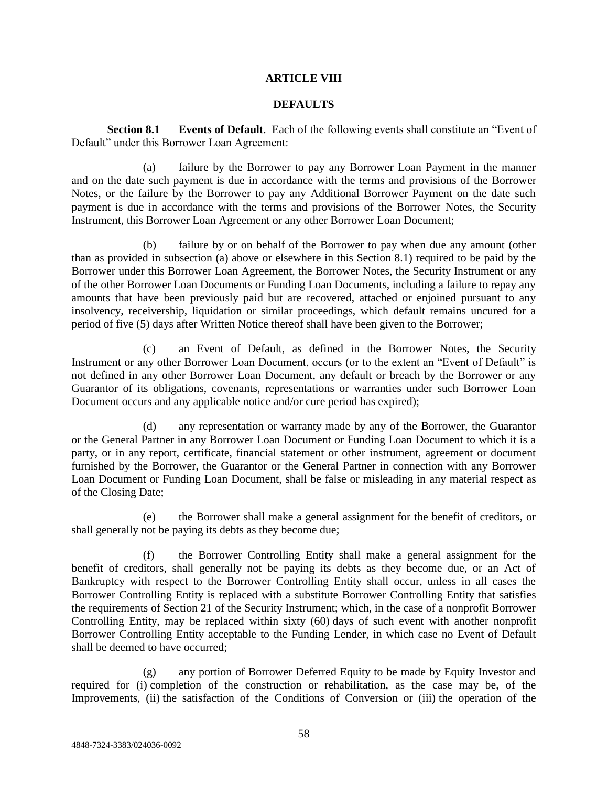# **ARTICLE VIII**

# **DEFAULTS**

**Section 8.1 Events of Default**. Each of the following events shall constitute an "Event of Default" under this Borrower Loan Agreement:

(a) failure by the Borrower to pay any Borrower Loan Payment in the manner and on the date such payment is due in accordance with the terms and provisions of the Borrower Notes, or the failure by the Borrower to pay any Additional Borrower Payment on the date such payment is due in accordance with the terms and provisions of the Borrower Notes, the Security Instrument, this Borrower Loan Agreement or any other Borrower Loan Document;

(b) failure by or on behalf of the Borrower to pay when due any amount (other than as provided in subsection (a) above or elsewhere in this Section 8.1) required to be paid by the Borrower under this Borrower Loan Agreement, the Borrower Notes, the Security Instrument or any of the other Borrower Loan Documents or Funding Loan Documents, including a failure to repay any amounts that have been previously paid but are recovered, attached or enjoined pursuant to any insolvency, receivership, liquidation or similar proceedings, which default remains uncured for a period of five (5) days after Written Notice thereof shall have been given to the Borrower;

(c) an Event of Default, as defined in the Borrower Notes, the Security Instrument or any other Borrower Loan Document, occurs (or to the extent an "Event of Default" is not defined in any other Borrower Loan Document, any default or breach by the Borrower or any Guarantor of its obligations, covenants, representations or warranties under such Borrower Loan Document occurs and any applicable notice and/or cure period has expired);

(d) any representation or warranty made by any of the Borrower, the Guarantor or the General Partner in any Borrower Loan Document or Funding Loan Document to which it is a party, or in any report, certificate, financial statement or other instrument, agreement or document furnished by the Borrower, the Guarantor or the General Partner in connection with any Borrower Loan Document or Funding Loan Document, shall be false or misleading in any material respect as of the Closing Date;

(e) the Borrower shall make a general assignment for the benefit of creditors, or shall generally not be paying its debts as they become due;

(f) the Borrower Controlling Entity shall make a general assignment for the benefit of creditors, shall generally not be paying its debts as they become due, or an Act of Bankruptcy with respect to the Borrower Controlling Entity shall occur, unless in all cases the Borrower Controlling Entity is replaced with a substitute Borrower Controlling Entity that satisfies the requirements of Section 21 of the Security Instrument; which, in the case of a nonprofit Borrower Controlling Entity, may be replaced within sixty (60) days of such event with another nonprofit Borrower Controlling Entity acceptable to the Funding Lender, in which case no Event of Default shall be deemed to have occurred;

(g) any portion of Borrower Deferred Equity to be made by Equity Investor and required for (i) completion of the construction or rehabilitation, as the case may be, of the Improvements, (ii) the satisfaction of the Conditions of Conversion or (iii) the operation of the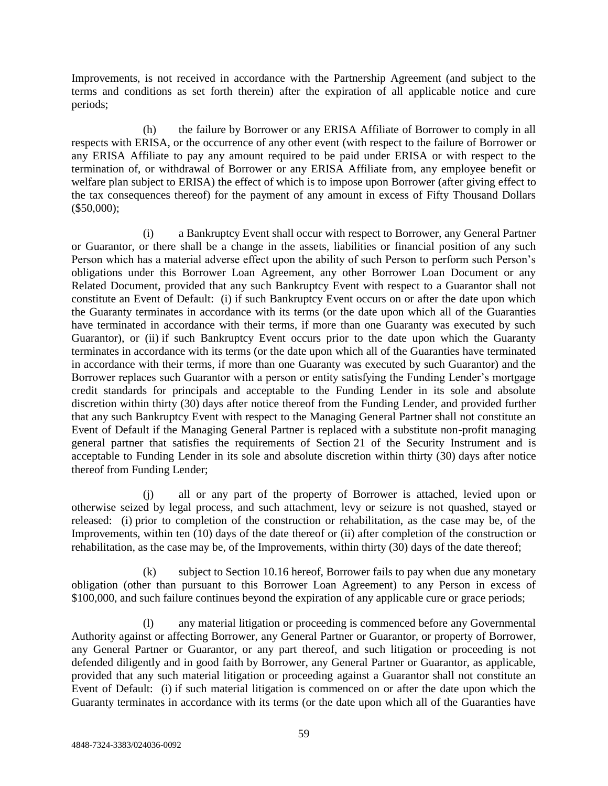Improvements, is not received in accordance with the Partnership Agreement (and subject to the terms and conditions as set forth therein) after the expiration of all applicable notice and cure periods;

(h) the failure by Borrower or any ERISA Affiliate of Borrower to comply in all respects with ERISA, or the occurrence of any other event (with respect to the failure of Borrower or any ERISA Affiliate to pay any amount required to be paid under ERISA or with respect to the termination of, or withdrawal of Borrower or any ERISA Affiliate from, any employee benefit or welfare plan subject to ERISA) the effect of which is to impose upon Borrower (after giving effect to the tax consequences thereof) for the payment of any amount in excess of Fifty Thousand Dollars (\$50,000);

(i) a Bankruptcy Event shall occur with respect to Borrower, any General Partner or Guarantor, or there shall be a change in the assets, liabilities or financial position of any such Person which has a material adverse effect upon the ability of such Person to perform such Person's obligations under this Borrower Loan Agreement, any other Borrower Loan Document or any Related Document, provided that any such Bankruptcy Event with respect to a Guarantor shall not constitute an Event of Default: (i) if such Bankruptcy Event occurs on or after the date upon which the Guaranty terminates in accordance with its terms (or the date upon which all of the Guaranties have terminated in accordance with their terms, if more than one Guaranty was executed by such Guarantor), or (ii) if such Bankruptcy Event occurs prior to the date upon which the Guaranty terminates in accordance with its terms (or the date upon which all of the Guaranties have terminated in accordance with their terms, if more than one Guaranty was executed by such Guarantor) and the Borrower replaces such Guarantor with a person or entity satisfying the Funding Lender's mortgage credit standards for principals and acceptable to the Funding Lender in its sole and absolute discretion within thirty (30) days after notice thereof from the Funding Lender, and provided further that any such Bankruptcy Event with respect to the Managing General Partner shall not constitute an Event of Default if the Managing General Partner is replaced with a substitute non-profit managing general partner that satisfies the requirements of Section 21 of the Security Instrument and is acceptable to Funding Lender in its sole and absolute discretion within thirty (30) days after notice thereof from Funding Lender;

(j) all or any part of the property of Borrower is attached, levied upon or otherwise seized by legal process, and such attachment, levy or seizure is not quashed, stayed or released: (i) prior to completion of the construction or rehabilitation, as the case may be, of the Improvements, within ten (10) days of the date thereof or (ii) after completion of the construction or rehabilitation, as the case may be, of the Improvements, within thirty (30) days of the date thereof;

(k) subject to Section 10.16 hereof, Borrower fails to pay when due any monetary obligation (other than pursuant to this Borrower Loan Agreement) to any Person in excess of \$100,000, and such failure continues beyond the expiration of any applicable cure or grace periods;

any material litigation or proceeding is commenced before any Governmental Authority against or affecting Borrower, any General Partner or Guarantor, or property of Borrower, any General Partner or Guarantor, or any part thereof, and such litigation or proceeding is not defended diligently and in good faith by Borrower, any General Partner or Guarantor, as applicable, provided that any such material litigation or proceeding against a Guarantor shall not constitute an Event of Default: (i) if such material litigation is commenced on or after the date upon which the Guaranty terminates in accordance with its terms (or the date upon which all of the Guaranties have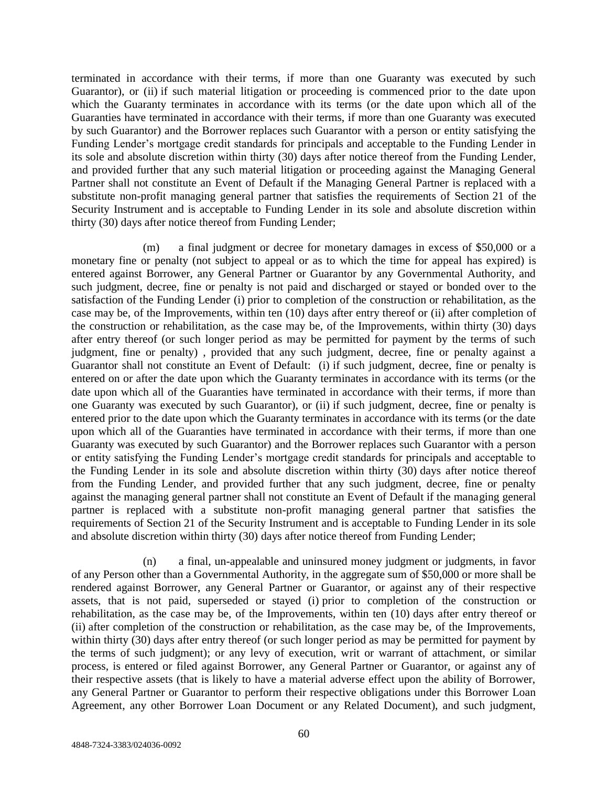terminated in accordance with their terms, if more than one Guaranty was executed by such Guarantor), or (ii) if such material litigation or proceeding is commenced prior to the date upon which the Guaranty terminates in accordance with its terms (or the date upon which all of the Guaranties have terminated in accordance with their terms, if more than one Guaranty was executed by such Guarantor) and the Borrower replaces such Guarantor with a person or entity satisfying the Funding Lender's mortgage credit standards for principals and acceptable to the Funding Lender in its sole and absolute discretion within thirty (30) days after notice thereof from the Funding Lender, and provided further that any such material litigation or proceeding against the Managing General Partner shall not constitute an Event of Default if the Managing General Partner is replaced with a substitute non-profit managing general partner that satisfies the requirements of Section 21 of the Security Instrument and is acceptable to Funding Lender in its sole and absolute discretion within thirty (30) days after notice thereof from Funding Lender;

(m) a final judgment or decree for monetary damages in excess of \$50,000 or a monetary fine or penalty (not subject to appeal or as to which the time for appeal has expired) is entered against Borrower, any General Partner or Guarantor by any Governmental Authority, and such judgment, decree, fine or penalty is not paid and discharged or stayed or bonded over to the satisfaction of the Funding Lender (i) prior to completion of the construction or rehabilitation, as the case may be, of the Improvements, within ten (10) days after entry thereof or (ii) after completion of the construction or rehabilitation, as the case may be, of the Improvements, within thirty (30) days after entry thereof (or such longer period as may be permitted for payment by the terms of such judgment, fine or penalty) , provided that any such judgment, decree, fine or penalty against a Guarantor shall not constitute an Event of Default: (i) if such judgment, decree, fine or penalty is entered on or after the date upon which the Guaranty terminates in accordance with its terms (or the date upon which all of the Guaranties have terminated in accordance with their terms, if more than one Guaranty was executed by such Guarantor), or (ii) if such judgment, decree, fine or penalty is entered prior to the date upon which the Guaranty terminates in accordance with its terms (or the date upon which all of the Guaranties have terminated in accordance with their terms, if more than one Guaranty was executed by such Guarantor) and the Borrower replaces such Guarantor with a person or entity satisfying the Funding Lender's mortgage credit standards for principals and acceptable to the Funding Lender in its sole and absolute discretion within thirty (30) days after notice thereof from the Funding Lender, and provided further that any such judgment, decree, fine or penalty against the managing general partner shall not constitute an Event of Default if the managing general partner is replaced with a substitute non-profit managing general partner that satisfies the requirements of Section 21 of the Security Instrument and is acceptable to Funding Lender in its sole and absolute discretion within thirty (30) days after notice thereof from Funding Lender;

(n) a final, un-appealable and uninsured money judgment or judgments, in favor of any Person other than a Governmental Authority, in the aggregate sum of \$50,000 or more shall be rendered against Borrower, any General Partner or Guarantor, or against any of their respective assets, that is not paid, superseded or stayed (i) prior to completion of the construction or rehabilitation, as the case may be, of the Improvements, within ten (10) days after entry thereof or (ii) after completion of the construction or rehabilitation, as the case may be, of the Improvements, within thirty (30) days after entry thereof (or such longer period as may be permitted for payment by the terms of such judgment); or any levy of execution, writ or warrant of attachment, or similar process, is entered or filed against Borrower, any General Partner or Guarantor, or against any of their respective assets (that is likely to have a material adverse effect upon the ability of Borrower, any General Partner or Guarantor to perform their respective obligations under this Borrower Loan Agreement, any other Borrower Loan Document or any Related Document), and such judgment,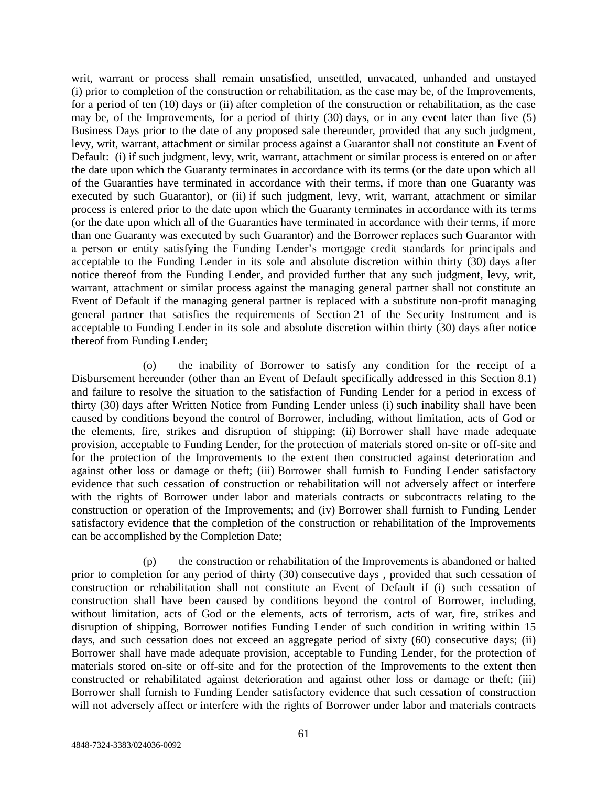writ, warrant or process shall remain unsatisfied, unsettled, unvacated, unhanded and unstayed (i) prior to completion of the construction or rehabilitation, as the case may be, of the Improvements, for a period of ten (10) days or (ii) after completion of the construction or rehabilitation, as the case may be, of the Improvements, for a period of thirty (30) days, or in any event later than five (5) Business Days prior to the date of any proposed sale thereunder, provided that any such judgment, levy, writ, warrant, attachment or similar process against a Guarantor shall not constitute an Event of Default: (i) if such judgment, levy, writ, warrant, attachment or similar process is entered on or after the date upon which the Guaranty terminates in accordance with its terms (or the date upon which all of the Guaranties have terminated in accordance with their terms, if more than one Guaranty was executed by such Guarantor), or (ii) if such judgment, levy, writ, warrant, attachment or similar process is entered prior to the date upon which the Guaranty terminates in accordance with its terms (or the date upon which all of the Guaranties have terminated in accordance with their terms, if more than one Guaranty was executed by such Guarantor) and the Borrower replaces such Guarantor with a person or entity satisfying the Funding Lender's mortgage credit standards for principals and acceptable to the Funding Lender in its sole and absolute discretion within thirty (30) days after notice thereof from the Funding Lender, and provided further that any such judgment, levy, writ, warrant, attachment or similar process against the managing general partner shall not constitute an Event of Default if the managing general partner is replaced with a substitute non-profit managing general partner that satisfies the requirements of Section 21 of the Security Instrument and is acceptable to Funding Lender in its sole and absolute discretion within thirty (30) days after notice thereof from Funding Lender;

(o) the inability of Borrower to satisfy any condition for the receipt of a Disbursement hereunder (other than an Event of Default specifically addressed in this Section 8.1) and failure to resolve the situation to the satisfaction of Funding Lender for a period in excess of thirty (30) days after Written Notice from Funding Lender unless (i) such inability shall have been caused by conditions beyond the control of Borrower, including, without limitation, acts of God or the elements, fire, strikes and disruption of shipping; (ii) Borrower shall have made adequate provision, acceptable to Funding Lender, for the protection of materials stored on-site or off-site and for the protection of the Improvements to the extent then constructed against deterioration and against other loss or damage or theft; (iii) Borrower shall furnish to Funding Lender satisfactory evidence that such cessation of construction or rehabilitation will not adversely affect or interfere with the rights of Borrower under labor and materials contracts or subcontracts relating to the construction or operation of the Improvements; and (iv) Borrower shall furnish to Funding Lender satisfactory evidence that the completion of the construction or rehabilitation of the Improvements can be accomplished by the Completion Date;

(p) the construction or rehabilitation of the Improvements is abandoned or halted prior to completion for any period of thirty (30) consecutive days , provided that such cessation of construction or rehabilitation shall not constitute an Event of Default if (i) such cessation of construction shall have been caused by conditions beyond the control of Borrower, including, without limitation, acts of God or the elements, acts of terrorism, acts of war, fire, strikes and disruption of shipping, Borrower notifies Funding Lender of such condition in writing within 15 days, and such cessation does not exceed an aggregate period of sixty (60) consecutive days; (ii) Borrower shall have made adequate provision, acceptable to Funding Lender, for the protection of materials stored on-site or off-site and for the protection of the Improvements to the extent then constructed or rehabilitated against deterioration and against other loss or damage or theft; (iii) Borrower shall furnish to Funding Lender satisfactory evidence that such cessation of construction will not adversely affect or interfere with the rights of Borrower under labor and materials contracts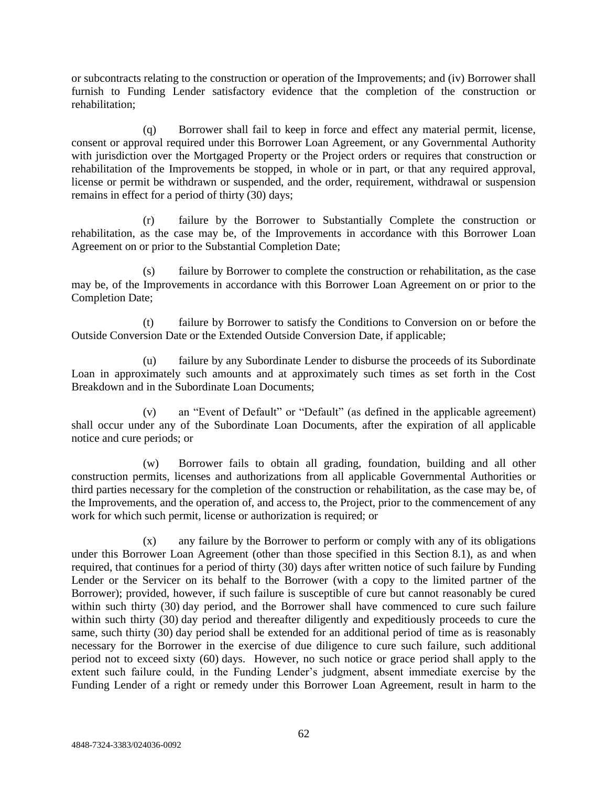or subcontracts relating to the construction or operation of the Improvements; and (iv) Borrower shall furnish to Funding Lender satisfactory evidence that the completion of the construction or rehabilitation;

(q) Borrower shall fail to keep in force and effect any material permit, license, consent or approval required under this Borrower Loan Agreement, or any Governmental Authority with jurisdiction over the Mortgaged Property or the Project orders or requires that construction or rehabilitation of the Improvements be stopped, in whole or in part, or that any required approval, license or permit be withdrawn or suspended, and the order, requirement, withdrawal or suspension remains in effect for a period of thirty (30) days;

(r) failure by the Borrower to Substantially Complete the construction or rehabilitation, as the case may be, of the Improvements in accordance with this Borrower Loan Agreement on or prior to the Substantial Completion Date;

(s) failure by Borrower to complete the construction or rehabilitation, as the case may be, of the Improvements in accordance with this Borrower Loan Agreement on or prior to the Completion Date;

(t) failure by Borrower to satisfy the Conditions to Conversion on or before the Outside Conversion Date or the Extended Outside Conversion Date, if applicable;

(u) failure by any Subordinate Lender to disburse the proceeds of its Subordinate Loan in approximately such amounts and at approximately such times as set forth in the Cost Breakdown and in the Subordinate Loan Documents;

(v) an "Event of Default" or "Default" (as defined in the applicable agreement) shall occur under any of the Subordinate Loan Documents, after the expiration of all applicable notice and cure periods; or

(w) Borrower fails to obtain all grading, foundation, building and all other construction permits, licenses and authorizations from all applicable Governmental Authorities or third parties necessary for the completion of the construction or rehabilitation, as the case may be, of the Improvements, and the operation of, and access to, the Project, prior to the commencement of any work for which such permit, license or authorization is required; or

(x) any failure by the Borrower to perform or comply with any of its obligations under this Borrower Loan Agreement (other than those specified in this Section 8.1), as and when required, that continues for a period of thirty (30) days after written notice of such failure by Funding Lender or the Servicer on its behalf to the Borrower (with a copy to the limited partner of the Borrower); provided, however, if such failure is susceptible of cure but cannot reasonably be cured within such thirty (30) day period, and the Borrower shall have commenced to cure such failure within such thirty (30) day period and thereafter diligently and expeditiously proceeds to cure the same, such thirty (30) day period shall be extended for an additional period of time as is reasonably necessary for the Borrower in the exercise of due diligence to cure such failure, such additional period not to exceed sixty (60) days. However, no such notice or grace period shall apply to the extent such failure could, in the Funding Lender's judgment, absent immediate exercise by the Funding Lender of a right or remedy under this Borrower Loan Agreement, result in harm to the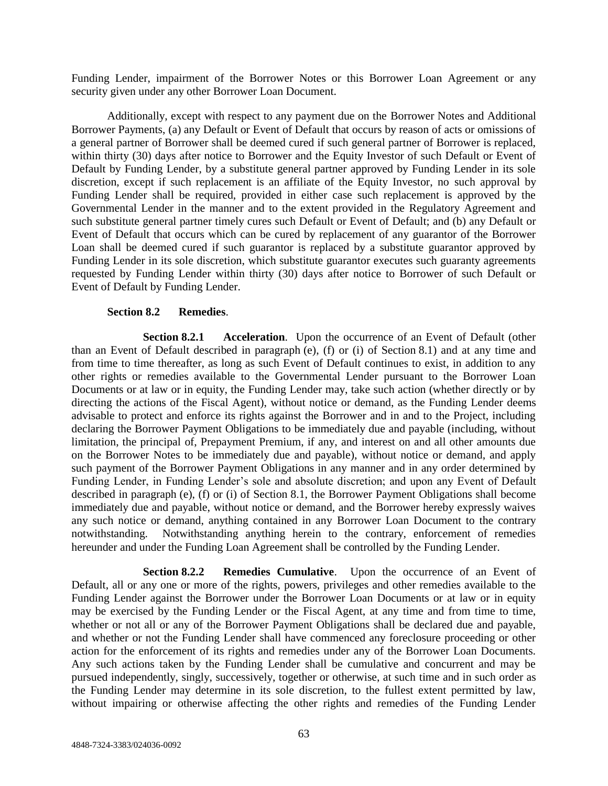Funding Lender, impairment of the Borrower Notes or this Borrower Loan Agreement or any security given under any other Borrower Loan Document.

Additionally, except with respect to any payment due on the Borrower Notes and Additional Borrower Payments, (a) any Default or Event of Default that occurs by reason of acts or omissions of a general partner of Borrower shall be deemed cured if such general partner of Borrower is replaced, within thirty (30) days after notice to Borrower and the Equity Investor of such Default or Event of Default by Funding Lender, by a substitute general partner approved by Funding Lender in its sole discretion, except if such replacement is an affiliate of the Equity Investor, no such approval by Funding Lender shall be required, provided in either case such replacement is approved by the Governmental Lender in the manner and to the extent provided in the Regulatory Agreement and such substitute general partner timely cures such Default or Event of Default; and (b) any Default or Event of Default that occurs which can be cured by replacement of any guarantor of the Borrower Loan shall be deemed cured if such guarantor is replaced by a substitute guarantor approved by Funding Lender in its sole discretion, which substitute guarantor executes such guaranty agreements requested by Funding Lender within thirty (30) days after notice to Borrower of such Default or Event of Default by Funding Lender.

# **Section 8.2 Remedies**.

**Section 8.2.1 Acceleration**. Upon the occurrence of an Event of Default (other than an Event of Default described in paragraph (e), (f) or (i) of Section 8.1) and at any time and from time to time thereafter, as long as such Event of Default continues to exist, in addition to any other rights or remedies available to the Governmental Lender pursuant to the Borrower Loan Documents or at law or in equity, the Funding Lender may, take such action (whether directly or by directing the actions of the Fiscal Agent), without notice or demand, as the Funding Lender deems advisable to protect and enforce its rights against the Borrower and in and to the Project, including declaring the Borrower Payment Obligations to be immediately due and payable (including, without limitation, the principal of, Prepayment Premium, if any, and interest on and all other amounts due on the Borrower Notes to be immediately due and payable), without notice or demand, and apply such payment of the Borrower Payment Obligations in any manner and in any order determined by Funding Lender, in Funding Lender's sole and absolute discretion; and upon any Event of Default described in paragraph (e), (f) or (i) of Section 8.1, the Borrower Payment Obligations shall become immediately due and payable, without notice or demand, and the Borrower hereby expressly waives any such notice or demand, anything contained in any Borrower Loan Document to the contrary notwithstanding. Notwithstanding anything herein to the contrary, enforcement of remedies hereunder and under the Funding Loan Agreement shall be controlled by the Funding Lender.

**Section 8.2.2 Remedies Cumulative**. Upon the occurrence of an Event of Default, all or any one or more of the rights, powers, privileges and other remedies available to the Funding Lender against the Borrower under the Borrower Loan Documents or at law or in equity may be exercised by the Funding Lender or the Fiscal Agent, at any time and from time to time, whether or not all or any of the Borrower Payment Obligations shall be declared due and payable, and whether or not the Funding Lender shall have commenced any foreclosure proceeding or other action for the enforcement of its rights and remedies under any of the Borrower Loan Documents. Any such actions taken by the Funding Lender shall be cumulative and concurrent and may be pursued independently, singly, successively, together or otherwise, at such time and in such order as the Funding Lender may determine in its sole discretion, to the fullest extent permitted by law, without impairing or otherwise affecting the other rights and remedies of the Funding Lender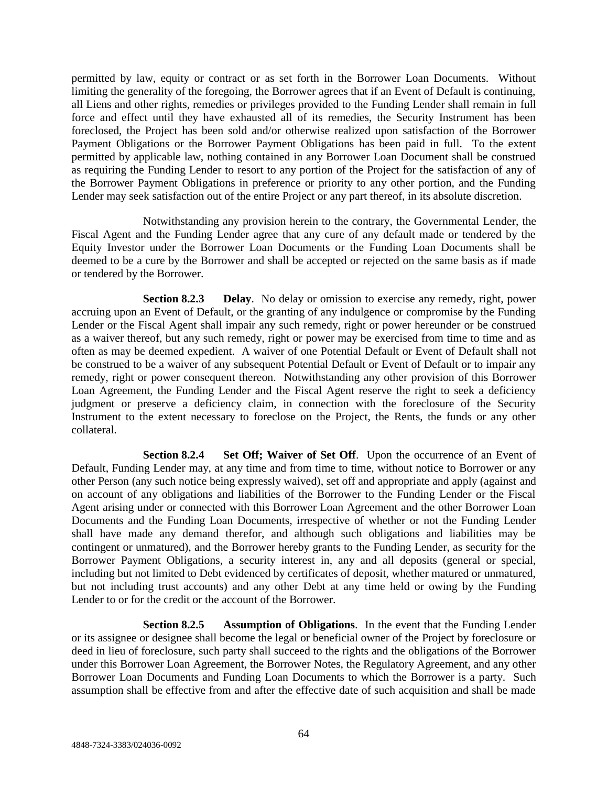permitted by law, equity or contract or as set forth in the Borrower Loan Documents. Without limiting the generality of the foregoing, the Borrower agrees that if an Event of Default is continuing, all Liens and other rights, remedies or privileges provided to the Funding Lender shall remain in full force and effect until they have exhausted all of its remedies, the Security Instrument has been foreclosed, the Project has been sold and/or otherwise realized upon satisfaction of the Borrower Payment Obligations or the Borrower Payment Obligations has been paid in full. To the extent permitted by applicable law, nothing contained in any Borrower Loan Document shall be construed as requiring the Funding Lender to resort to any portion of the Project for the satisfaction of any of the Borrower Payment Obligations in preference or priority to any other portion, and the Funding Lender may seek satisfaction out of the entire Project or any part thereof, in its absolute discretion.

Notwithstanding any provision herein to the contrary, the Governmental Lender, the Fiscal Agent and the Funding Lender agree that any cure of any default made or tendered by the Equity Investor under the Borrower Loan Documents or the Funding Loan Documents shall be deemed to be a cure by the Borrower and shall be accepted or rejected on the same basis as if made or tendered by the Borrower.

**Section 8.2.3 Delay**. No delay or omission to exercise any remedy, right, power accruing upon an Event of Default, or the granting of any indulgence or compromise by the Funding Lender or the Fiscal Agent shall impair any such remedy, right or power hereunder or be construed as a waiver thereof, but any such remedy, right or power may be exercised from time to time and as often as may be deemed expedient. A waiver of one Potential Default or Event of Default shall not be construed to be a waiver of any subsequent Potential Default or Event of Default or to impair any remedy, right or power consequent thereon. Notwithstanding any other provision of this Borrower Loan Agreement, the Funding Lender and the Fiscal Agent reserve the right to seek a deficiency judgment or preserve a deficiency claim, in connection with the foreclosure of the Security Instrument to the extent necessary to foreclose on the Project, the Rents, the funds or any other collateral.

**Section 8.2.4 Set Off; Waiver of Set Off**. Upon the occurrence of an Event of Default, Funding Lender may, at any time and from time to time, without notice to Borrower or any other Person (any such notice being expressly waived), set off and appropriate and apply (against and on account of any obligations and liabilities of the Borrower to the Funding Lender or the Fiscal Agent arising under or connected with this Borrower Loan Agreement and the other Borrower Loan Documents and the Funding Loan Documents, irrespective of whether or not the Funding Lender shall have made any demand therefor, and although such obligations and liabilities may be contingent or unmatured), and the Borrower hereby grants to the Funding Lender, as security for the Borrower Payment Obligations, a security interest in, any and all deposits (general or special, including but not limited to Debt evidenced by certificates of deposit, whether matured or unmatured, but not including trust accounts) and any other Debt at any time held or owing by the Funding Lender to or for the credit or the account of the Borrower.

**Section 8.2.5 Assumption of Obligations**. In the event that the Funding Lender or its assignee or designee shall become the legal or beneficial owner of the Project by foreclosure or deed in lieu of foreclosure, such party shall succeed to the rights and the obligations of the Borrower under this Borrower Loan Agreement, the Borrower Notes, the Regulatory Agreement, and any other Borrower Loan Documents and Funding Loan Documents to which the Borrower is a party. Such assumption shall be effective from and after the effective date of such acquisition and shall be made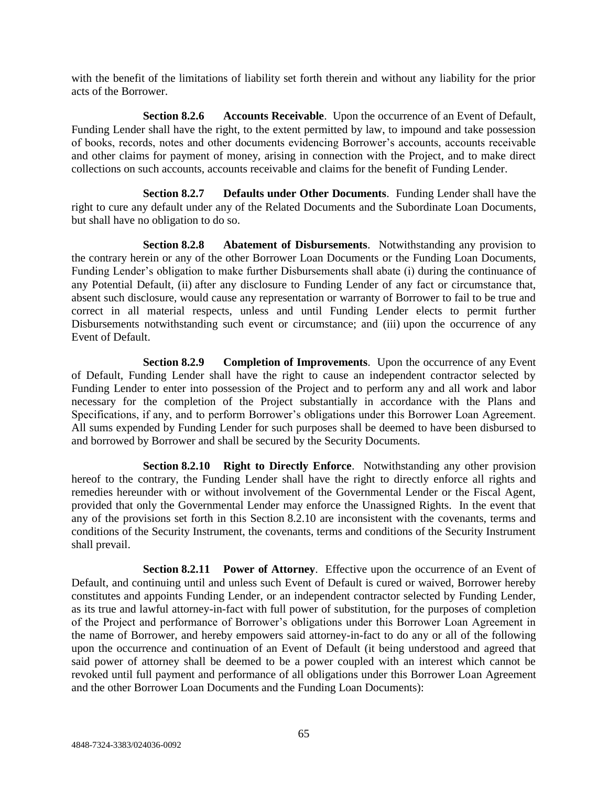with the benefit of the limitations of liability set forth therein and without any liability for the prior acts of the Borrower.

**Section 8.2.6 Accounts Receivable**. Upon the occurrence of an Event of Default, Funding Lender shall have the right, to the extent permitted by law, to impound and take possession of books, records, notes and other documents evidencing Borrower's accounts, accounts receivable and other claims for payment of money, arising in connection with the Project, and to make direct collections on such accounts, accounts receivable and claims for the benefit of Funding Lender.

**Section 8.2.7 Defaults under Other Documents**. Funding Lender shall have the right to cure any default under any of the Related Documents and the Subordinate Loan Documents, but shall have no obligation to do so.

**Section 8.2.8 Abatement of Disbursements**. Notwithstanding any provision to the contrary herein or any of the other Borrower Loan Documents or the Funding Loan Documents, Funding Lender's obligation to make further Disbursements shall abate (i) during the continuance of any Potential Default, (ii) after any disclosure to Funding Lender of any fact or circumstance that, absent such disclosure, would cause any representation or warranty of Borrower to fail to be true and correct in all material respects, unless and until Funding Lender elects to permit further Disbursements notwithstanding such event or circumstance; and (iii) upon the occurrence of any Event of Default.

**Section 8.2.9 Completion of Improvements**. Upon the occurrence of any Event of Default, Funding Lender shall have the right to cause an independent contractor selected by Funding Lender to enter into possession of the Project and to perform any and all work and labor necessary for the completion of the Project substantially in accordance with the Plans and Specifications, if any, and to perform Borrower's obligations under this Borrower Loan Agreement. All sums expended by Funding Lender for such purposes shall be deemed to have been disbursed to and borrowed by Borrower and shall be secured by the Security Documents.

**Section 8.2.10 Right to Directly Enforce**. Notwithstanding any other provision hereof to the contrary, the Funding Lender shall have the right to directly enforce all rights and remedies hereunder with or without involvement of the Governmental Lender or the Fiscal Agent, provided that only the Governmental Lender may enforce the Unassigned Rights. In the event that any of the provisions set forth in this Section 8.2.10 are inconsistent with the covenants, terms and conditions of the Security Instrument, the covenants, terms and conditions of the Security Instrument shall prevail.

**Section 8.2.11 Power of Attorney**. Effective upon the occurrence of an Event of Default, and continuing until and unless such Event of Default is cured or waived, Borrower hereby constitutes and appoints Funding Lender, or an independent contractor selected by Funding Lender, as its true and lawful attorney-in-fact with full power of substitution, for the purposes of completion of the Project and performance of Borrower's obligations under this Borrower Loan Agreement in the name of Borrower, and hereby empowers said attorney-in-fact to do any or all of the following upon the occurrence and continuation of an Event of Default (it being understood and agreed that said power of attorney shall be deemed to be a power coupled with an interest which cannot be revoked until full payment and performance of all obligations under this Borrower Loan Agreement and the other Borrower Loan Documents and the Funding Loan Documents):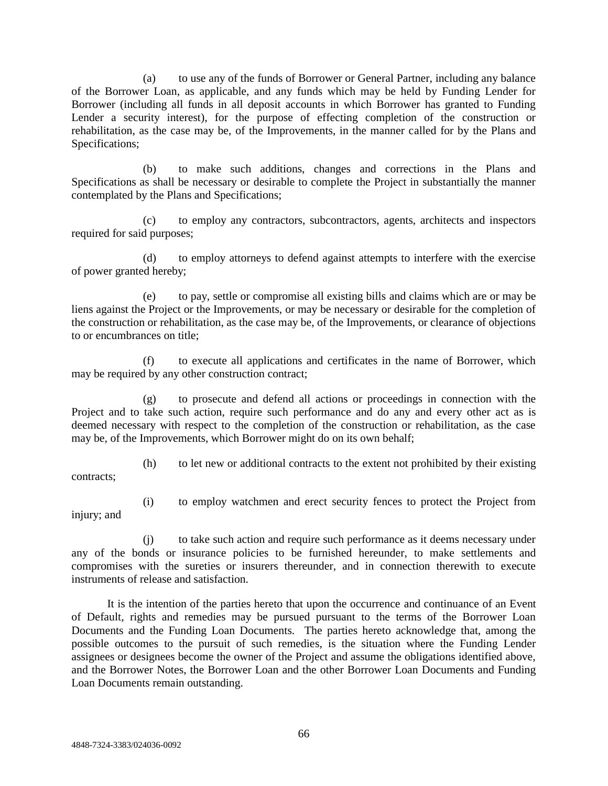(a) to use any of the funds of Borrower or General Partner, including any balance of the Borrower Loan, as applicable, and any funds which may be held by Funding Lender for Borrower (including all funds in all deposit accounts in which Borrower has granted to Funding Lender a security interest), for the purpose of effecting completion of the construction or rehabilitation, as the case may be, of the Improvements, in the manner called for by the Plans and Specifications;

(b) to make such additions, changes and corrections in the Plans and Specifications as shall be necessary or desirable to complete the Project in substantially the manner contemplated by the Plans and Specifications;

(c) to employ any contractors, subcontractors, agents, architects and inspectors required for said purposes;

(d) to employ attorneys to defend against attempts to interfere with the exercise of power granted hereby;

(e) to pay, settle or compromise all existing bills and claims which are or may be liens against the Project or the Improvements, or may be necessary or desirable for the completion of the construction or rehabilitation, as the case may be, of the Improvements, or clearance of objections to or encumbrances on title;

(f) to execute all applications and certificates in the name of Borrower, which may be required by any other construction contract;

(g) to prosecute and defend all actions or proceedings in connection with the Project and to take such action, require such performance and do any and every other act as is deemed necessary with respect to the completion of the construction or rehabilitation, as the case may be, of the Improvements, which Borrower might do on its own behalf;

contracts;

(h) to let new or additional contracts to the extent not prohibited by their existing

injury; and

(i) to employ watchmen and erect security fences to protect the Project from

(j) to take such action and require such performance as it deems necessary under any of the bonds or insurance policies to be furnished hereunder, to make settlements and compromises with the sureties or insurers thereunder, and in connection therewith to execute instruments of release and satisfaction.

It is the intention of the parties hereto that upon the occurrence and continuance of an Event of Default, rights and remedies may be pursued pursuant to the terms of the Borrower Loan Documents and the Funding Loan Documents. The parties hereto acknowledge that, among the possible outcomes to the pursuit of such remedies, is the situation where the Funding Lender assignees or designees become the owner of the Project and assume the obligations identified above, and the Borrower Notes, the Borrower Loan and the other Borrower Loan Documents and Funding Loan Documents remain outstanding.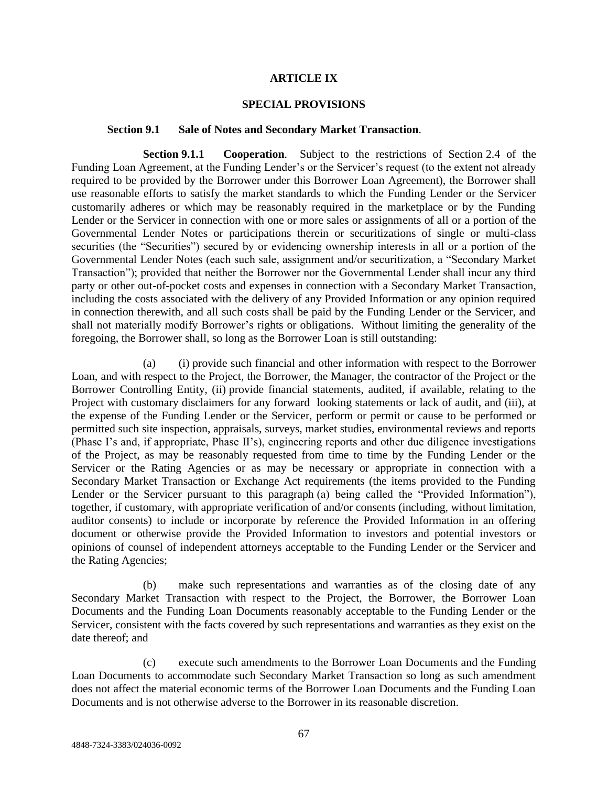### **ARTICLE IX**

#### **SPECIAL PROVISIONS**

#### **Section 9.1 Sale of Notes and Secondary Market Transaction**.

**Section 9.1.1 Cooperation**. Subject to the restrictions of Section 2.4 of the Funding Loan Agreement, at the Funding Lender's or the Servicer's request (to the extent not already required to be provided by the Borrower under this Borrower Loan Agreement), the Borrower shall use reasonable efforts to satisfy the market standards to which the Funding Lender or the Servicer customarily adheres or which may be reasonably required in the marketplace or by the Funding Lender or the Servicer in connection with one or more sales or assignments of all or a portion of the Governmental Lender Notes or participations therein or securitizations of single or multi-class securities (the "Securities") secured by or evidencing ownership interests in all or a portion of the Governmental Lender Notes (each such sale, assignment and/or securitization, a "Secondary Market Transaction"); provided that neither the Borrower nor the Governmental Lender shall incur any third party or other out-of-pocket costs and expenses in connection with a Secondary Market Transaction, including the costs associated with the delivery of any Provided Information or any opinion required in connection therewith, and all such costs shall be paid by the Funding Lender or the Servicer, and shall not materially modify Borrower's rights or obligations. Without limiting the generality of the foregoing, the Borrower shall, so long as the Borrower Loan is still outstanding:

(a) (i) provide such financial and other information with respect to the Borrower Loan, and with respect to the Project, the Borrower, the Manager, the contractor of the Project or the Borrower Controlling Entity, (ii) provide financial statements, audited, if available, relating to the Project with customary disclaimers for any forward looking statements or lack of audit, and (iii), at the expense of the Funding Lender or the Servicer, perform or permit or cause to be performed or permitted such site inspection, appraisals, surveys, market studies, environmental reviews and reports (Phase I's and, if appropriate, Phase II's), engineering reports and other due diligence investigations of the Project, as may be reasonably requested from time to time by the Funding Lender or the Servicer or the Rating Agencies or as may be necessary or appropriate in connection with a Secondary Market Transaction or Exchange Act requirements (the items provided to the Funding Lender or the Servicer pursuant to this paragraph (a) being called the "Provided Information"), together, if customary, with appropriate verification of and/or consents (including, without limitation, auditor consents) to include or incorporate by reference the Provided Information in an offering document or otherwise provide the Provided Information to investors and potential investors or opinions of counsel of independent attorneys acceptable to the Funding Lender or the Servicer and the Rating Agencies;

(b) make such representations and warranties as of the closing date of any Secondary Market Transaction with respect to the Project, the Borrower, the Borrower Loan Documents and the Funding Loan Documents reasonably acceptable to the Funding Lender or the Servicer, consistent with the facts covered by such representations and warranties as they exist on the date thereof; and

(c) execute such amendments to the Borrower Loan Documents and the Funding Loan Documents to accommodate such Secondary Market Transaction so long as such amendment does not affect the material economic terms of the Borrower Loan Documents and the Funding Loan Documents and is not otherwise adverse to the Borrower in its reasonable discretion.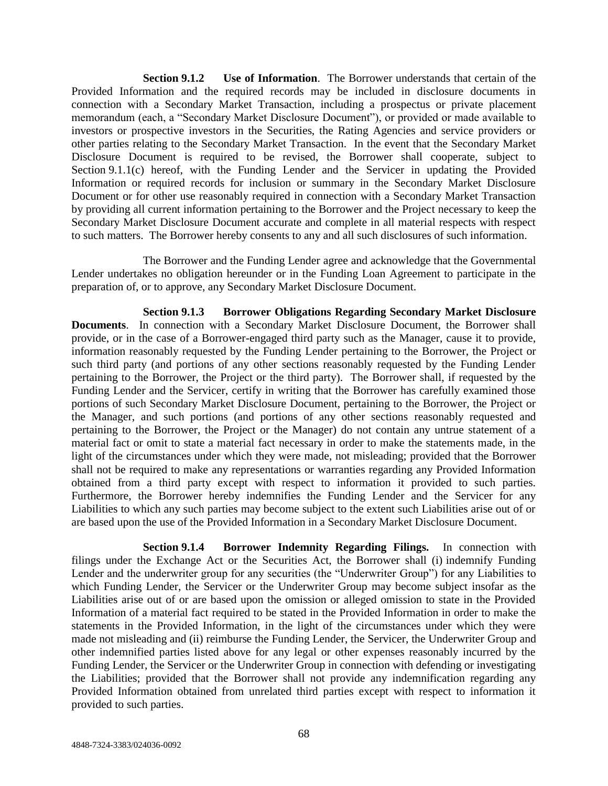**Section 9.1.2 Use of Information**. The Borrower understands that certain of the Provided Information and the required records may be included in disclosure documents in connection with a Secondary Market Transaction, including a prospectus or private placement memorandum (each, a "Secondary Market Disclosure Document"), or provided or made available to investors or prospective investors in the Securities, the Rating Agencies and service providers or other parties relating to the Secondary Market Transaction. In the event that the Secondary Market Disclosure Document is required to be revised, the Borrower shall cooperate, subject to Section 9.1.1(c) hereof, with the Funding Lender and the Servicer in updating the Provided Information or required records for inclusion or summary in the Secondary Market Disclosure Document or for other use reasonably required in connection with a Secondary Market Transaction by providing all current information pertaining to the Borrower and the Project necessary to keep the Secondary Market Disclosure Document accurate and complete in all material respects with respect to such matters. The Borrower hereby consents to any and all such disclosures of such information.

The Borrower and the Funding Lender agree and acknowledge that the Governmental Lender undertakes no obligation hereunder or in the Funding Loan Agreement to participate in the preparation of, or to approve, any Secondary Market Disclosure Document.

**Section 9.1.3 Borrower Obligations Regarding Secondary Market Disclosure Documents**. In connection with a Secondary Market Disclosure Document, the Borrower shall provide, or in the case of a Borrower-engaged third party such as the Manager, cause it to provide, information reasonably requested by the Funding Lender pertaining to the Borrower, the Project or such third party (and portions of any other sections reasonably requested by the Funding Lender pertaining to the Borrower, the Project or the third party). The Borrower shall, if requested by the Funding Lender and the Servicer, certify in writing that the Borrower has carefully examined those portions of such Secondary Market Disclosure Document, pertaining to the Borrower, the Project or the Manager, and such portions (and portions of any other sections reasonably requested and pertaining to the Borrower, the Project or the Manager) do not contain any untrue statement of a material fact or omit to state a material fact necessary in order to make the statements made, in the light of the circumstances under which they were made, not misleading; provided that the Borrower shall not be required to make any representations or warranties regarding any Provided Information obtained from a third party except with respect to information it provided to such parties. Furthermore, the Borrower hereby indemnifies the Funding Lender and the Servicer for any Liabilities to which any such parties may become subject to the extent such Liabilities arise out of or are based upon the use of the Provided Information in a Secondary Market Disclosure Document.

**Section 9.1.4 Borrower Indemnity Regarding Filings.** In connection with filings under the Exchange Act or the Securities Act, the Borrower shall (i) indemnify Funding Lender and the underwriter group for any securities (the "Underwriter Group") for any Liabilities to which Funding Lender, the Servicer or the Underwriter Group may become subject insofar as the Liabilities arise out of or are based upon the omission or alleged omission to state in the Provided Information of a material fact required to be stated in the Provided Information in order to make the statements in the Provided Information, in the light of the circumstances under which they were made not misleading and (ii) reimburse the Funding Lender, the Servicer, the Underwriter Group and other indemnified parties listed above for any legal or other expenses reasonably incurred by the Funding Lender, the Servicer or the Underwriter Group in connection with defending or investigating the Liabilities; provided that the Borrower shall not provide any indemnification regarding any Provided Information obtained from unrelated third parties except with respect to information it provided to such parties.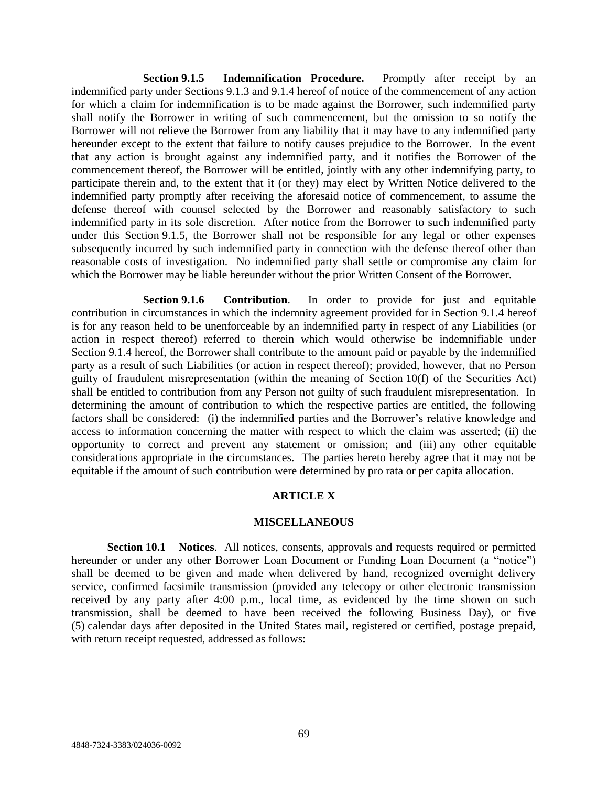**Section 9.1.5 Indemnification Procedure.** Promptly after receipt by an indemnified party under Sections 9.1.3 and 9.1.4 hereof of notice of the commencement of any action for which a claim for indemnification is to be made against the Borrower, such indemnified party shall notify the Borrower in writing of such commencement, but the omission to so notify the Borrower will not relieve the Borrower from any liability that it may have to any indemnified party hereunder except to the extent that failure to notify causes prejudice to the Borrower. In the event that any action is brought against any indemnified party, and it notifies the Borrower of the commencement thereof, the Borrower will be entitled, jointly with any other indemnifying party, to participate therein and, to the extent that it (or they) may elect by Written Notice delivered to the indemnified party promptly after receiving the aforesaid notice of commencement, to assume the defense thereof with counsel selected by the Borrower and reasonably satisfactory to such indemnified party in its sole discretion. After notice from the Borrower to such indemnified party under this Section 9.1.5, the Borrower shall not be responsible for any legal or other expenses subsequently incurred by such indemnified party in connection with the defense thereof other than reasonable costs of investigation. No indemnified party shall settle or compromise any claim for which the Borrower may be liable hereunder without the prior Written Consent of the Borrower.

**Section 9.1.6 Contribution**. In order to provide for just and equitable contribution in circumstances in which the indemnity agreement provided for in Section 9.1.4 hereof is for any reason held to be unenforceable by an indemnified party in respect of any Liabilities (or action in respect thereof) referred to therein which would otherwise be indemnifiable under Section 9.1.4 hereof, the Borrower shall contribute to the amount paid or payable by the indemnified party as a result of such Liabilities (or action in respect thereof); provided, however, that no Person guilty of fraudulent misrepresentation (within the meaning of Section 10(f) of the Securities Act) shall be entitled to contribution from any Person not guilty of such fraudulent misrepresentation. In determining the amount of contribution to which the respective parties are entitled, the following factors shall be considered: (i) the indemnified parties and the Borrower's relative knowledge and access to information concerning the matter with respect to which the claim was asserted; (ii) the opportunity to correct and prevent any statement or omission; and (iii) any other equitable considerations appropriate in the circumstances. The parties hereto hereby agree that it may not be equitable if the amount of such contribution were determined by pro rata or per capita allocation.

## **ARTICLE X**

### **MISCELLANEOUS**

**Section 10.1 Notices**. All notices, consents, approvals and requests required or permitted hereunder or under any other Borrower Loan Document or Funding Loan Document (a "notice") shall be deemed to be given and made when delivered by hand, recognized overnight delivery service, confirmed facsimile transmission (provided any telecopy or other electronic transmission received by any party after 4:00 p.m., local time, as evidenced by the time shown on such transmission, shall be deemed to have been received the following Business Day), or five (5) calendar days after deposited in the United States mail, registered or certified, postage prepaid, with return receipt requested, addressed as follows: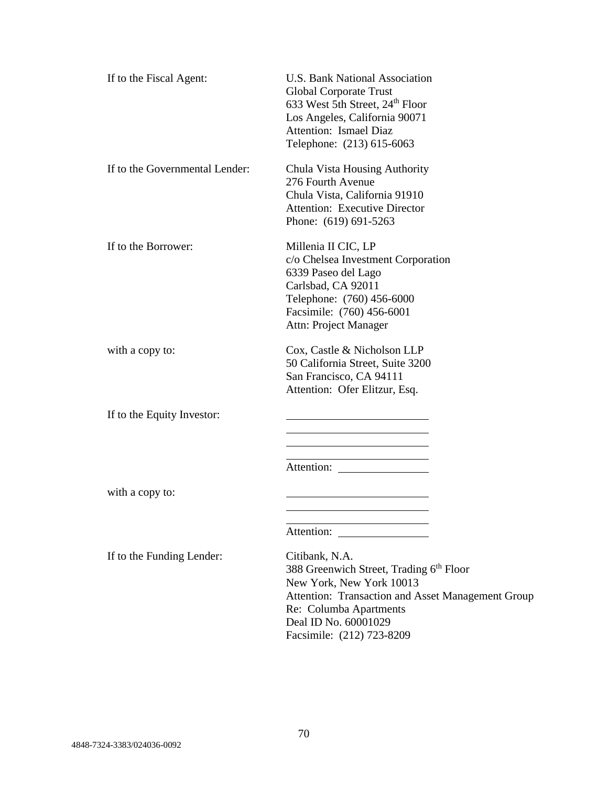| If to the Fiscal Agent:        | U.S. Bank National Association<br>Global Corporate Trust<br>633 West 5th Street, 24 <sup>th</sup> Floor<br>Los Angeles, California 90071<br>Attention: Ismael Diaz<br>Telephone: (213) 615-6063                                       |
|--------------------------------|---------------------------------------------------------------------------------------------------------------------------------------------------------------------------------------------------------------------------------------|
| If to the Governmental Lender: | Chula Vista Housing Authority<br>276 Fourth Avenue<br>Chula Vista, California 91910<br><b>Attention: Executive Director</b><br>Phone: (619) 691-5263                                                                                  |
| If to the Borrower:            | Millenia II CIC, LP<br>c/o Chelsea Investment Corporation<br>6339 Paseo del Lago<br>Carlsbad, CA 92011<br>Telephone: (760) 456-6000<br>Facsimile: (760) 456-6001<br>Attn: Project Manager                                             |
| with a copy to:                | Cox, Castle & Nicholson LLP<br>50 California Street, Suite 3200<br>San Francisco, CA 94111<br>Attention: Ofer Elitzur, Esq.                                                                                                           |
| If to the Equity Investor:     | <u> 1989 - Johann Barn, mars an t-Amerikaansk kommunister (</u>                                                                                                                                                                       |
| with a copy to:                | Attention:                                                                                                                                                                                                                            |
| If to the Funding Lender:      | Citibank, N.A.<br>388 Greenwich Street, Trading 6 <sup>th</sup> Floor<br>New York, New York 10013<br>Attention: Transaction and Asset Management Group<br>Re: Columba Apartments<br>Deal ID No. 60001029<br>Facsimile: (212) 723-8209 |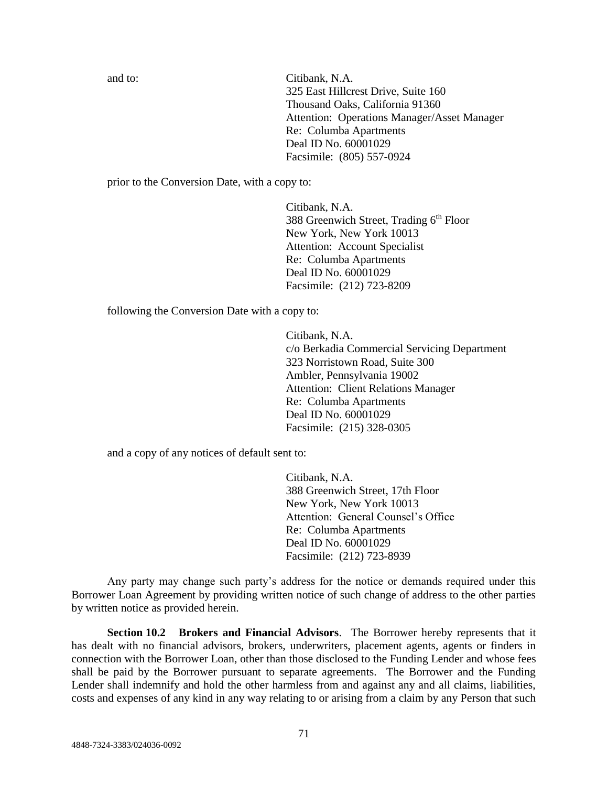and to: Citibank, N.A. 325 East Hillcrest Drive, Suite 160 Thousand Oaks, California 91360 Attention: Operations Manager/Asset Manager Re: Columba Apartments Deal ID No. 60001029 Facsimile: (805) 557-0924

prior to the Conversion Date, with a copy to:

Citibank, N.A. 388 Greenwich Street, Trading  $6<sup>th</sup>$  Floor New York, New York 10013 Attention: Account Specialist Re: Columba Apartments Deal ID No. 60001029 Facsimile: (212) 723-8209

following the Conversion Date with a copy to:

Citibank, N.A. c/o Berkadia Commercial Servicing Department 323 Norristown Road, Suite 300 Ambler, Pennsylvania 19002 Attention: Client Relations Manager Re: Columba Apartments Deal ID No. 60001029 Facsimile: (215) 328-0305

and a copy of any notices of default sent to:

Citibank, N.A. 388 Greenwich Street, 17th Floor New York, New York 10013 Attention: General Counsel's Office Re: Columba Apartments Deal ID No. 60001029 Facsimile: (212) 723-8939

Any party may change such party's address for the notice or demands required under this Borrower Loan Agreement by providing written notice of such change of address to the other parties by written notice as provided herein.

**Section 10.2 Brokers and Financial Advisors**. The Borrower hereby represents that it has dealt with no financial advisors, brokers, underwriters, placement agents, agents or finders in connection with the Borrower Loan, other than those disclosed to the Funding Lender and whose fees shall be paid by the Borrower pursuant to separate agreements. The Borrower and the Funding Lender shall indemnify and hold the other harmless from and against any and all claims, liabilities, costs and expenses of any kind in any way relating to or arising from a claim by any Person that such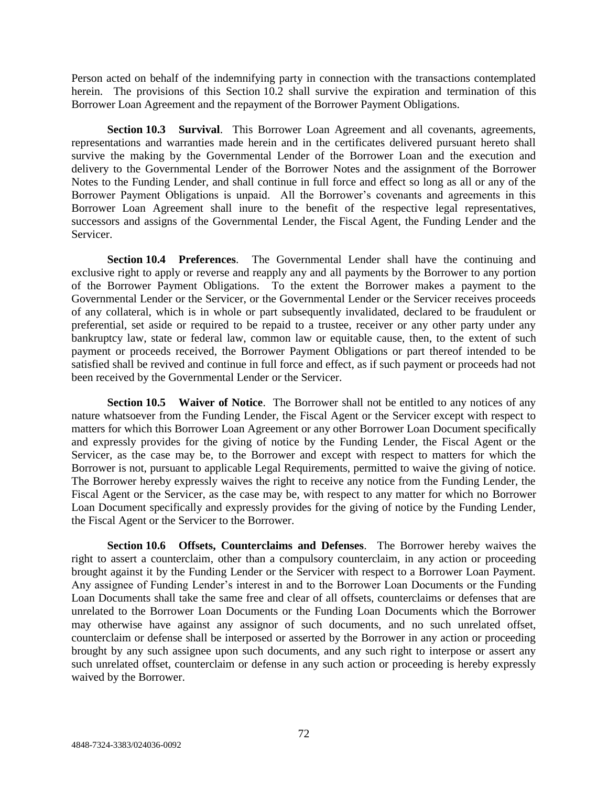Person acted on behalf of the indemnifying party in connection with the transactions contemplated herein. The provisions of this Section 10.2 shall survive the expiration and termination of this Borrower Loan Agreement and the repayment of the Borrower Payment Obligations.

**Section 10.3 Survival**. This Borrower Loan Agreement and all covenants, agreements, representations and warranties made herein and in the certificates delivered pursuant hereto shall survive the making by the Governmental Lender of the Borrower Loan and the execution and delivery to the Governmental Lender of the Borrower Notes and the assignment of the Borrower Notes to the Funding Lender, and shall continue in full force and effect so long as all or any of the Borrower Payment Obligations is unpaid. All the Borrower's covenants and agreements in this Borrower Loan Agreement shall inure to the benefit of the respective legal representatives, successors and assigns of the Governmental Lender, the Fiscal Agent, the Funding Lender and the Servicer.

**Section 10.4 Preferences**. The Governmental Lender shall have the continuing and exclusive right to apply or reverse and reapply any and all payments by the Borrower to any portion of the Borrower Payment Obligations. To the extent the Borrower makes a payment to the Governmental Lender or the Servicer, or the Governmental Lender or the Servicer receives proceeds of any collateral, which is in whole or part subsequently invalidated, declared to be fraudulent or preferential, set aside or required to be repaid to a trustee, receiver or any other party under any bankruptcy law, state or federal law, common law or equitable cause, then, to the extent of such payment or proceeds received, the Borrower Payment Obligations or part thereof intended to be satisfied shall be revived and continue in full force and effect, as if such payment or proceeds had not been received by the Governmental Lender or the Servicer.

**Section 10.5 Waiver of Notice**. The Borrower shall not be entitled to any notices of any nature whatsoever from the Funding Lender, the Fiscal Agent or the Servicer except with respect to matters for which this Borrower Loan Agreement or any other Borrower Loan Document specifically and expressly provides for the giving of notice by the Funding Lender, the Fiscal Agent or the Servicer, as the case may be, to the Borrower and except with respect to matters for which the Borrower is not, pursuant to applicable Legal Requirements, permitted to waive the giving of notice. The Borrower hereby expressly waives the right to receive any notice from the Funding Lender, the Fiscal Agent or the Servicer, as the case may be, with respect to any matter for which no Borrower Loan Document specifically and expressly provides for the giving of notice by the Funding Lender, the Fiscal Agent or the Servicer to the Borrower.

**Section 10.6 Offsets, Counterclaims and Defenses**. The Borrower hereby waives the right to assert a counterclaim, other than a compulsory counterclaim, in any action or proceeding brought against it by the Funding Lender or the Servicer with respect to a Borrower Loan Payment. Any assignee of Funding Lender's interest in and to the Borrower Loan Documents or the Funding Loan Documents shall take the same free and clear of all offsets, counterclaims or defenses that are unrelated to the Borrower Loan Documents or the Funding Loan Documents which the Borrower may otherwise have against any assignor of such documents, and no such unrelated offset, counterclaim or defense shall be interposed or asserted by the Borrower in any action or proceeding brought by any such assignee upon such documents, and any such right to interpose or assert any such unrelated offset, counterclaim or defense in any such action or proceeding is hereby expressly waived by the Borrower.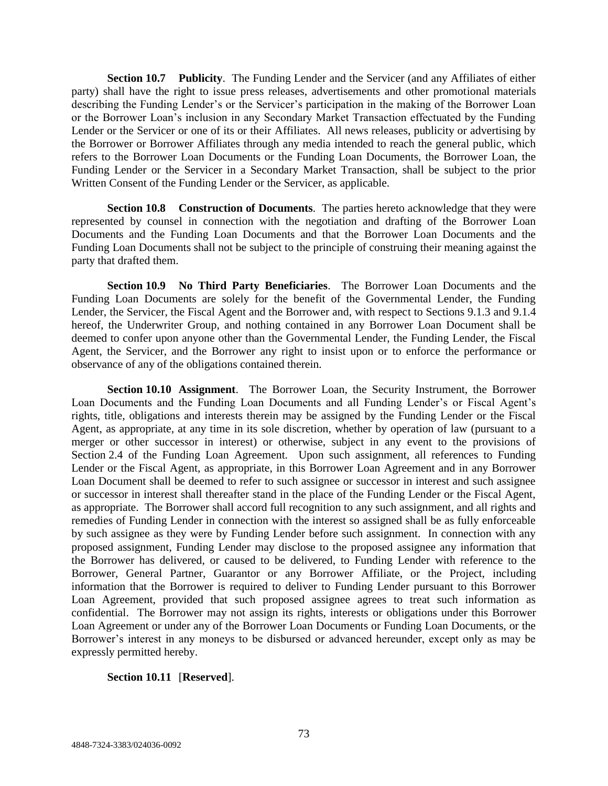**Section 10.7 Publicity**. The Funding Lender and the Servicer (and any Affiliates of either party) shall have the right to issue press releases, advertisements and other promotional materials describing the Funding Lender's or the Servicer's participation in the making of the Borrower Loan or the Borrower Loan's inclusion in any Secondary Market Transaction effectuated by the Funding Lender or the Servicer or one of its or their Affiliates. All news releases, publicity or advertising by the Borrower or Borrower Affiliates through any media intended to reach the general public, which refers to the Borrower Loan Documents or the Funding Loan Documents, the Borrower Loan, the Funding Lender or the Servicer in a Secondary Market Transaction, shall be subject to the prior Written Consent of the Funding Lender or the Servicer, as applicable.

**Section 10.8 Construction of Documents**. The parties hereto acknowledge that they were represented by counsel in connection with the negotiation and drafting of the Borrower Loan Documents and the Funding Loan Documents and that the Borrower Loan Documents and the Funding Loan Documents shall not be subject to the principle of construing their meaning against the party that drafted them.

**Section 10.9 No Third Party Beneficiaries**. The Borrower Loan Documents and the Funding Loan Documents are solely for the benefit of the Governmental Lender, the Funding Lender, the Servicer, the Fiscal Agent and the Borrower and, with respect to Sections 9.1.3 and 9.1.4 hereof, the Underwriter Group, and nothing contained in any Borrower Loan Document shall be deemed to confer upon anyone other than the Governmental Lender, the Funding Lender, the Fiscal Agent, the Servicer, and the Borrower any right to insist upon or to enforce the performance or observance of any of the obligations contained therein.

**Section 10.10 Assignment**. The Borrower Loan, the Security Instrument, the Borrower Loan Documents and the Funding Loan Documents and all Funding Lender's or Fiscal Agent's rights, title, obligations and interests therein may be assigned by the Funding Lender or the Fiscal Agent, as appropriate, at any time in its sole discretion, whether by operation of law (pursuant to a merger or other successor in interest) or otherwise, subject in any event to the provisions of Section 2.4 of the Funding Loan Agreement. Upon such assignment, all references to Funding Lender or the Fiscal Agent, as appropriate, in this Borrower Loan Agreement and in any Borrower Loan Document shall be deemed to refer to such assignee or successor in interest and such assignee or successor in interest shall thereafter stand in the place of the Funding Lender or the Fiscal Agent, as appropriate. The Borrower shall accord full recognition to any such assignment, and all rights and remedies of Funding Lender in connection with the interest so assigned shall be as fully enforceable by such assignee as they were by Funding Lender before such assignment. In connection with any proposed assignment, Funding Lender may disclose to the proposed assignee any information that the Borrower has delivered, or caused to be delivered, to Funding Lender with reference to the Borrower, General Partner, Guarantor or any Borrower Affiliate, or the Project, including information that the Borrower is required to deliver to Funding Lender pursuant to this Borrower Loan Agreement, provided that such proposed assignee agrees to treat such information as confidential. The Borrower may not assign its rights, interests or obligations under this Borrower Loan Agreement or under any of the Borrower Loan Documents or Funding Loan Documents, or the Borrower's interest in any moneys to be disbursed or advanced hereunder, except only as may be expressly permitted hereby.

## **Section 10.11** [**Reserved**].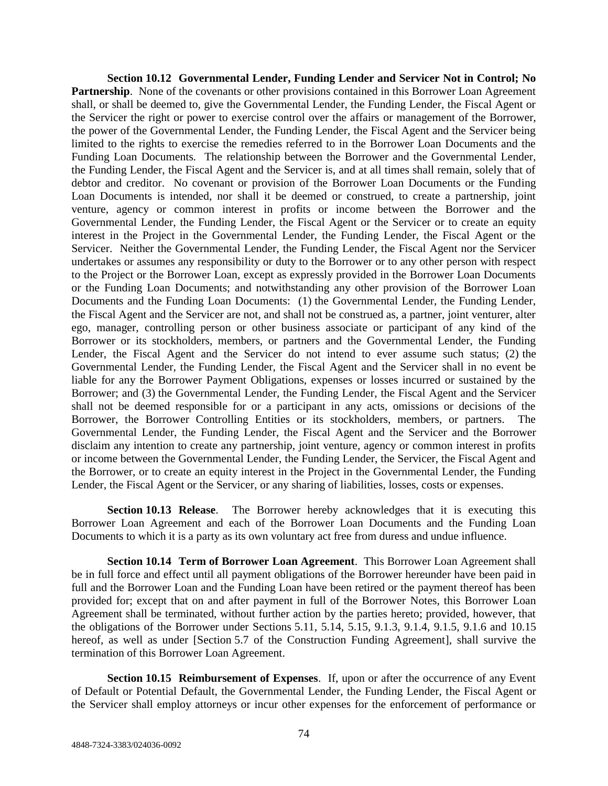**Section 10.12 Governmental Lender, Funding Lender and Servicer Not in Control; No Partnership.** None of the covenants or other provisions contained in this Borrower Loan Agreement shall, or shall be deemed to, give the Governmental Lender, the Funding Lender, the Fiscal Agent or the Servicer the right or power to exercise control over the affairs or management of the Borrower, the power of the Governmental Lender, the Funding Lender, the Fiscal Agent and the Servicer being limited to the rights to exercise the remedies referred to in the Borrower Loan Documents and the Funding Loan Documents. The relationship between the Borrower and the Governmental Lender, the Funding Lender, the Fiscal Agent and the Servicer is, and at all times shall remain, solely that of debtor and creditor. No covenant or provision of the Borrower Loan Documents or the Funding Loan Documents is intended, nor shall it be deemed or construed, to create a partnership, joint venture, agency or common interest in profits or income between the Borrower and the Governmental Lender, the Funding Lender, the Fiscal Agent or the Servicer or to create an equity interest in the Project in the Governmental Lender, the Funding Lender, the Fiscal Agent or the Servicer. Neither the Governmental Lender, the Funding Lender, the Fiscal Agent nor the Servicer undertakes or assumes any responsibility or duty to the Borrower or to any other person with respect to the Project or the Borrower Loan, except as expressly provided in the Borrower Loan Documents or the Funding Loan Documents; and notwithstanding any other provision of the Borrower Loan Documents and the Funding Loan Documents: (1) the Governmental Lender, the Funding Lender, the Fiscal Agent and the Servicer are not, and shall not be construed as, a partner, joint venturer, alter ego, manager, controlling person or other business associate or participant of any kind of the Borrower or its stockholders, members, or partners and the Governmental Lender, the Funding Lender, the Fiscal Agent and the Servicer do not intend to ever assume such status; (2) the Governmental Lender, the Funding Lender, the Fiscal Agent and the Servicer shall in no event be liable for any the Borrower Payment Obligations, expenses or losses incurred or sustained by the Borrower; and (3) the Governmental Lender, the Funding Lender, the Fiscal Agent and the Servicer shall not be deemed responsible for or a participant in any acts, omissions or decisions of the Borrower, the Borrower Controlling Entities or its stockholders, members, or partners. The Governmental Lender, the Funding Lender, the Fiscal Agent and the Servicer and the Borrower disclaim any intention to create any partnership, joint venture, agency or common interest in profits or income between the Governmental Lender, the Funding Lender, the Servicer, the Fiscal Agent and the Borrower, or to create an equity interest in the Project in the Governmental Lender, the Funding Lender, the Fiscal Agent or the Servicer, or any sharing of liabilities, losses, costs or expenses.

**Section 10.13 Release**. The Borrower hereby acknowledges that it is executing this Borrower Loan Agreement and each of the Borrower Loan Documents and the Funding Loan Documents to which it is a party as its own voluntary act free from duress and undue influence.

**Section 10.14 Term of Borrower Loan Agreement**. This Borrower Loan Agreement shall be in full force and effect until all payment obligations of the Borrower hereunder have been paid in full and the Borrower Loan and the Funding Loan have been retired or the payment thereof has been provided for; except that on and after payment in full of the Borrower Notes, this Borrower Loan Agreement shall be terminated, without further action by the parties hereto; provided, however, that the obligations of the Borrower under Sections 5.11, 5.14, 5.15, 9.1.3, 9.1.4, 9.1.5, 9.1.6 and 10.15 hereof, as well as under [Section 5.7 of the Construction Funding Agreement], shall survive the termination of this Borrower Loan Agreement.

**Section 10.15 Reimbursement of Expenses**. If, upon or after the occurrence of any Event of Default or Potential Default, the Governmental Lender, the Funding Lender, the Fiscal Agent or the Servicer shall employ attorneys or incur other expenses for the enforcement of performance or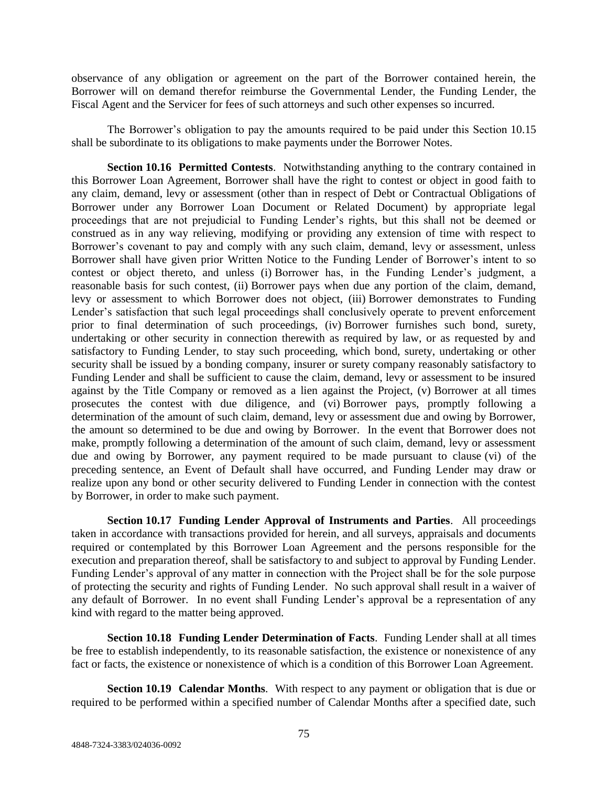observance of any obligation or agreement on the part of the Borrower contained herein, the Borrower will on demand therefor reimburse the Governmental Lender, the Funding Lender, the Fiscal Agent and the Servicer for fees of such attorneys and such other expenses so incurred.

The Borrower's obligation to pay the amounts required to be paid under this Section 10.15 shall be subordinate to its obligations to make payments under the Borrower Notes.

**Section 10.16 Permitted Contests**. Notwithstanding anything to the contrary contained in this Borrower Loan Agreement, Borrower shall have the right to contest or object in good faith to any claim, demand, levy or assessment (other than in respect of Debt or Contractual Obligations of Borrower under any Borrower Loan Document or Related Document) by appropriate legal proceedings that are not prejudicial to Funding Lender's rights, but this shall not be deemed or construed as in any way relieving, modifying or providing any extension of time with respect to Borrower's covenant to pay and comply with any such claim, demand, levy or assessment, unless Borrower shall have given prior Written Notice to the Funding Lender of Borrower's intent to so contest or object thereto, and unless (i) Borrower has, in the Funding Lender's judgment, a reasonable basis for such contest, (ii) Borrower pays when due any portion of the claim, demand, levy or assessment to which Borrower does not object, (iii) Borrower demonstrates to Funding Lender's satisfaction that such legal proceedings shall conclusively operate to prevent enforcement prior to final determination of such proceedings, (iv) Borrower furnishes such bond, surety, undertaking or other security in connection therewith as required by law, or as requested by and satisfactory to Funding Lender, to stay such proceeding, which bond, surety, undertaking or other security shall be issued by a bonding company, insurer or surety company reasonably satisfactory to Funding Lender and shall be sufficient to cause the claim, demand, levy or assessment to be insured against by the Title Company or removed as a lien against the Project, (v) Borrower at all times prosecutes the contest with due diligence, and (vi) Borrower pays, promptly following a determination of the amount of such claim, demand, levy or assessment due and owing by Borrower, the amount so determined to be due and owing by Borrower. In the event that Borrower does not make, promptly following a determination of the amount of such claim, demand, levy or assessment due and owing by Borrower, any payment required to be made pursuant to clause (vi) of the preceding sentence, an Event of Default shall have occurred, and Funding Lender may draw or realize upon any bond or other security delivered to Funding Lender in connection with the contest by Borrower, in order to make such payment.

**Section 10.17 Funding Lender Approval of Instruments and Parties**. All proceedings taken in accordance with transactions provided for herein, and all surveys, appraisals and documents required or contemplated by this Borrower Loan Agreement and the persons responsible for the execution and preparation thereof, shall be satisfactory to and subject to approval by Funding Lender. Funding Lender's approval of any matter in connection with the Project shall be for the sole purpose of protecting the security and rights of Funding Lender. No such approval shall result in a waiver of any default of Borrower. In no event shall Funding Lender's approval be a representation of any kind with regard to the matter being approved.

**Section 10.18 Funding Lender Determination of Facts**. Funding Lender shall at all times be free to establish independently, to its reasonable satisfaction, the existence or nonexistence of any fact or facts, the existence or nonexistence of which is a condition of this Borrower Loan Agreement.

**Section 10.19 Calendar Months**. With respect to any payment or obligation that is due or required to be performed within a specified number of Calendar Months after a specified date, such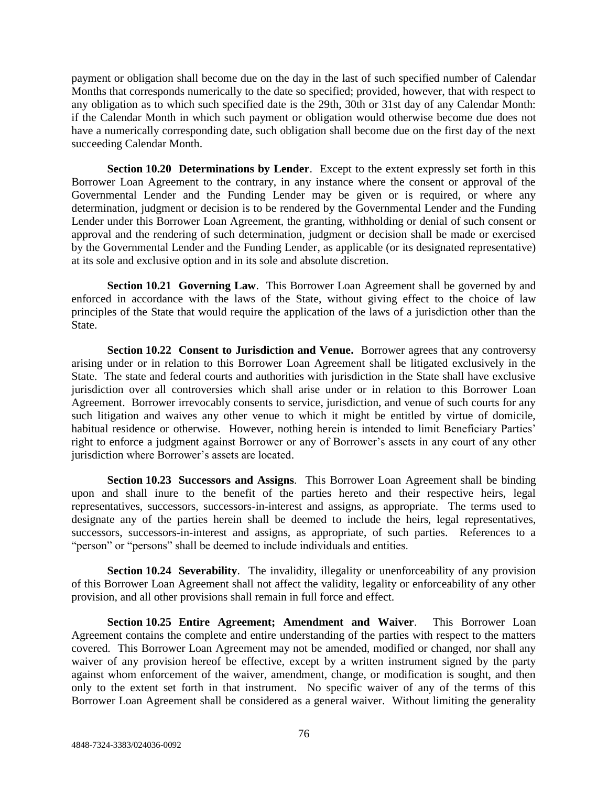payment or obligation shall become due on the day in the last of such specified number of Calendar Months that corresponds numerically to the date so specified; provided, however, that with respect to any obligation as to which such specified date is the 29th, 30th or 31st day of any Calendar Month: if the Calendar Month in which such payment or obligation would otherwise become due does not have a numerically corresponding date, such obligation shall become due on the first day of the next succeeding Calendar Month.

**Section 10.20 Determinations by Lender**. Except to the extent expressly set forth in this Borrower Loan Agreement to the contrary, in any instance where the consent or approval of the Governmental Lender and the Funding Lender may be given or is required, or where any determination, judgment or decision is to be rendered by the Governmental Lender and the Funding Lender under this Borrower Loan Agreement, the granting, withholding or denial of such consent or approval and the rendering of such determination, judgment or decision shall be made or exercised by the Governmental Lender and the Funding Lender, as applicable (or its designated representative) at its sole and exclusive option and in its sole and absolute discretion.

**Section 10.21 Governing Law**. This Borrower Loan Agreement shall be governed by and enforced in accordance with the laws of the State, without giving effect to the choice of law principles of the State that would require the application of the laws of a jurisdiction other than the State.

**Section 10.22 Consent to Jurisdiction and Venue.** Borrower agrees that any controversy arising under or in relation to this Borrower Loan Agreement shall be litigated exclusively in the State. The state and federal courts and authorities with jurisdiction in the State shall have exclusive jurisdiction over all controversies which shall arise under or in relation to this Borrower Loan Agreement. Borrower irrevocably consents to service, jurisdiction, and venue of such courts for any such litigation and waives any other venue to which it might be entitled by virtue of domicile, habitual residence or otherwise. However, nothing herein is intended to limit Beneficiary Parties' right to enforce a judgment against Borrower or any of Borrower's assets in any court of any other jurisdiction where Borrower's assets are located.

**Section 10.23 Successors and Assigns**. This Borrower Loan Agreement shall be binding upon and shall inure to the benefit of the parties hereto and their respective heirs, legal representatives, successors, successors-in-interest and assigns, as appropriate. The terms used to designate any of the parties herein shall be deemed to include the heirs, legal representatives, successors, successors-in-interest and assigns, as appropriate, of such parties. References to a "person" or "persons" shall be deemed to include individuals and entities.

**Section 10.24 Severability**. The invalidity, illegality or unenforceability of any provision of this Borrower Loan Agreement shall not affect the validity, legality or enforceability of any other provision, and all other provisions shall remain in full force and effect.

**Section 10.25 Entire Agreement; Amendment and Waiver**. This Borrower Loan Agreement contains the complete and entire understanding of the parties with respect to the matters covered. This Borrower Loan Agreement may not be amended, modified or changed, nor shall any waiver of any provision hereof be effective, except by a written instrument signed by the party against whom enforcement of the waiver, amendment, change, or modification is sought, and then only to the extent set forth in that instrument. No specific waiver of any of the terms of this Borrower Loan Agreement shall be considered as a general waiver. Without limiting the generality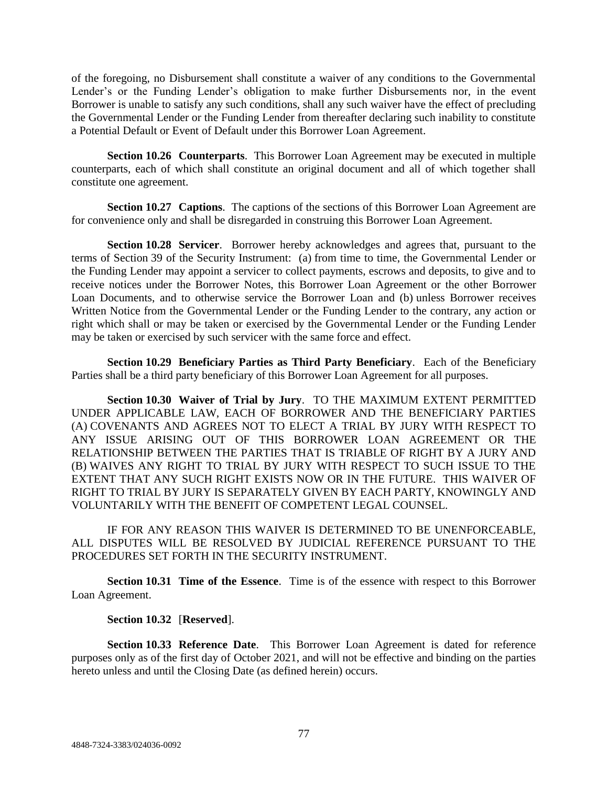of the foregoing, no Disbursement shall constitute a waiver of any conditions to the Governmental Lender's or the Funding Lender's obligation to make further Disbursements nor, in the event Borrower is unable to satisfy any such conditions, shall any such waiver have the effect of precluding the Governmental Lender or the Funding Lender from thereafter declaring such inability to constitute a Potential Default or Event of Default under this Borrower Loan Agreement.

**Section 10.26 Counterparts**. This Borrower Loan Agreement may be executed in multiple counterparts, each of which shall constitute an original document and all of which together shall constitute one agreement.

**Section 10.27 Captions**. The captions of the sections of this Borrower Loan Agreement are for convenience only and shall be disregarded in construing this Borrower Loan Agreement.

**Section 10.28 Servicer**. Borrower hereby acknowledges and agrees that, pursuant to the terms of Section 39 of the Security Instrument: (a) from time to time, the Governmental Lender or the Funding Lender may appoint a servicer to collect payments, escrows and deposits, to give and to receive notices under the Borrower Notes, this Borrower Loan Agreement or the other Borrower Loan Documents, and to otherwise service the Borrower Loan and (b) unless Borrower receives Written Notice from the Governmental Lender or the Funding Lender to the contrary, any action or right which shall or may be taken or exercised by the Governmental Lender or the Funding Lender may be taken or exercised by such servicer with the same force and effect.

**Section 10.29 Beneficiary Parties as Third Party Beneficiary**. Each of the Beneficiary Parties shall be a third party beneficiary of this Borrower Loan Agreement for all purposes.

**Section 10.30 Waiver of Trial by Jury**. TO THE MAXIMUM EXTENT PERMITTED UNDER APPLICABLE LAW, EACH OF BORROWER AND THE BENEFICIARY PARTIES (A) COVENANTS AND AGREES NOT TO ELECT A TRIAL BY JURY WITH RESPECT TO ANY ISSUE ARISING OUT OF THIS BORROWER LOAN AGREEMENT OR THE RELATIONSHIP BETWEEN THE PARTIES THAT IS TRIABLE OF RIGHT BY A JURY AND (B) WAIVES ANY RIGHT TO TRIAL BY JURY WITH RESPECT TO SUCH ISSUE TO THE EXTENT THAT ANY SUCH RIGHT EXISTS NOW OR IN THE FUTURE. THIS WAIVER OF RIGHT TO TRIAL BY JURY IS SEPARATELY GIVEN BY EACH PARTY, KNOWINGLY AND VOLUNTARILY WITH THE BENEFIT OF COMPETENT LEGAL COUNSEL.

IF FOR ANY REASON THIS WAIVER IS DETERMINED TO BE UNENFORCEABLE, ALL DISPUTES WILL BE RESOLVED BY JUDICIAL REFERENCE PURSUANT TO THE PROCEDURES SET FORTH IN THE SECURITY INSTRUMENT.

**Section 10.31 Time of the Essence**. Time is of the essence with respect to this Borrower Loan Agreement.

### **Section 10.32** [**Reserved**].

**Section 10.33 Reference Date**. This Borrower Loan Agreement is dated for reference purposes only as of the first day of October 2021, and will not be effective and binding on the parties hereto unless and until the Closing Date (as defined herein) occurs.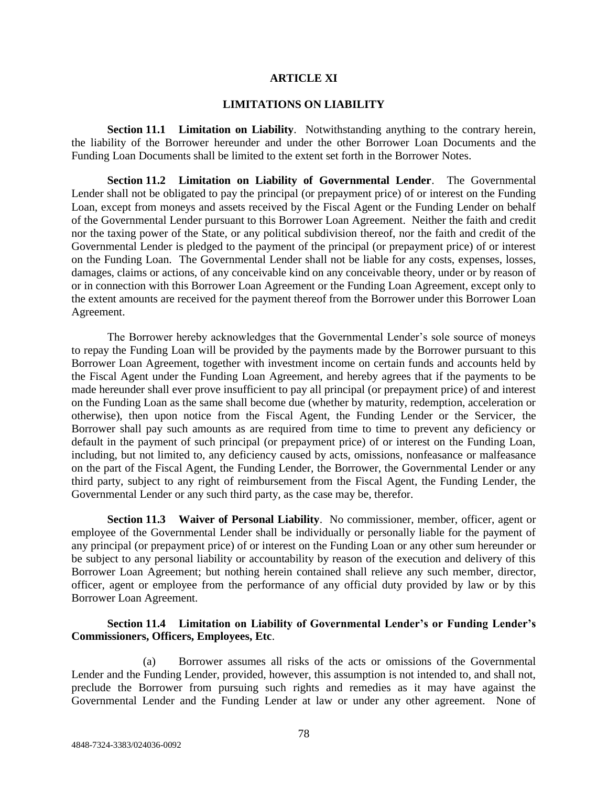#### **ARTICLE XI**

#### **LIMITATIONS ON LIABILITY**

**Section 11.1 Limitation on Liability**. Notwithstanding anything to the contrary herein, the liability of the Borrower hereunder and under the other Borrower Loan Documents and the Funding Loan Documents shall be limited to the extent set forth in the Borrower Notes.

**Section 11.2 Limitation on Liability of Governmental Lender**. The Governmental Lender shall not be obligated to pay the principal (or prepayment price) of or interest on the Funding Loan, except from moneys and assets received by the Fiscal Agent or the Funding Lender on behalf of the Governmental Lender pursuant to this Borrower Loan Agreement. Neither the faith and credit nor the taxing power of the State, or any political subdivision thereof, nor the faith and credit of the Governmental Lender is pledged to the payment of the principal (or prepayment price) of or interest on the Funding Loan. The Governmental Lender shall not be liable for any costs, expenses, losses, damages, claims or actions, of any conceivable kind on any conceivable theory, under or by reason of or in connection with this Borrower Loan Agreement or the Funding Loan Agreement, except only to the extent amounts are received for the payment thereof from the Borrower under this Borrower Loan Agreement.

The Borrower hereby acknowledges that the Governmental Lender's sole source of moneys to repay the Funding Loan will be provided by the payments made by the Borrower pursuant to this Borrower Loan Agreement, together with investment income on certain funds and accounts held by the Fiscal Agent under the Funding Loan Agreement, and hereby agrees that if the payments to be made hereunder shall ever prove insufficient to pay all principal (or prepayment price) of and interest on the Funding Loan as the same shall become due (whether by maturity, redemption, acceleration or otherwise), then upon notice from the Fiscal Agent, the Funding Lender or the Servicer, the Borrower shall pay such amounts as are required from time to time to prevent any deficiency or default in the payment of such principal (or prepayment price) of or interest on the Funding Loan, including, but not limited to, any deficiency caused by acts, omissions, nonfeasance or malfeasance on the part of the Fiscal Agent, the Funding Lender, the Borrower, the Governmental Lender or any third party, subject to any right of reimbursement from the Fiscal Agent, the Funding Lender, the Governmental Lender or any such third party, as the case may be, therefor.

**Section 11.3 Waiver of Personal Liability**. No commissioner, member, officer, agent or employee of the Governmental Lender shall be individually or personally liable for the payment of any principal (or prepayment price) of or interest on the Funding Loan or any other sum hereunder or be subject to any personal liability or accountability by reason of the execution and delivery of this Borrower Loan Agreement; but nothing herein contained shall relieve any such member, director, officer, agent or employee from the performance of any official duty provided by law or by this Borrower Loan Agreement.

### **Section 11.4 Limitation on Liability of Governmental Lender's or Funding Lender's Commissioners, Officers, Employees, Etc**.

(a) Borrower assumes all risks of the acts or omissions of the Governmental Lender and the Funding Lender, provided, however, this assumption is not intended to, and shall not, preclude the Borrower from pursuing such rights and remedies as it may have against the Governmental Lender and the Funding Lender at law or under any other agreement. None of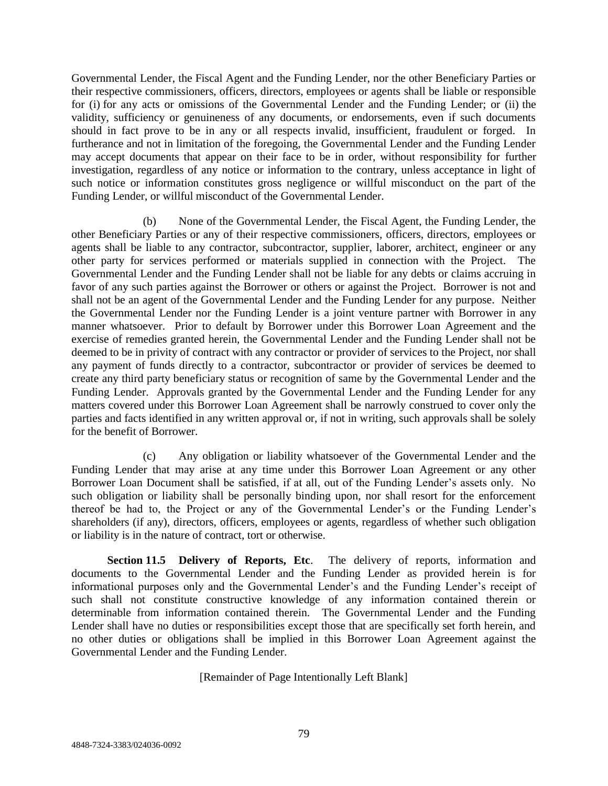Governmental Lender, the Fiscal Agent and the Funding Lender, nor the other Beneficiary Parties or their respective commissioners, officers, directors, employees or agents shall be liable or responsible for (i) for any acts or omissions of the Governmental Lender and the Funding Lender; or (ii) the validity, sufficiency or genuineness of any documents, or endorsements, even if such documents should in fact prove to be in any or all respects invalid, insufficient, fraudulent or forged. In furtherance and not in limitation of the foregoing, the Governmental Lender and the Funding Lender may accept documents that appear on their face to be in order, without responsibility for further investigation, regardless of any notice or information to the contrary, unless acceptance in light of such notice or information constitutes gross negligence or willful misconduct on the part of the Funding Lender, or willful misconduct of the Governmental Lender.

(b) None of the Governmental Lender, the Fiscal Agent, the Funding Lender, the other Beneficiary Parties or any of their respective commissioners, officers, directors, employees or agents shall be liable to any contractor, subcontractor, supplier, laborer, architect, engineer or any other party for services performed or materials supplied in connection with the Project. The Governmental Lender and the Funding Lender shall not be liable for any debts or claims accruing in favor of any such parties against the Borrower or others or against the Project. Borrower is not and shall not be an agent of the Governmental Lender and the Funding Lender for any purpose. Neither the Governmental Lender nor the Funding Lender is a joint venture partner with Borrower in any manner whatsoever. Prior to default by Borrower under this Borrower Loan Agreement and the exercise of remedies granted herein, the Governmental Lender and the Funding Lender shall not be deemed to be in privity of contract with any contractor or provider of services to the Project, nor shall any payment of funds directly to a contractor, subcontractor or provider of services be deemed to create any third party beneficiary status or recognition of same by the Governmental Lender and the Funding Lender. Approvals granted by the Governmental Lender and the Funding Lender for any matters covered under this Borrower Loan Agreement shall be narrowly construed to cover only the parties and facts identified in any written approval or, if not in writing, such approvals shall be solely for the benefit of Borrower.

(c) Any obligation or liability whatsoever of the Governmental Lender and the Funding Lender that may arise at any time under this Borrower Loan Agreement or any other Borrower Loan Document shall be satisfied, if at all, out of the Funding Lender's assets only. No such obligation or liability shall be personally binding upon, nor shall resort for the enforcement thereof be had to, the Project or any of the Governmental Lender's or the Funding Lender's shareholders (if any), directors, officers, employees or agents, regardless of whether such obligation or liability is in the nature of contract, tort or otherwise.

**Section 11.5 Delivery of Reports, Etc**. The delivery of reports, information and documents to the Governmental Lender and the Funding Lender as provided herein is for informational purposes only and the Governmental Lender's and the Funding Lender's receipt of such shall not constitute constructive knowledge of any information contained therein or determinable from information contained therein. The Governmental Lender and the Funding Lender shall have no duties or responsibilities except those that are specifically set forth herein, and no other duties or obligations shall be implied in this Borrower Loan Agreement against the Governmental Lender and the Funding Lender.

[Remainder of Page Intentionally Left Blank]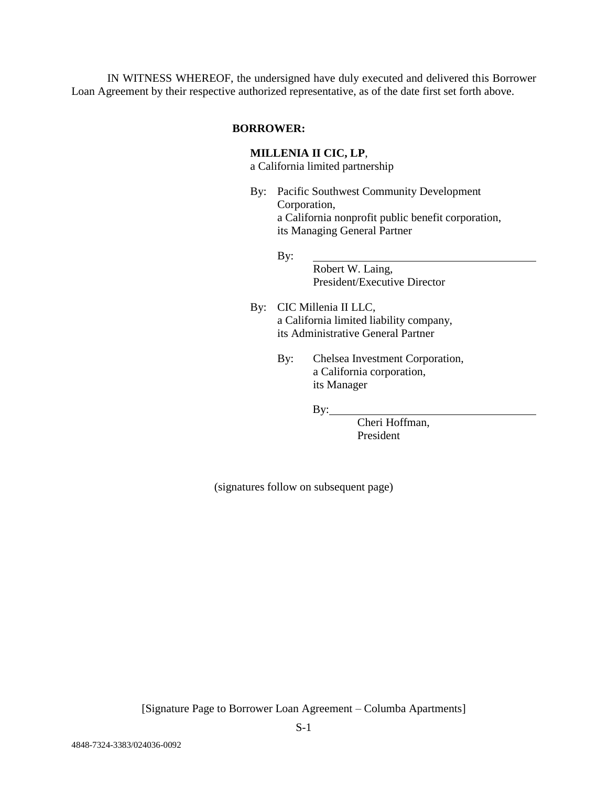IN WITNESS WHEREOF, the undersigned have duly executed and delivered this Borrower Loan Agreement by their respective authorized representative, as of the date first set forth above.

## **BORROWER:**

## **MILLENIA II CIC, LP**,

a California limited partnership

By: Pacific Southwest Community Development Corporation, a California nonprofit public benefit corporation, its Managing General Partner

#### By:

Robert W. Laing, President/Executive Director

- By: CIC Millenia II LLC, a California limited liability company, its Administrative General Partner
	- By: Chelsea Investment Corporation, a California corporation, its Manager

By:

Cheri Hoffman, President

(signatures follow on subsequent page)

[Signature Page to Borrower Loan Agreement – Columba Apartments]